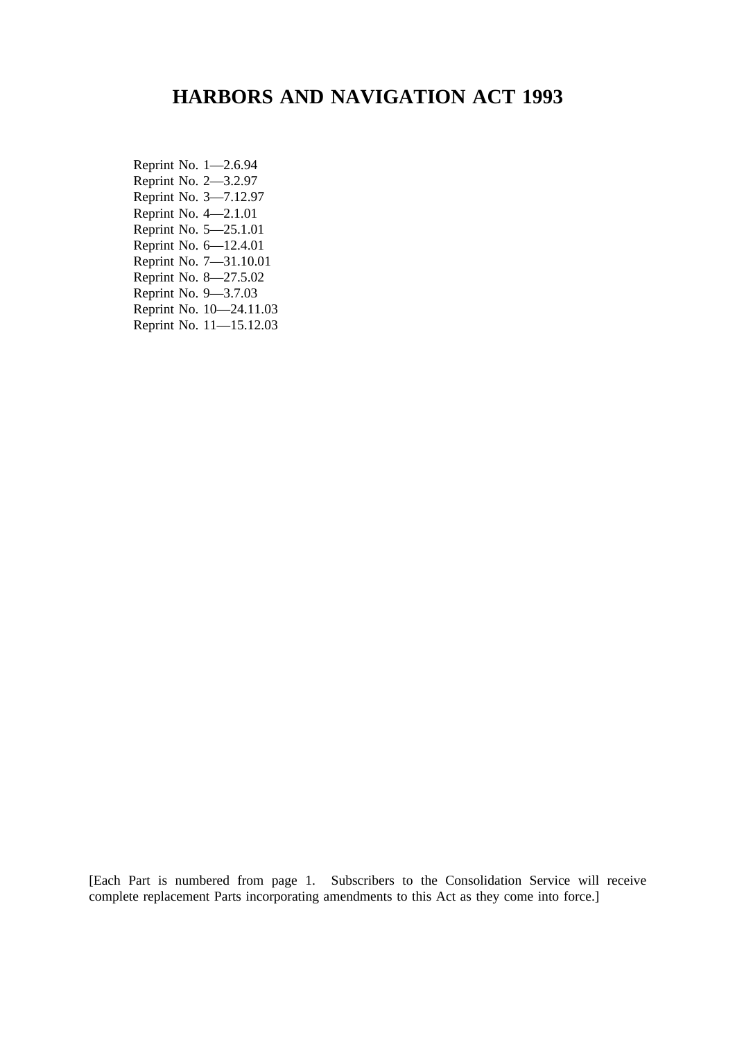# **HARBORS AND NAVIGATION ACT 1993**

Reprint No. 1—2.6.94 Reprint No. 2—3.2.97 Reprint No. 3—7.12.97 Reprint No. 4—2.1.01 Reprint No. 5—25.1.01 Reprint No. 6—12.4.01 Reprint No. 7—31.10.01 Reprint No. 8—27.5.02 Reprint No. 9—3.7.03 Reprint No. 10—24.11.03 Reprint No. 11—15.12.03

[Each Part is numbered from page 1. Subscribers to the Consolidation Service will receive complete replacement Parts incorporating amendments to this Act as they come into force.]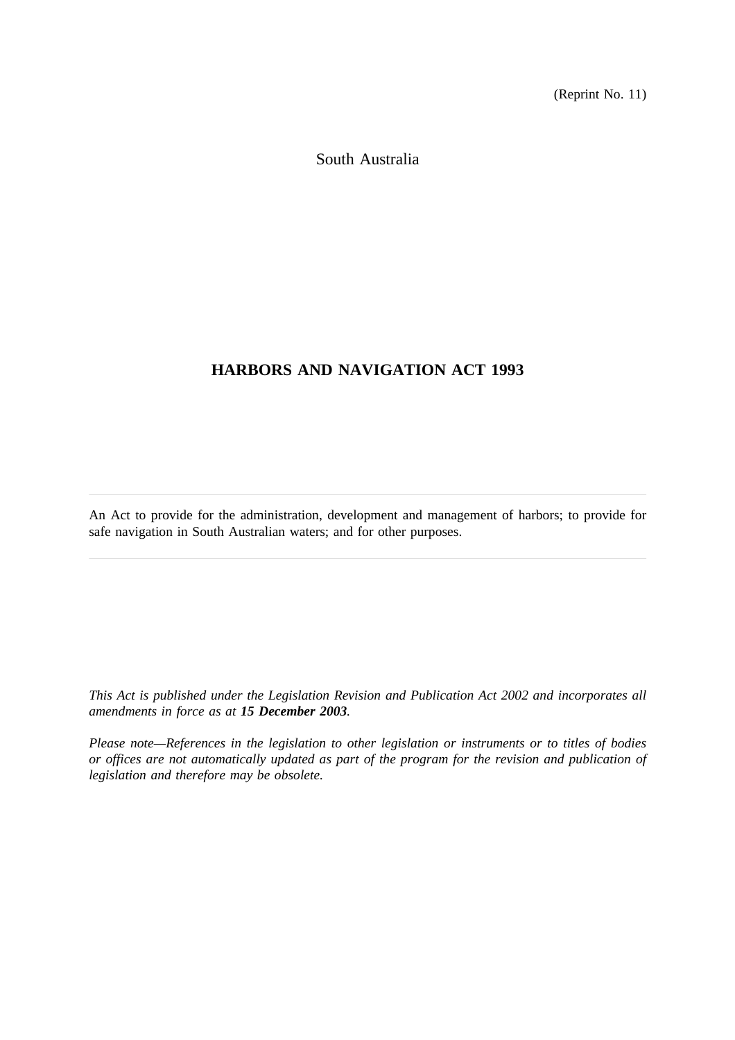(Reprint No. 11)

South Australia

# **HARBORS AND NAVIGATION ACT 1993**

An Act to provide for the administration, development and management of harbors; to provide for safe navigation in South Australian waters; and for other purposes.

*This Act is published under the Legislation Revision and Publication Act 2002 and incorporates all amendments in force as at 15 December 2003.*

*Please note—References in the legislation to other legislation or instruments or to titles of bodies or offices are not automatically updated as part of the program for the revision and publication of legislation and therefore may be obsolete.*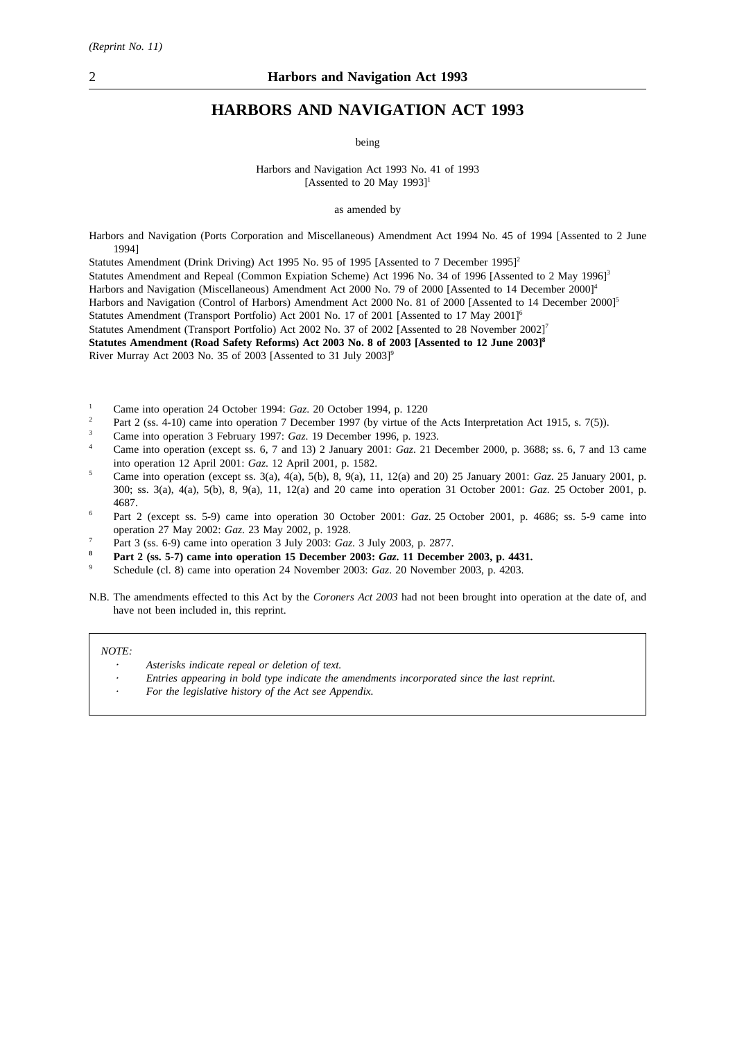# **HARBORS AND NAVIGATION ACT 1993**

being

Harbors and Navigation Act 1993 No. 41 of 1993 [Assented to 20 May  $1993$ ]<sup>1</sup>

as amended by

Harbors and Navigation (Ports Corporation and Miscellaneous) Amendment Act 1994 No. 45 of 1994 [Assented to 2 June 1994]

Statutes Amendment (Drink Driving) Act 1995 No. 95 of 1995 [Assented to 7 December 1995]<sup>2</sup>

- Statutes Amendment and Repeal (Common Expiation Scheme) Act 1996 No. 34 of 1996 [Assented to 2 May 1996]<sup>3</sup>
- Harbors and Navigation (Miscellaneous) Amendment Act 2000 No. 79 of 2000 [Assented to 14 December 2000]<sup>4</sup>
- Harbors and Navigation (Control of Harbors) Amendment Act 2000 No. 81 of 2000 [Assented to 14 December 2000]<sup>5</sup>

Statutes Amendment (Transport Portfolio) Act 2001 No. 17 of 2001 [Assented to 17 May 2001]<sup>6</sup>

Statutes Amendment (Transport Portfolio) Act 2002 No. 37 of 2002 [Assented to 28 November 2002]<sup>7</sup>

**Statutes Amendment (Road Safety Reforms) Act 2003 No. 8 of 2003 [Assented to 12 June 2003]8**

River Murray Act 2003 No. 35 of 2003 [Assented to 31 July 2003]<sup>9</sup>

- <sup>1</sup> Came into operation 24 October 1994: *Gaz.* 20 October 1994, p. 1220
- Part 2 (ss. 4-10) came into operation 7 December 1997 (by virtue of the Acts Interpretation Act 1915, s. 7(5)).
- <sup>3</sup> Came into operation 3 February 1997: *Gaz*. 19 December 1996, p. 1923.
- <sup>4</sup> Came into operation (except ss. 6, 7 and 13) 2 January 2001: *Gaz*. 21 December 2000, p. 3688; ss. 6, 7 and 13 came into operation 12 April 2001: *Gaz*. 12 April 2001, p. 1582.
- <sup>5</sup> Came into operation (except ss. 3(a), 4(a), 5(b), 8, 9(a), 11, 12(a) and 20) 25 January 2001: *Gaz*. 25 January 2001, p. 300; ss. 3(a), 4(a), 5(b), 8, 9(a), 11, 12(a) and 20 came into operation 31 October 2001: *Gaz*. 25 October 2001, p. 4687.
- <sup>6</sup> Part 2 (except ss. 5-9) came into operation 30 October 2001: *Gaz*. 25 October 2001, p. 4686; ss. 5-9 came into operation 27 May 2002: *Gaz*. 23 May 2002, p. 1928.
- <sup>7</sup> Part 3 (ss. 6-9) came into operation 3 July 2003: *Gaz*. 3 July 2003, p. 2877.
- **<sup>8</sup> Part 2 (ss. 5-7) came into operation 15 December 2003:** *Gaz***. 11 December 2003, p. 4431.**
- <sup>9</sup> Schedule (cl. 8) came into operation 24 November 2003: *Gaz*. 20 November 2003, p. 4203.
- N.B. The amendments effected to this Act by the *Coroners Act 2003* had not been brought into operation at the date of, and have not been included in, this reprint.

#### *NOTE:*

- *Asterisks indicate repeal or deletion of text.*
- *Entries appearing in bold type indicate the amendments incorporated since the last reprint.*
- *For the legislative history of the Act see Appendix.*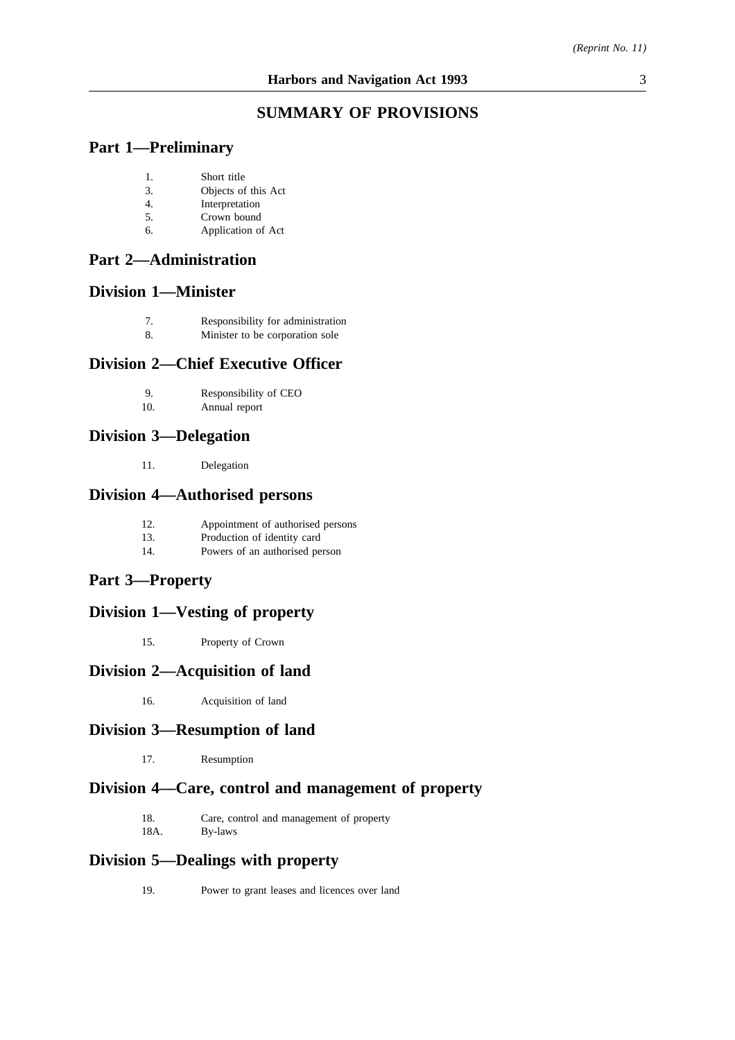### **SUMMARY OF PROVISIONS**

### **Part 1—Preliminary**

- 1. Short title
- 3. Objects of this Act
- 4. Interpretation
- 5. Crown bound
- 6. Application of Act

### **Part 2—Administration**

# **Division 1—Minister**

- 7. Responsibility for administration
- 8. Minister to be corporation sole

## **Division 2—Chief Executive Officer**

- 9. Responsibility of CEO<br>10. Annual report
- Annual report

### **Division 3—Delegation**

11. Delegation

### **Division 4—Authorised persons**

- 12. Appointment of authorised persons<br>13. Production of identity card
- Production of identity card
- 14. Powers of an authorised person

# **Part 3—Property**

# **Division 1—Vesting of property**

15. Property of Crown

### **Division 2—Acquisition of land**

16. Acquisition of land

## **Division 3—Resumption of land**

17. Resumption

## **Division 4—Care, control and management of property**

- 18. Care, control and management of property 18A. By-laws
- By-laws

### **Division 5—Dealings with property**

19. Power to grant leases and licences over land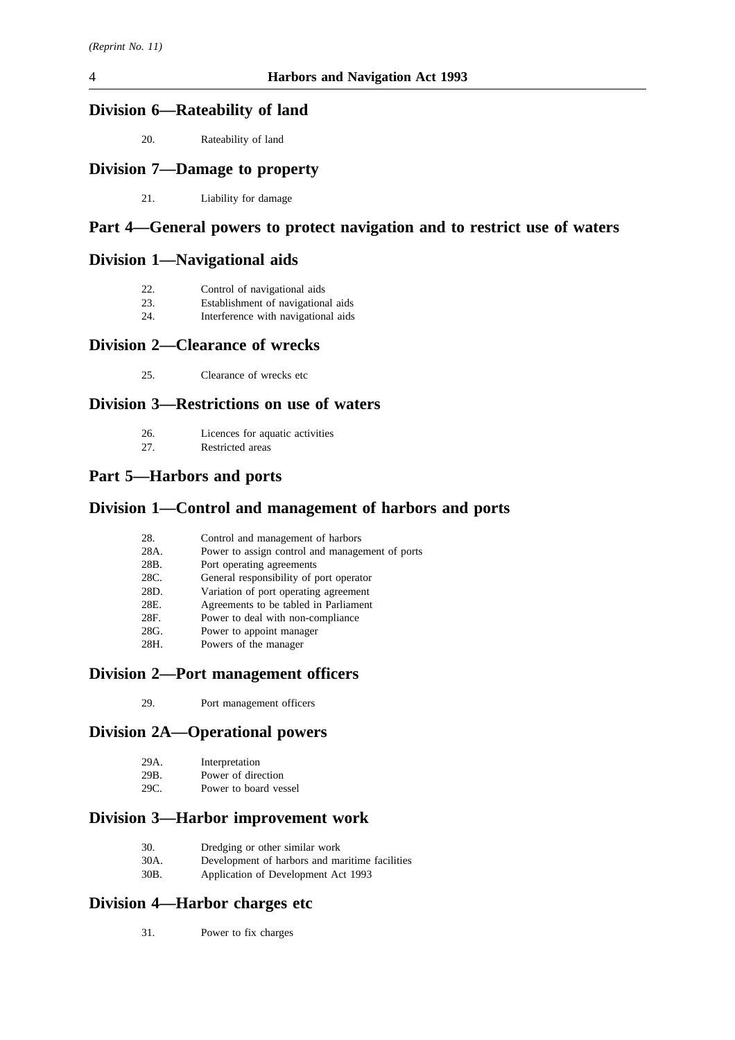### **Division 6—Rateability of land**

20. Rateability of land

# **Division 7—Damage to property**

21. Liability for damage

# **Part 4—General powers to protect navigation and to restrict use of waters**

### **Division 1—Navigational aids**

| Control of navigational aids |
|------------------------------|
|                              |

- 23. Establishment of navigational aids
- 24. Interference with navigational aids

# **Division 2—Clearance of wrecks**

25. Clearance of wrecks etc

### **Division 3—Restrictions on use of waters**

- 26. Licences for aquatic activities
- 27. Restricted areas

### **Part 5—Harbors and ports**

### **Division 1—Control and management of harbors and ports**

| 28.  | Control and management of harbors               |
|------|-------------------------------------------------|
| 28A. | Power to assign control and management of ports |
| 28B. | Port operating agreements                       |
| 28C. | General responsibility of port operator         |
| 28D. | Variation of port operating agreement           |
| 28E. | Agreements to be tabled in Parliament           |
| 28F. | Power to deal with non-compliance               |
| 28G. | Power to appoint manager                        |
| 28H. | Powers of the manager                           |

#### **Division 2—Port management officers**

29. Port management officers

### **Division 2A—Operational powers**

| 29A. | Interpretation |
|------|----------------|
|------|----------------|

- 29B. Power of direction<br>29C. Power to board ves
- Power to board vessel

# **Division 3—Harbor improvement work**

| 30. | Dredging or other similar work |
|-----|--------------------------------|
|-----|--------------------------------|

- 30A. Development of harbors and maritime facilities<br>30B. Application of Development Act 1993
- Application of Development Act 1993

## **Division 4—Harbor charges etc**

31. Power to fix charges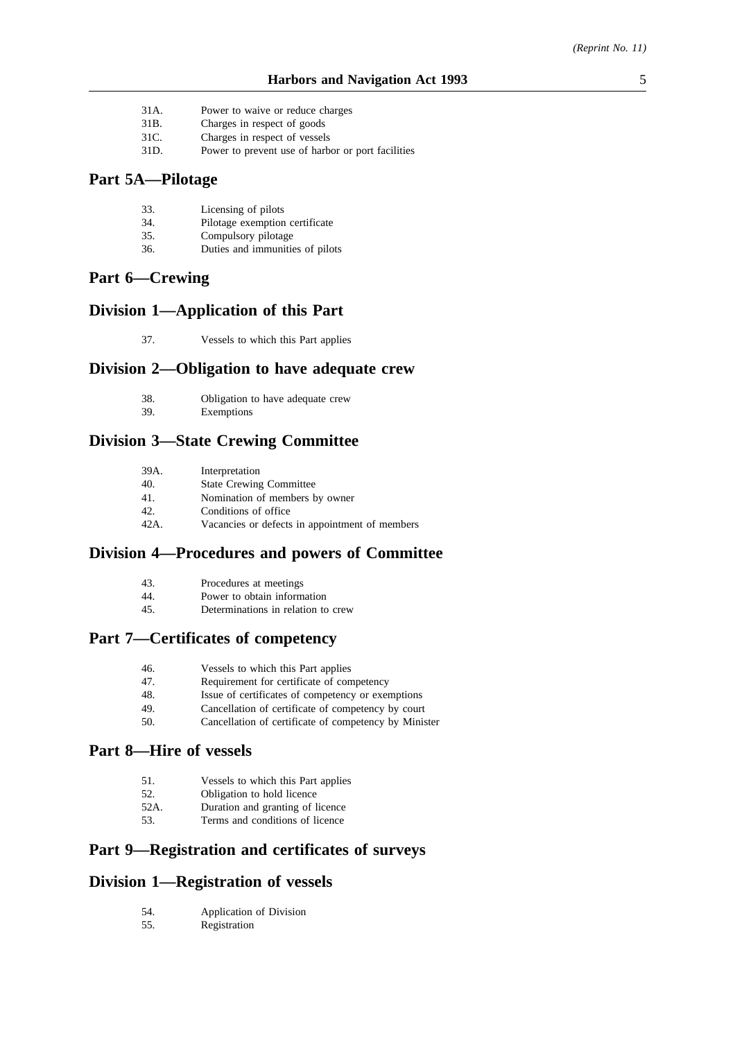- 31A. Power to waive or reduce charges
- 31B. Charges in respect of goods
- 31C. Charges in respect of vessels
- 31D. Power to prevent use of harbor or port facilities

### **Part 5A—Pilotage**

- 33. Licensing of pilots
- 34. Pilotage exemption certificate<br>35. Compulsory pilotage
- Compulsory pilotage
- 36. Duties and immunities of pilots

### **Part 6—Crewing**

### **Division 1—Application of this Part**

37. Vessels to which this Part applies

#### **Division 2—Obligation to have adequate crew**

- 38. Obligation to have adequate crew
- 39. Exemptions

## **Division 3—State Crewing Committee**

| 39A. | Interpretation                                 |
|------|------------------------------------------------|
| 40.  | <b>State Crewing Committee</b>                 |
| 41.  | Nomination of members by owner                 |
| 42.  | Conditions of office                           |
| 42A. | Vacancies or defects in appointment of members |

# **Division 4—Procedures and powers of Committee**

- 43. Procedures at meetings
- 44. Power to obtain information
- 45. Determinations in relation to crew

#### **Part 7—Certificates of competency**

- 46. Vessels to which this Part applies
- 47. Requirement for certificate of competency
- 48. Issue of certificates of competency or exemptions<br>49. Cancellation of certificate of competency by court
- Cancellation of certificate of competency by court
- 50. Cancellation of certificate of competency by Minister

## **Part 8—Hire of vessels**

- 51. Vessels to which this Part applies
- 52. Obligation to hold licence
- 52A. Duration and granting of licence
- 53. Terms and conditions of licence

### **Part 9—Registration and certificates of surveys**

### **Division 1—Registration of vessels**

- 54. Application of Division
- 55. Registration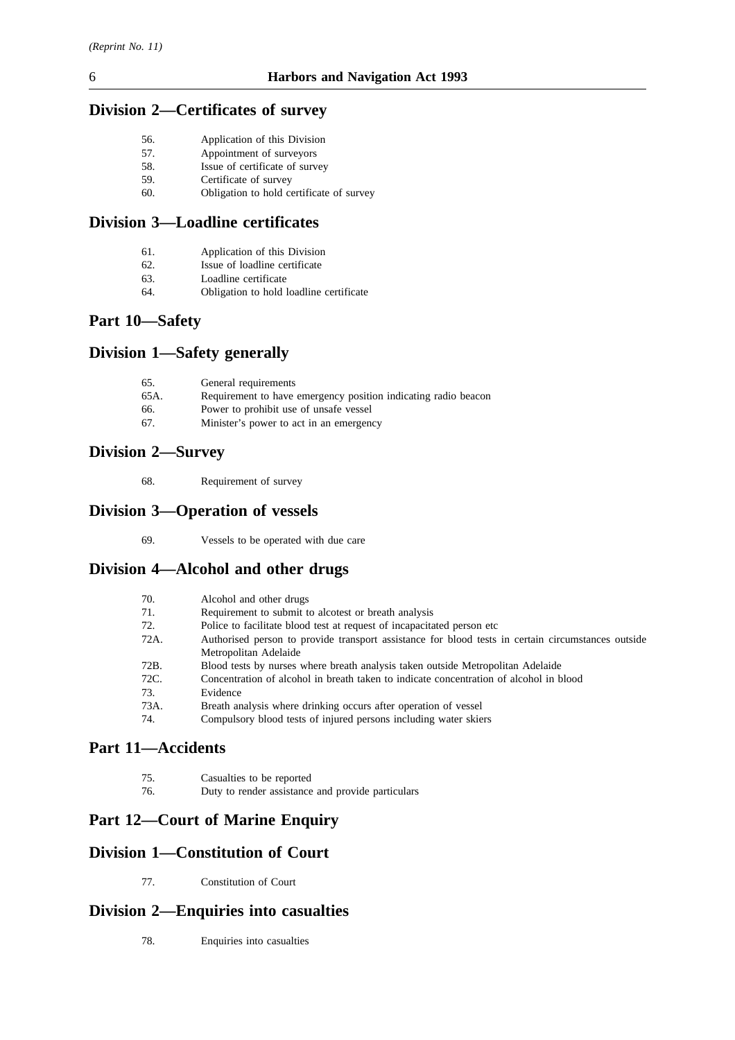# **Division 2—Certificates of survey**

| 56. | Application of this Division |  |  |
|-----|------------------------------|--|--|
|-----|------------------------------|--|--|

- 57. Appointment of surveyors
- 58. Issue of certificate of survey 59. Certificate of survey
- 60. Obligation to hold certificate of survey

## **Division 3—Loadline certificates**

- 62. Issue of loadline certificate<br>63. Loadline certificate
- 63. Loadline certificate<br>64. Obligation to hold 1
- Obligation to hold loadline certificate

# **Part 10—Safety**

# **Division 1—Safety generally**

| 65.  | General requirements                                           |
|------|----------------------------------------------------------------|
| 65A. | Requirement to have emergency position indicating radio beacon |
| 66.  | Power to prohibit use of unsafe vessel                         |
| 67.  | Minister's power to act in an emergency                        |

# **Division 2—Survey**

68. Requirement of survey

# **Division 3—Operation of vessels**

69. Vessels to be operated with due care

# **Division 4—Alcohol and other drugs**

| 70.  | Alcohol and other drugs                                                                            |
|------|----------------------------------------------------------------------------------------------------|
| 71.  | Requirement to submit to alcotest or breath analysis                                               |
| 72.  | Police to facilitate blood test at request of incapacitated person etc.                            |
| 72A. | Authorised person to provide transport assistance for blood tests in certain circumstances outside |
|      | Metropolitan Adelaide                                                                              |
| 72B. | Blood tests by nurses where breath analysis taken outside Metropolitan Adelaide                    |
| 72C. | Concentration of alcohol in breath taken to indicate concentration of alcohol in blood             |
| 73.  | Evidence                                                                                           |
| 73A. | Breath analysis where drinking occurs after operation of vessel                                    |
| 74.  | Compulsory blood tests of injured persons including water skiers                                   |
|      |                                                                                                    |

# **Part 11—Accidents**

| 75. | Casualties to be reported                         |
|-----|---------------------------------------------------|
| 76. | Duty to render assistance and provide particulars |

# **Part 12—Court of Marine Enquiry**

# **Division 1—Constitution of Court**

77. Constitution of Court

### **Division 2—Enquiries into casualties**

78. Enquiries into casualties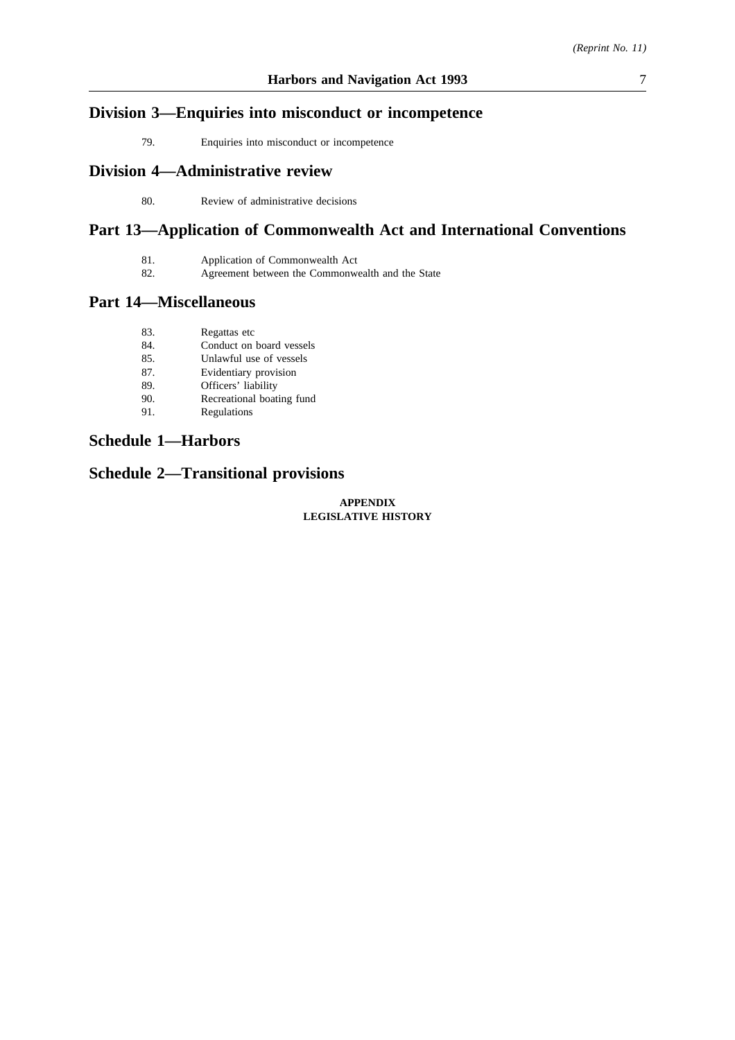# **Division 3—Enquiries into misconduct or incompetence**

79. Enquiries into misconduct or incompetence

# **Division 4—Administrative review**

80. Review of administrative decisions

# **Part 13—Application of Commonwealth Act and International Conventions**

82. Agreement between the Commonwealth and the State

#### **Part 14—Miscellaneous**

| 83. | Regattas etc              |
|-----|---------------------------|
| 84. | Conduct on board vessels  |
| 85. | Unlawful use of vessels   |
| 87. | Evidentiary provision     |
| 89. | Officers' liability       |
| 90. | Recreational boating fund |
| 91. | Regulations               |

### **Schedule 1—Harbors**

# **Schedule 2—Transitional provisions**

#### **APPENDIX LEGISLATIVE HISTORY**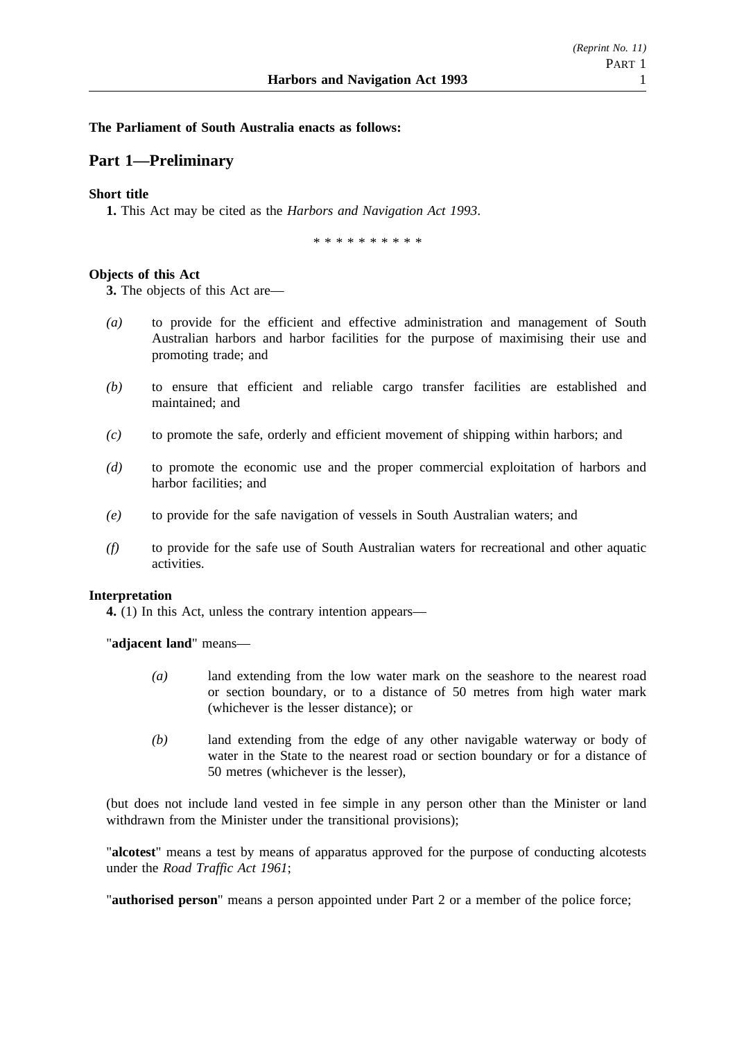#### **The Parliament of South Australia enacts as follows:**

### **Part 1—Preliminary**

#### **Short title**

**1.** This Act may be cited as the *Harbors and Navigation Act 1993*.

\*\*\*\*\*\*\*\*\*\*

#### **Objects of this Act**

**3.** The objects of this Act are—

- *(a)* to provide for the efficient and effective administration and management of South Australian harbors and harbor facilities for the purpose of maximising their use and promoting trade; and
- *(b)* to ensure that efficient and reliable cargo transfer facilities are established and maintained; and
- *(c)* to promote the safe, orderly and efficient movement of shipping within harbors; and
- *(d)* to promote the economic use and the proper commercial exploitation of harbors and harbor facilities; and
- *(e)* to provide for the safe navigation of vessels in South Australian waters; and
- *(f)* to provide for the safe use of South Australian waters for recreational and other aquatic activities.

#### **Interpretation**

**4.** (1) In this Act, unless the contrary intention appears—

"**adjacent land**" means—

- *(a)* land extending from the low water mark on the seashore to the nearest road or section boundary, or to a distance of 50 metres from high water mark (whichever is the lesser distance); or
- *(b)* land extending from the edge of any other navigable waterway or body of water in the State to the nearest road or section boundary or for a distance of 50 metres (whichever is the lesser),

(but does not include land vested in fee simple in any person other than the Minister or land withdrawn from the Minister under the transitional provisions);

"**alcotest**" means a test by means of apparatus approved for the purpose of conducting alcotests under the *Road Traffic Act 1961*;

"**authorised person**" means a person appointed under Part 2 or a member of the police force;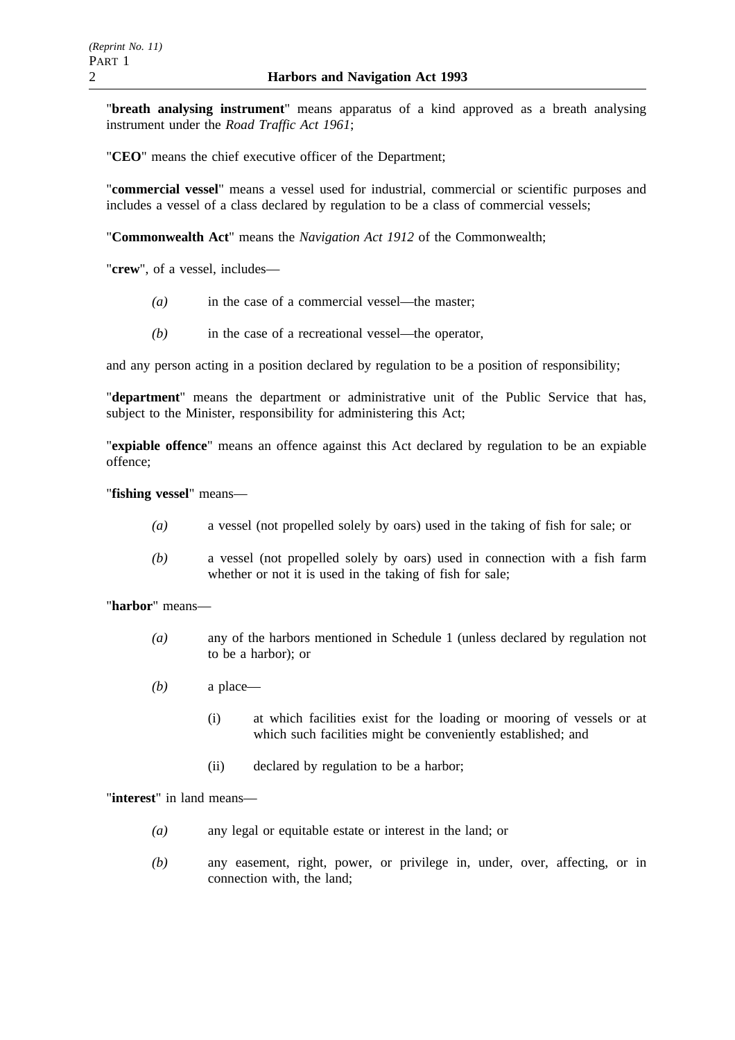"**breath analysing instrument**" means apparatus of a kind approved as a breath analysing instrument under the *Road Traffic Act 1961*;

"**CEO**" means the chief executive officer of the Department;

"**commercial vessel**" means a vessel used for industrial, commercial or scientific purposes and includes a vessel of a class declared by regulation to be a class of commercial vessels;

"**Commonwealth Act**" means the *Navigation Act 1912* of the Commonwealth;

"**crew**", of a vessel, includes—

- *(a)* in the case of a commercial vessel—the master;
- *(b)* in the case of a recreational vessel—the operator,

and any person acting in a position declared by regulation to be a position of responsibility;

"**department**" means the department or administrative unit of the Public Service that has, subject to the Minister, responsibility for administering this Act:

"**expiable offence**" means an offence against this Act declared by regulation to be an expiable offence;

"**fishing vessel**" means—

- *(a)* a vessel (not propelled solely by oars) used in the taking of fish for sale; or
- *(b)* a vessel (not propelled solely by oars) used in connection with a fish farm whether or not it is used in the taking of fish for sale;

"**harbor**" means—

- *(a)* any of the harbors mentioned in Schedule 1 (unless declared by regulation not to be a harbor); or
- *(b)* a place—
	- (i) at which facilities exist for the loading or mooring of vessels or at which such facilities might be conveniently established; and
	- (ii) declared by regulation to be a harbor;

"**interest**" in land means—

- *(a)* any legal or equitable estate or interest in the land; or
- *(b)* any easement, right, power, or privilege in, under, over, affecting, or in connection with, the land;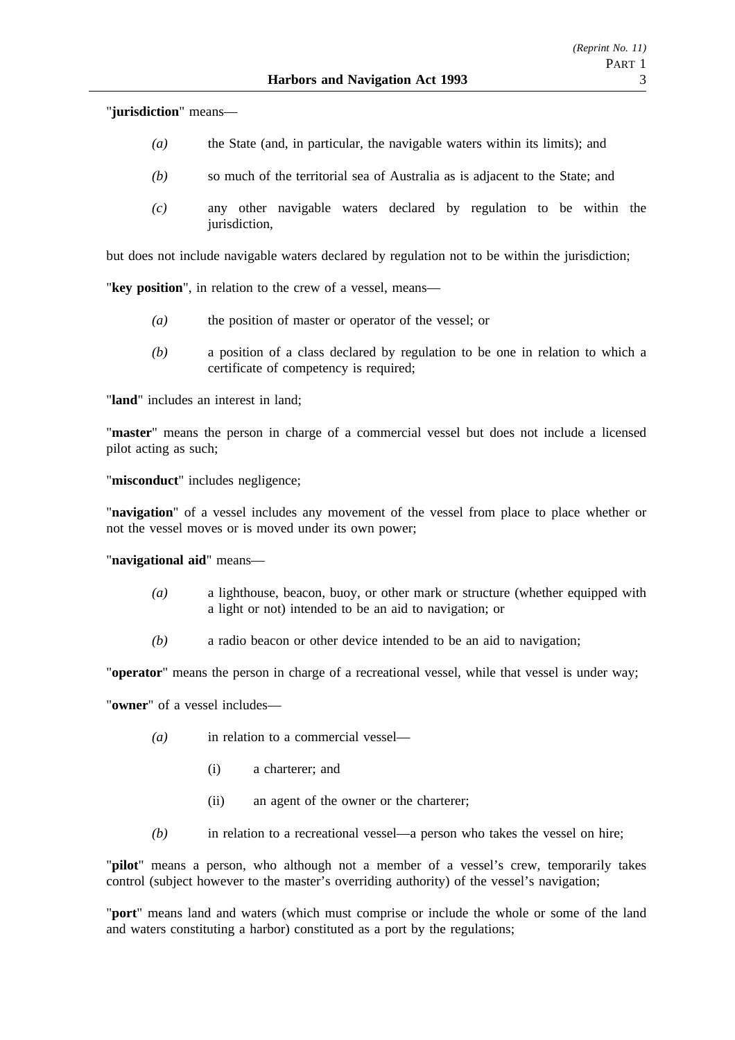"**jurisdiction**" means—

- *(a)* the State (and, in particular, the navigable waters within its limits); and
- *(b)* so much of the territorial sea of Australia as is adjacent to the State; and
- *(c)* any other navigable waters declared by regulation to be within the jurisdiction,

but does not include navigable waters declared by regulation not to be within the jurisdiction;

"**key position**", in relation to the crew of a vessel, means—

- *(a)* the position of master or operator of the vessel; or
- *(b)* a position of a class declared by regulation to be one in relation to which a certificate of competency is required;

"**land**" includes an interest in land;

"**master**" means the person in charge of a commercial vessel but does not include a licensed pilot acting as such;

"**misconduct**" includes negligence;

"**navigation**" of a vessel includes any movement of the vessel from place to place whether or not the vessel moves or is moved under its own power;

"**navigational aid**" means—

- *(a)* a lighthouse, beacon, buoy, or other mark or structure (whether equipped with a light or not) intended to be an aid to navigation; or
- *(b)* a radio beacon or other device intended to be an aid to navigation;

"**operator**" means the person in charge of a recreational vessel, while that vessel is under way;

"**owner**" of a vessel includes—

- *(a)* in relation to a commercial vessel—
	- (i) a charterer; and
	- (ii) an agent of the owner or the charterer;
- *(b)* in relation to a recreational vessel—a person who takes the vessel on hire;

"**pilot**" means a person, who although not a member of a vessel's crew, temporarily takes control (subject however to the master's overriding authority) of the vessel's navigation;

"**port**" means land and waters (which must comprise or include the whole or some of the land and waters constituting a harbor) constituted as a port by the regulations;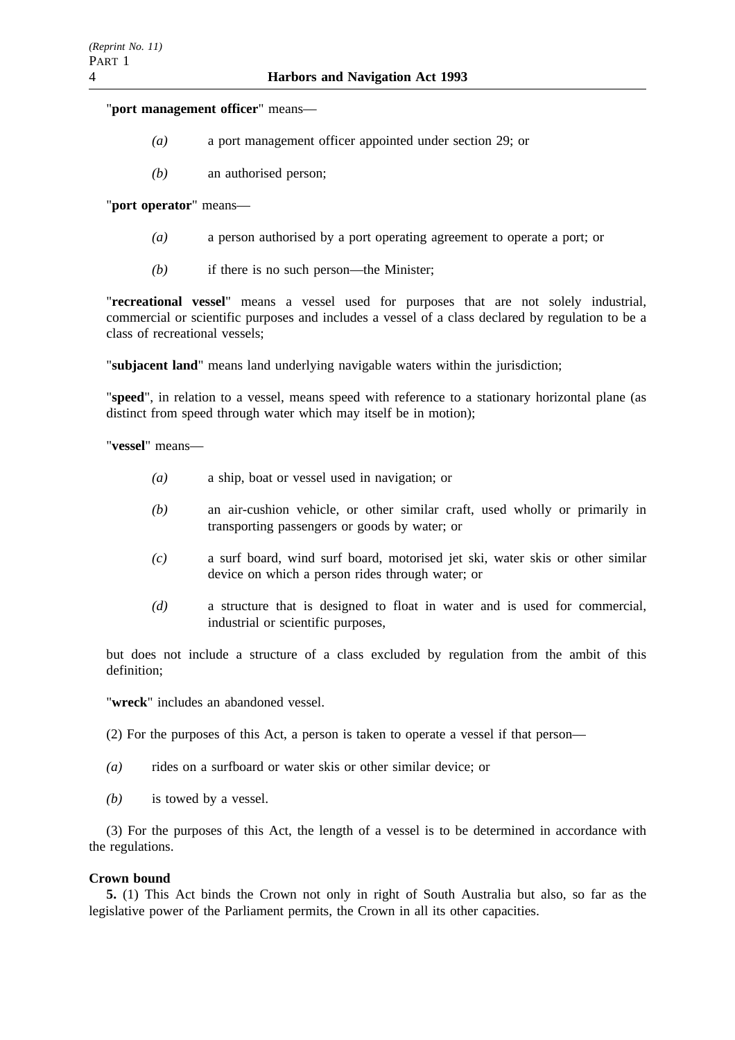"**port management officer**" means—

- *(a)* a port management officer appointed under section 29; or
- *(b)* an authorised person;

"**port operator**" means—

- *(a)* a person authorised by a port operating agreement to operate a port; or
- *(b)* if there is no such person—the Minister;

"**recreational vessel**" means a vessel used for purposes that are not solely industrial, commercial or scientific purposes and includes a vessel of a class declared by regulation to be a class of recreational vessels;

"**subjacent land**" means land underlying navigable waters within the jurisdiction;

"**speed**", in relation to a vessel, means speed with reference to a stationary horizontal plane (as distinct from speed through water which may itself be in motion);

"**vessel**" means—

- *(a)* a ship, boat or vessel used in navigation; or
- *(b)* an air-cushion vehicle, or other similar craft, used wholly or primarily in transporting passengers or goods by water; or
- *(c)* a surf board, wind surf board, motorised jet ski, water skis or other similar device on which a person rides through water; or
- *(d)* a structure that is designed to float in water and is used for commercial, industrial or scientific purposes,

but does not include a structure of a class excluded by regulation from the ambit of this definition;

"**wreck**" includes an abandoned vessel.

(2) For the purposes of this Act, a person is taken to operate a vessel if that person—

- *(a)* rides on a surfboard or water skis or other similar device; or
- *(b)* is towed by a vessel.

(3) For the purposes of this Act, the length of a vessel is to be determined in accordance with the regulations.

#### **Crown bound**

**5.** (1) This Act binds the Crown not only in right of South Australia but also, so far as the legislative power of the Parliament permits, the Crown in all its other capacities.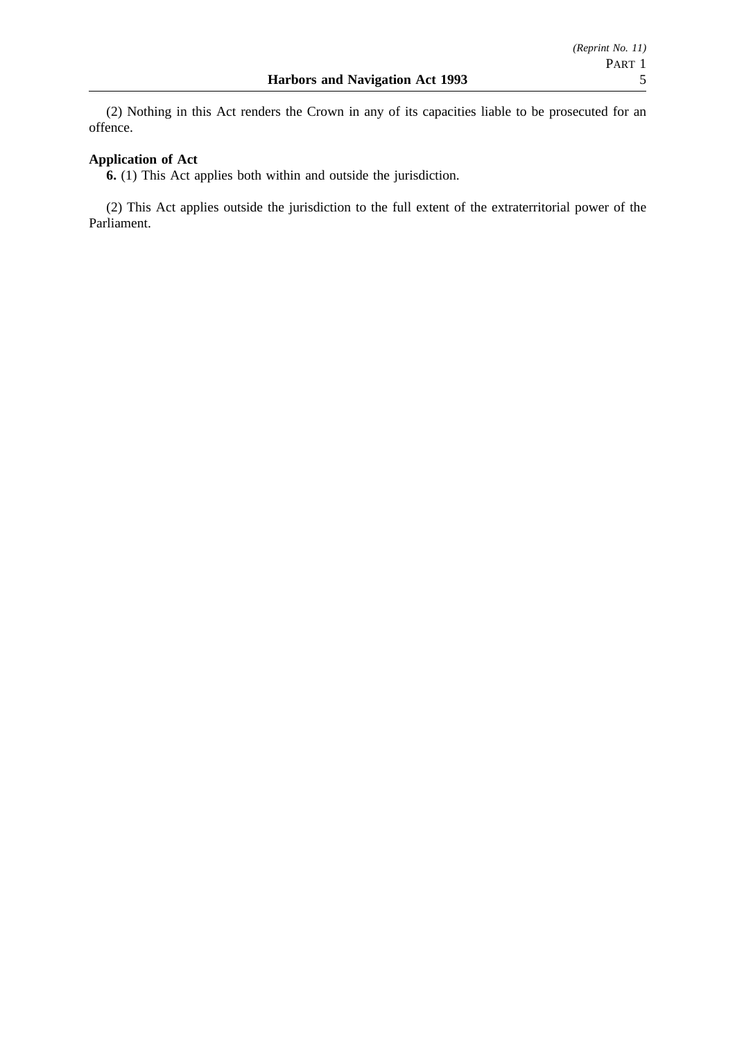(2) Nothing in this Act renders the Crown in any of its capacities liable to be prosecuted for an offence.

### **Application of Act**

**6.** (1) This Act applies both within and outside the jurisdiction.

(2) This Act applies outside the jurisdiction to the full extent of the extraterritorial power of the Parliament.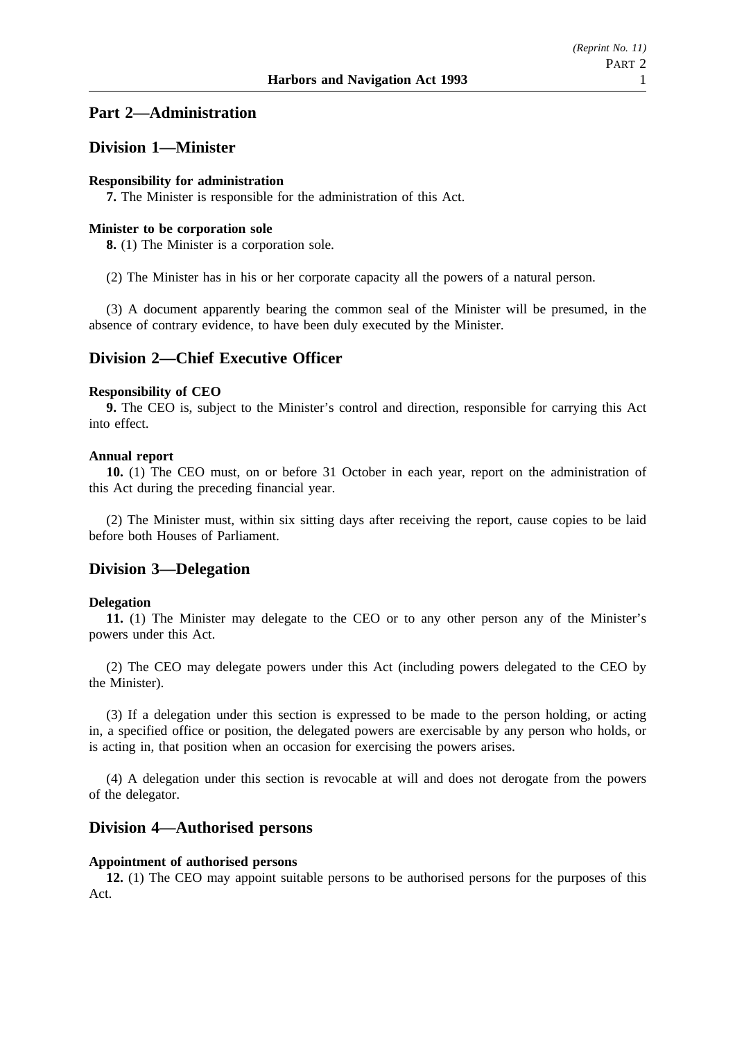## **Part 2—Administration**

### **Division 1—Minister**

#### **Responsibility for administration**

**7.** The Minister is responsible for the administration of this Act.

### **Minister to be corporation sole**

**8.** (1) The Minister is a corporation sole.

(2) The Minister has in his or her corporate capacity all the powers of a natural person.

(3) A document apparently bearing the common seal of the Minister will be presumed, in the absence of contrary evidence, to have been duly executed by the Minister.

# **Division 2—Chief Executive Officer**

#### **Responsibility of CEO**

**9.** The CEO is, subject to the Minister's control and direction, responsible for carrying this Act into effect.

### **Annual report**

**10.** (1) The CEO must, on or before 31 October in each year, report on the administration of this Act during the preceding financial year.

(2) The Minister must, within six sitting days after receiving the report, cause copies to be laid before both Houses of Parliament.

### **Division 3—Delegation**

#### **Delegation**

**11.** (1) The Minister may delegate to the CEO or to any other person any of the Minister's powers under this Act.

(2) The CEO may delegate powers under this Act (including powers delegated to the CEO by the Minister).

(3) If a delegation under this section is expressed to be made to the person holding, or acting in, a specified office or position, the delegated powers are exercisable by any person who holds, or is acting in, that position when an occasion for exercising the powers arises.

(4) A delegation under this section is revocable at will and does not derogate from the powers of the delegator.

### **Division 4—Authorised persons**

#### **Appointment of authorised persons**

**12.** (1) The CEO may appoint suitable persons to be authorised persons for the purposes of this Act.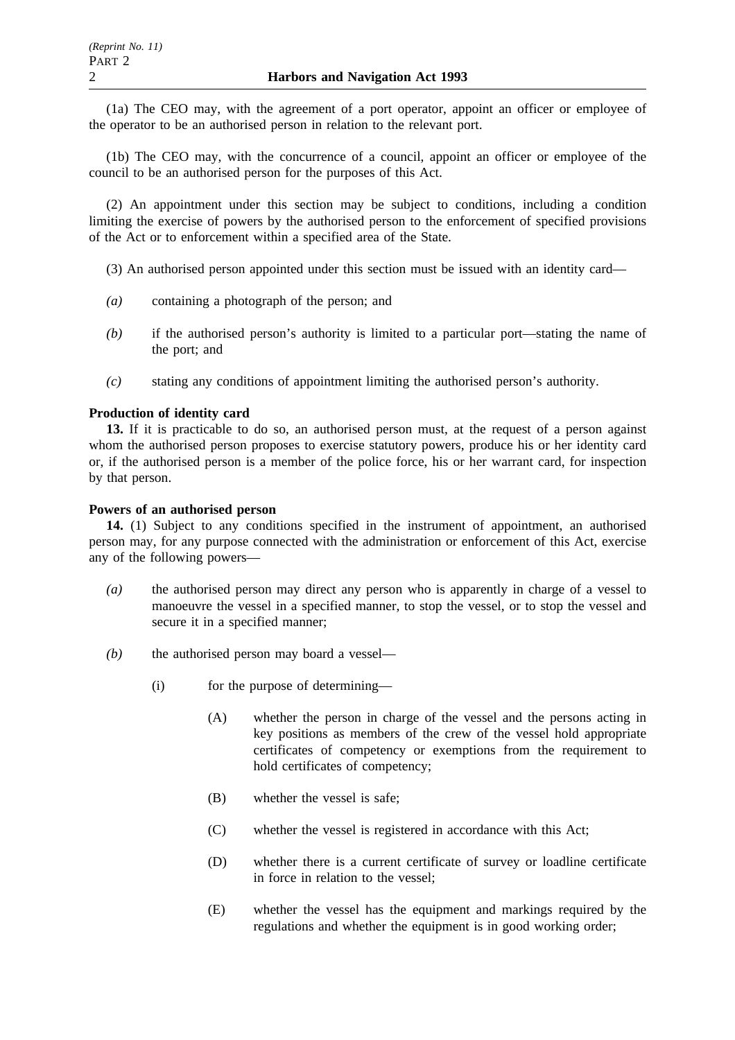(1a) The CEO may, with the agreement of a port operator, appoint an officer or employee of the operator to be an authorised person in relation to the relevant port.

(1b) The CEO may, with the concurrence of a council, appoint an officer or employee of the council to be an authorised person for the purposes of this Act.

(2) An appointment under this section may be subject to conditions, including a condition limiting the exercise of powers by the authorised person to the enforcement of specified provisions of the Act or to enforcement within a specified area of the State.

- (3) An authorised person appointed under this section must be issued with an identity card—
- *(a)* containing a photograph of the person; and
- *(b)* if the authorised person's authority is limited to a particular port—stating the name of the port; and
- *(c)* stating any conditions of appointment limiting the authorised person's authority.

#### **Production of identity card**

**13.** If it is practicable to do so, an authorised person must, at the request of a person against whom the authorised person proposes to exercise statutory powers, produce his or her identity card or, if the authorised person is a member of the police force, his or her warrant card, for inspection by that person.

#### **Powers of an authorised person**

**14.** (1) Subject to any conditions specified in the instrument of appointment, an authorised person may, for any purpose connected with the administration or enforcement of this Act, exercise any of the following powers—

- *(a)* the authorised person may direct any person who is apparently in charge of a vessel to manoeuvre the vessel in a specified manner, to stop the vessel, or to stop the vessel and secure it in a specified manner;
- *(b)* the authorised person may board a vessel—
	- (i) for the purpose of determining—
		- (A) whether the person in charge of the vessel and the persons acting in key positions as members of the crew of the vessel hold appropriate certificates of competency or exemptions from the requirement to hold certificates of competency;
		- (B) whether the vessel is safe;
		- (C) whether the vessel is registered in accordance with this Act;
		- (D) whether there is a current certificate of survey or loadline certificate in force in relation to the vessel;
		- (E) whether the vessel has the equipment and markings required by the regulations and whether the equipment is in good working order;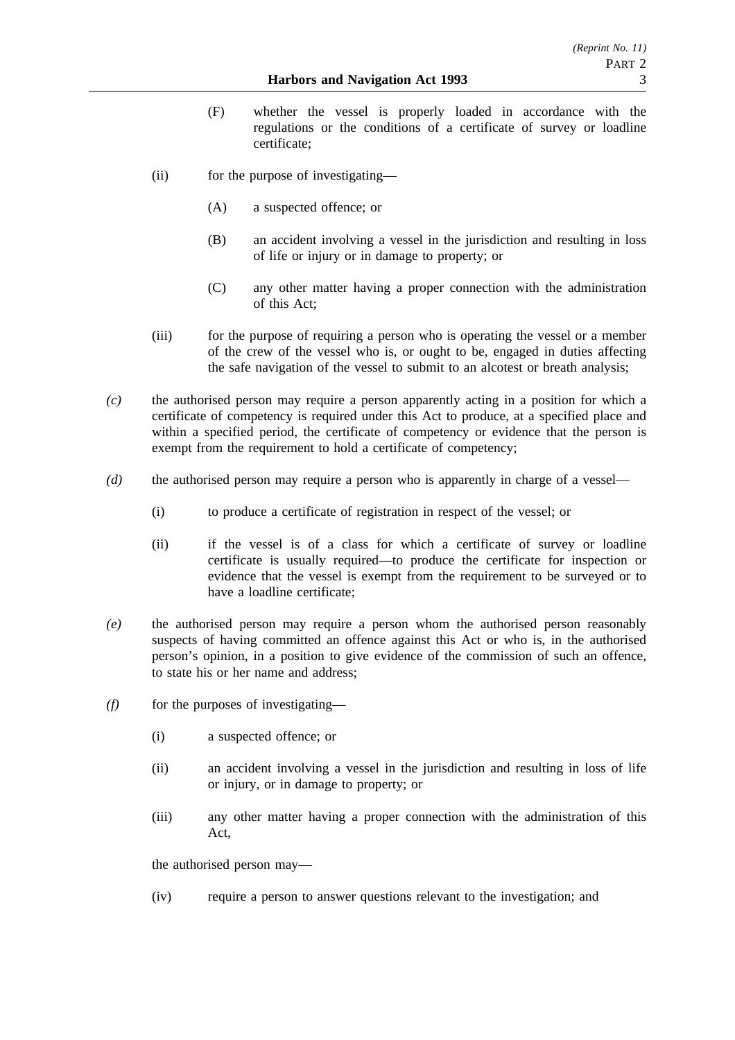- (F) whether the vessel is properly loaded in accordance with the regulations or the conditions of a certificate of survey or loadline certificate;
- (ii) for the purpose of investigating—
	- (A) a suspected offence; or
	- (B) an accident involving a vessel in the jurisdiction and resulting in loss of life or injury or in damage to property; or
	- (C) any other matter having a proper connection with the administration of this Act;
- (iii) for the purpose of requiring a person who is operating the vessel or a member of the crew of the vessel who is, or ought to be, engaged in duties affecting the safe navigation of the vessel to submit to an alcotest or breath analysis;
- *(c)* the authorised person may require a person apparently acting in a position for which a certificate of competency is required under this Act to produce, at a specified place and within a specified period, the certificate of competency or evidence that the person is exempt from the requirement to hold a certificate of competency;
- *(d)* the authorised person may require a person who is apparently in charge of a vessel—
	- (i) to produce a certificate of registration in respect of the vessel; or
	- (ii) if the vessel is of a class for which a certificate of survey or loadline certificate is usually required—to produce the certificate for inspection or evidence that the vessel is exempt from the requirement to be surveyed or to have a loadline certificate;
- *(e)* the authorised person may require a person whom the authorised person reasonably suspects of having committed an offence against this Act or who is, in the authorised person's opinion, in a position to give evidence of the commission of such an offence, to state his or her name and address;
- *(f)* for the purposes of investigating—
	- (i) a suspected offence; or
	- (ii) an accident involving a vessel in the jurisdiction and resulting in loss of life or injury, or in damage to property; or
	- (iii) any other matter having a proper connection with the administration of this Act,

the authorised person may—

(iv) require a person to answer questions relevant to the investigation; and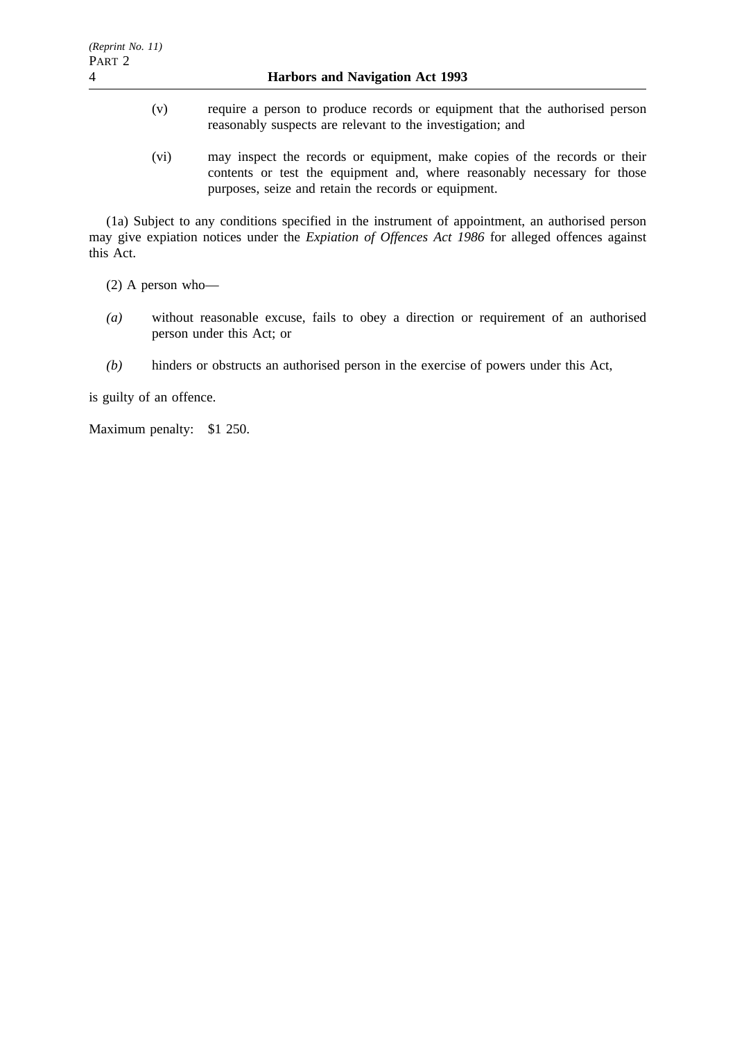- (v) require a person to produce records or equipment that the authorised person reasonably suspects are relevant to the investigation; and
- (vi) may inspect the records or equipment, make copies of the records or their contents or test the equipment and, where reasonably necessary for those purposes, seize and retain the records or equipment.

(1a) Subject to any conditions specified in the instrument of appointment, an authorised person may give expiation notices under the *Expiation of Offences Act 1986* for alleged offences against this Act.

(2) A person who—

- *(a)* without reasonable excuse, fails to obey a direction or requirement of an authorised person under this Act; or
- *(b)* hinders or obstructs an authorised person in the exercise of powers under this Act,

is guilty of an offence.

Maximum penalty: \$1 250.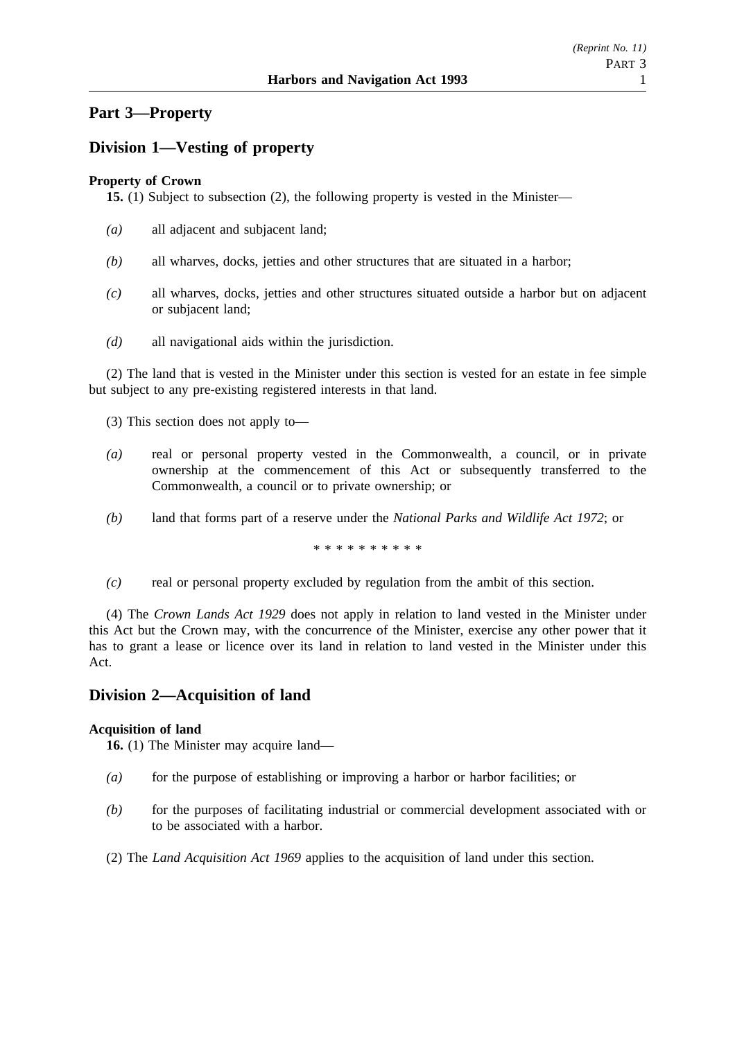# **Part 3—Property**

# **Division 1—Vesting of property**

### **Property of Crown**

**15.** (1) Subject to subsection (2), the following property is vested in the Minister—

- *(a)* all adjacent and subjacent land;
- *(b)* all wharves, docks, jetties and other structures that are situated in a harbor;
- *(c)* all wharves, docks, jetties and other structures situated outside a harbor but on adjacent or subjacent land;
- *(d)* all navigational aids within the jurisdiction.

(2) The land that is vested in the Minister under this section is vested for an estate in fee simple but subject to any pre-existing registered interests in that land.

(3) This section does not apply to—

- *(a)* real or personal property vested in the Commonwealth, a council, or in private ownership at the commencement of this Act or subsequently transferred to the Commonwealth, a council or to private ownership; or
- *(b)* land that forms part of a reserve under the *National Parks and Wildlife Act 1972*; or

\*\*\*\*\*\*\*\*\*\*

*(c)* real or personal property excluded by regulation from the ambit of this section.

(4) The *Crown Lands Act 1929* does not apply in relation to land vested in the Minister under this Act but the Crown may, with the concurrence of the Minister, exercise any other power that it has to grant a lease or licence over its land in relation to land vested in the Minister under this Act.

# **Division 2—Acquisition of land**

#### **Acquisition of land**

**16.** (1) The Minister may acquire land—

- *(a)* for the purpose of establishing or improving a harbor or harbor facilities; or
- *(b)* for the purposes of facilitating industrial or commercial development associated with or to be associated with a harbor.
- (2) The *Land Acquisition Act 1969* applies to the acquisition of land under this section.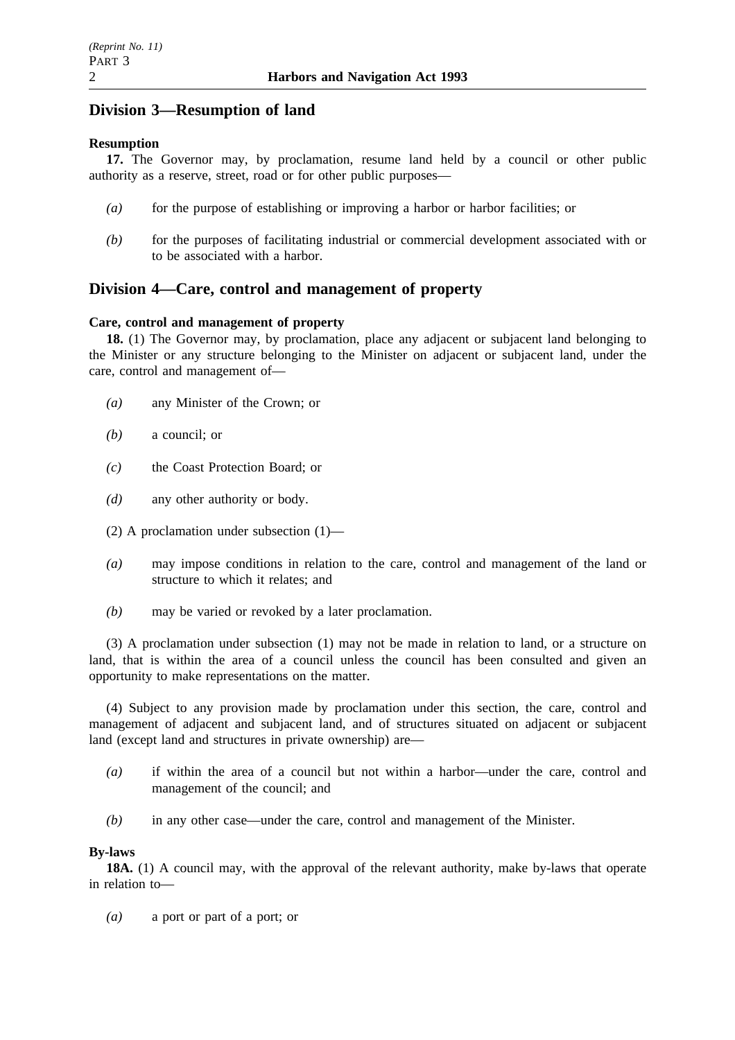# **Division 3—Resumption of land**

#### **Resumption**

**17.** The Governor may, by proclamation, resume land held by a council or other public authority as a reserve, street, road or for other public purposes—

- *(a)* for the purpose of establishing or improving a harbor or harbor facilities; or
- *(b)* for the purposes of facilitating industrial or commercial development associated with or to be associated with a harbor.

# **Division 4—Care, control and management of property**

#### **Care, control and management of property**

**18.** (1) The Governor may, by proclamation, place any adjacent or subjacent land belonging to the Minister or any structure belonging to the Minister on adjacent or subjacent land, under the care, control and management of—

- *(a)* any Minister of the Crown; or
- *(b)* a council; or
- *(c)* the Coast Protection Board; or
- *(d)* any other authority or body.
- (2) A proclamation under subsection (1)—
- *(a)* may impose conditions in relation to the care, control and management of the land or structure to which it relates; and
- *(b)* may be varied or revoked by a later proclamation.

(3) A proclamation under subsection (1) may not be made in relation to land, or a structure on land, that is within the area of a council unless the council has been consulted and given an opportunity to make representations on the matter.

(4) Subject to any provision made by proclamation under this section, the care, control and management of adjacent and subjacent land, and of structures situated on adjacent or subjacent land (except land and structures in private ownership) are—

- *(a)* if within the area of a council but not within a harbor—under the care, control and management of the council; and
- *(b)* in any other case—under the care, control and management of the Minister.

#### **By-laws**

**18A.** (1) A council may, with the approval of the relevant authority, make by-laws that operate in relation to—

*(a)* a port or part of a port; or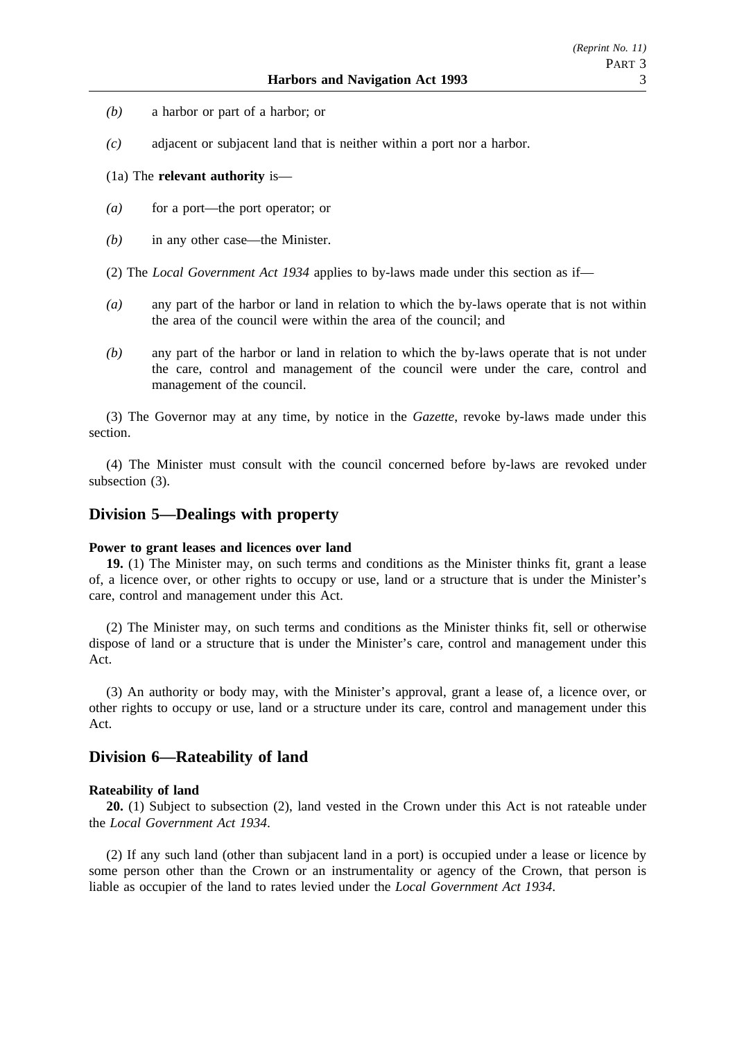- *(b)* a harbor or part of a harbor; or
- *(c)* adjacent or subjacent land that is neither within a port nor a harbor.

#### (1a) The **relevant authority** is—

- *(a)* for a port—the port operator; or
- *(b)* in any other case—the Minister.
- (2) The *Local Government Act 1934* applies to by-laws made under this section as if—
- *(a)* any part of the harbor or land in relation to which the by-laws operate that is not within the area of the council were within the area of the council; and
- *(b)* any part of the harbor or land in relation to which the by-laws operate that is not under the care, control and management of the council were under the care, control and management of the council.

(3) The Governor may at any time, by notice in the *Gazette*, revoke by-laws made under this section.

(4) The Minister must consult with the council concerned before by-laws are revoked under subsection (3).

### **Division 5—Dealings with property**

#### **Power to grant leases and licences over land**

**19.** (1) The Minister may, on such terms and conditions as the Minister thinks fit, grant a lease of, a licence over, or other rights to occupy or use, land or a structure that is under the Minister's care, control and management under this Act.

(2) The Minister may, on such terms and conditions as the Minister thinks fit, sell or otherwise dispose of land or a structure that is under the Minister's care, control and management under this Act.

(3) An authority or body may, with the Minister's approval, grant a lease of, a licence over, or other rights to occupy or use, land or a structure under its care, control and management under this Act.

### **Division 6—Rateability of land**

#### **Rateability of land**

**20.** (1) Subject to subsection (2), land vested in the Crown under this Act is not rateable under the *Local Government Act 1934*.

(2) If any such land (other than subjacent land in a port) is occupied under a lease or licence by some person other than the Crown or an instrumentality or agency of the Crown, that person is liable as occupier of the land to rates levied under the *Local Government Act 1934*.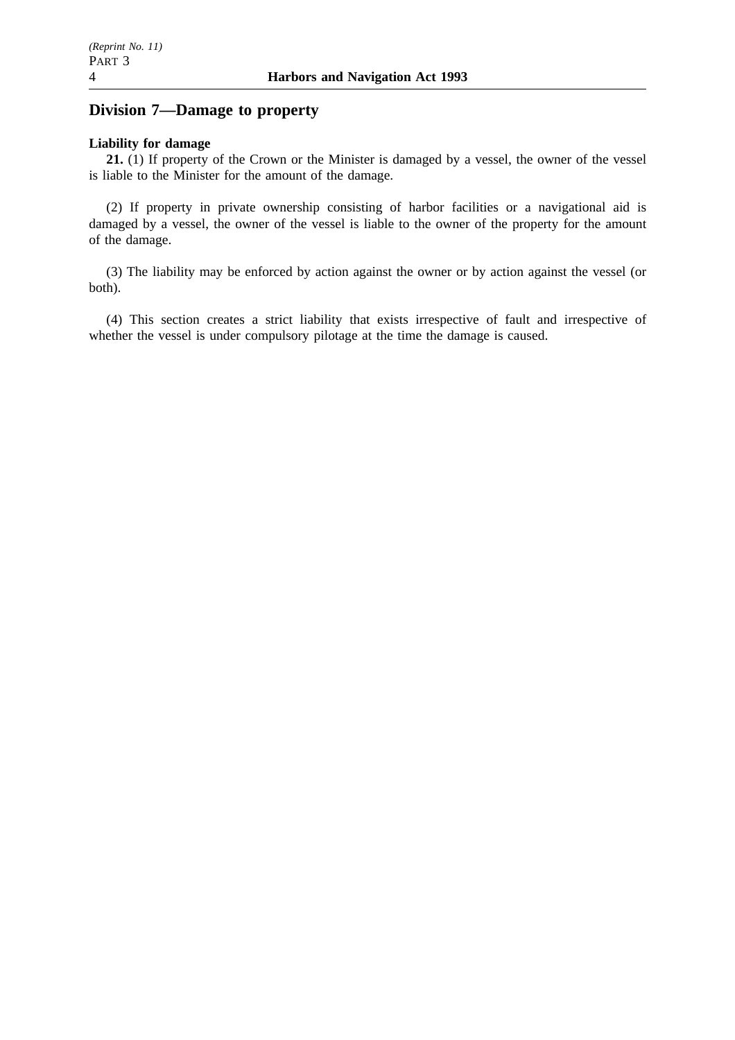# **Division 7—Damage to property**

#### **Liability for damage**

**21.** (1) If property of the Crown or the Minister is damaged by a vessel, the owner of the vessel is liable to the Minister for the amount of the damage.

(2) If property in private ownership consisting of harbor facilities or a navigational aid is damaged by a vessel, the owner of the vessel is liable to the owner of the property for the amount of the damage.

(3) The liability may be enforced by action against the owner or by action against the vessel (or both).

(4) This section creates a strict liability that exists irrespective of fault and irrespective of whether the vessel is under compulsory pilotage at the time the damage is caused.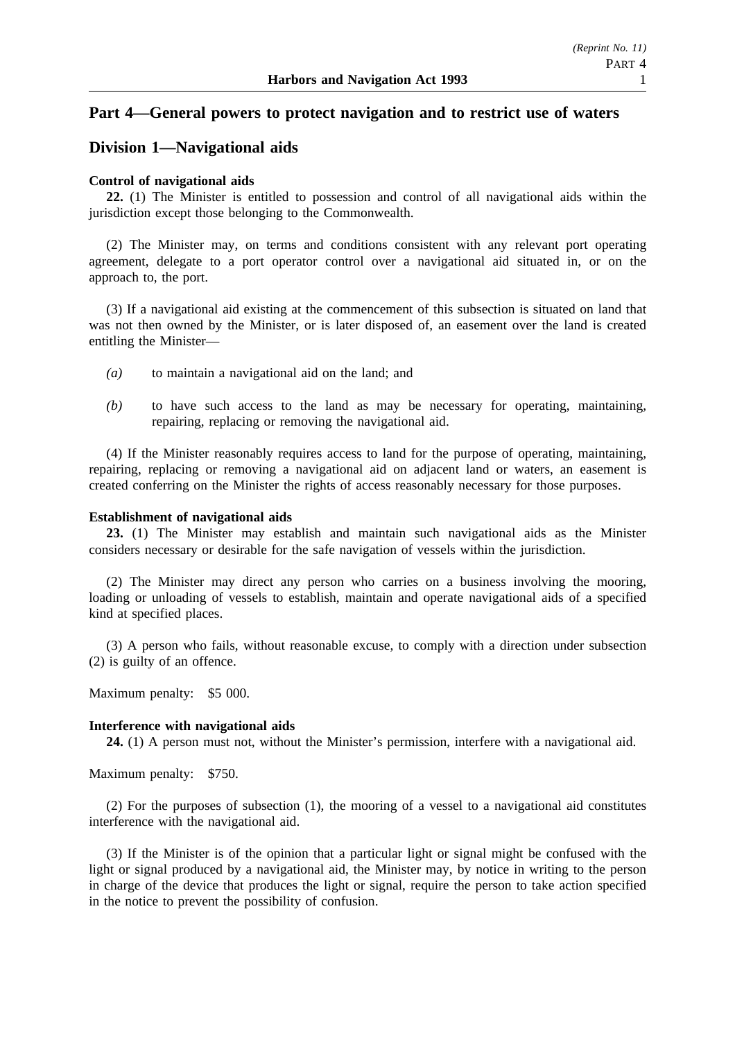### **Part 4—General powers to protect navigation and to restrict use of waters**

### **Division 1—Navigational aids**

#### **Control of navigational aids**

**22.** (1) The Minister is entitled to possession and control of all navigational aids within the jurisdiction except those belonging to the Commonwealth.

(2) The Minister may, on terms and conditions consistent with any relevant port operating agreement, delegate to a port operator control over a navigational aid situated in, or on the approach to, the port.

(3) If a navigational aid existing at the commencement of this subsection is situated on land that was not then owned by the Minister, or is later disposed of, an easement over the land is created entitling the Minister—

- *(a)* to maintain a navigational aid on the land; and
- *(b)* to have such access to the land as may be necessary for operating, maintaining, repairing, replacing or removing the navigational aid.

(4) If the Minister reasonably requires access to land for the purpose of operating, maintaining, repairing, replacing or removing a navigational aid on adjacent land or waters, an easement is created conferring on the Minister the rights of access reasonably necessary for those purposes.

#### **Establishment of navigational aids**

**23.** (1) The Minister may establish and maintain such navigational aids as the Minister considers necessary or desirable for the safe navigation of vessels within the jurisdiction.

(2) The Minister may direct any person who carries on a business involving the mooring, loading or unloading of vessels to establish, maintain and operate navigational aids of a specified kind at specified places.

(3) A person who fails, without reasonable excuse, to comply with a direction under subsection (2) is guilty of an offence.

Maximum penalty: \$5 000.

#### **Interference with navigational aids**

**24.** (1) A person must not, without the Minister's permission, interfere with a navigational aid.

Maximum penalty: \$750.

(2) For the purposes of subsection (1), the mooring of a vessel to a navigational aid constitutes interference with the navigational aid.

(3) If the Minister is of the opinion that a particular light or signal might be confused with the light or signal produced by a navigational aid, the Minister may, by notice in writing to the person in charge of the device that produces the light or signal, require the person to take action specified in the notice to prevent the possibility of confusion.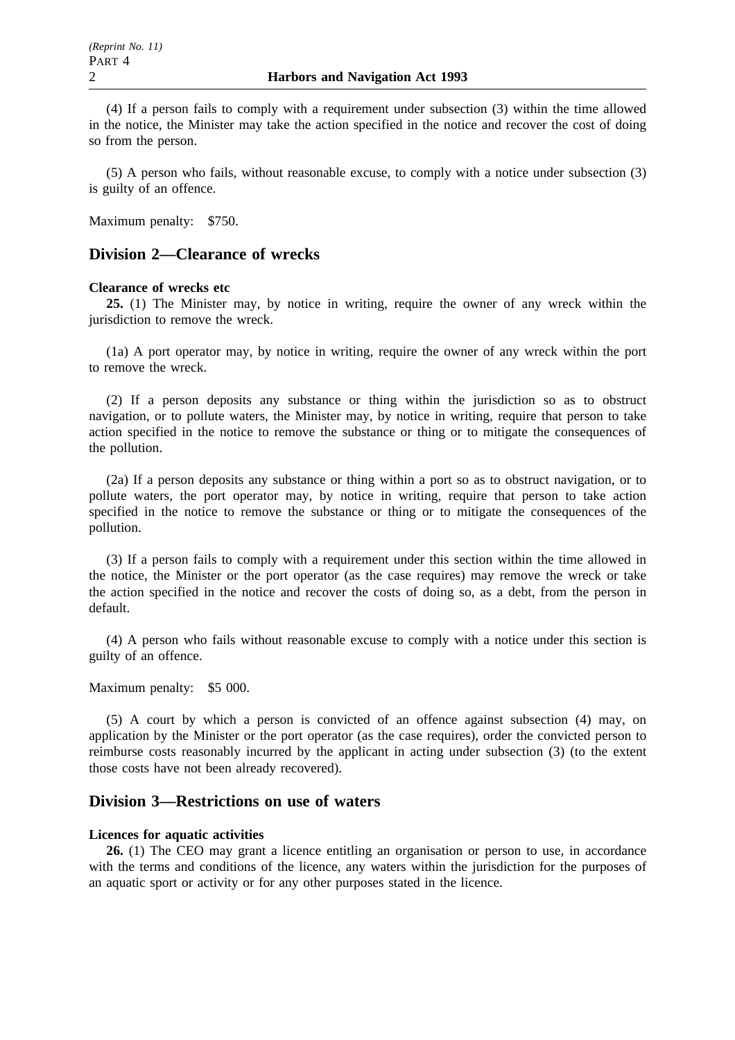(4) If a person fails to comply with a requirement under subsection (3) within the time allowed in the notice, the Minister may take the action specified in the notice and recover the cost of doing so from the person.

(5) A person who fails, without reasonable excuse, to comply with a notice under subsection (3) is guilty of an offence.

Maximum penalty: \$750.

### **Division 2—Clearance of wrecks**

#### **Clearance of wrecks etc**

**25.** (1) The Minister may, by notice in writing, require the owner of any wreck within the jurisdiction to remove the wreck.

(1a) A port operator may, by notice in writing, require the owner of any wreck within the port to remove the wreck.

(2) If a person deposits any substance or thing within the jurisdiction so as to obstruct navigation, or to pollute waters, the Minister may, by notice in writing, require that person to take action specified in the notice to remove the substance or thing or to mitigate the consequences of the pollution.

(2a) If a person deposits any substance or thing within a port so as to obstruct navigation, or to pollute waters, the port operator may, by notice in writing, require that person to take action specified in the notice to remove the substance or thing or to mitigate the consequences of the pollution.

(3) If a person fails to comply with a requirement under this section within the time allowed in the notice, the Minister or the port operator (as the case requires) may remove the wreck or take the action specified in the notice and recover the costs of doing so, as a debt, from the person in default.

(4) A person who fails without reasonable excuse to comply with a notice under this section is guilty of an offence.

Maximum penalty: \$5 000.

(5) A court by which a person is convicted of an offence against subsection (4) may, on application by the Minister or the port operator (as the case requires), order the convicted person to reimburse costs reasonably incurred by the applicant in acting under subsection (3) (to the extent those costs have not been already recovered).

#### **Division 3—Restrictions on use of waters**

#### **Licences for aquatic activities**

**26.** (1) The CEO may grant a licence entitling an organisation or person to use, in accordance with the terms and conditions of the licence, any waters within the jurisdiction for the purposes of an aquatic sport or activity or for any other purposes stated in the licence.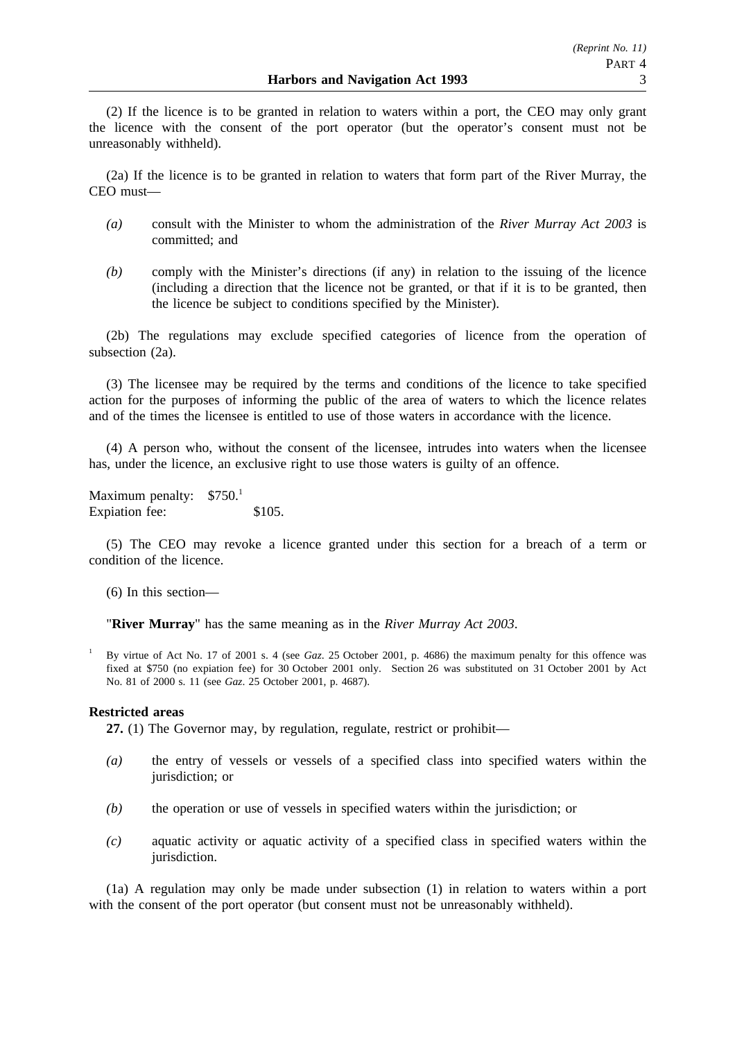(2) If the licence is to be granted in relation to waters within a port, the CEO may only grant the licence with the consent of the port operator (but the operator's consent must not be unreasonably withheld).

(2a) If the licence is to be granted in relation to waters that form part of the River Murray, the CEO must—

- *(a)* consult with the Minister to whom the administration of the *River Murray Act 2003* is committed; and
- *(b)* comply with the Minister's directions (if any) in relation to the issuing of the licence (including a direction that the licence not be granted, or that if it is to be granted, then the licence be subject to conditions specified by the Minister).

(2b) The regulations may exclude specified categories of licence from the operation of subsection (2a).

(3) The licensee may be required by the terms and conditions of the licence to take specified action for the purposes of informing the public of the area of waters to which the licence relates and of the times the licensee is entitled to use of those waters in accordance with the licence.

(4) A person who, without the consent of the licensee, intrudes into waters when the licensee has, under the licence, an exclusive right to use those waters is guilty of an offence.

Maximum penalty:  $$750<sup>1</sup>$ Expiation fee: \$105.

(5) The CEO may revoke a licence granted under this section for a breach of a term or condition of the licence.

(6) In this section—

"**River Murray**" has the same meaning as in the *River Murray Act 2003*.

<sup>1</sup> By virtue of Act No. 17 of 2001 s. 4 (see *Gaz*. 25 October 2001, p. 4686) the maximum penalty for this offence was fixed at \$750 (no expiation fee) for 30 October 2001 only. Section 26 was substituted on 31 October 2001 by Act No. 81 of 2000 s. 11 (see *Gaz*. 25 October 2001, p. 4687).

#### **Restricted areas**

**27.** (1) The Governor may, by regulation, regulate, restrict or prohibit—

- *(a)* the entry of vessels or vessels of a specified class into specified waters within the jurisdiction; or
- *(b)* the operation or use of vessels in specified waters within the jurisdiction; or
- *(c)* aquatic activity or aquatic activity of a specified class in specified waters within the jurisdiction.

(1a) A regulation may only be made under subsection (1) in relation to waters within a port with the consent of the port operator (but consent must not be unreasonably withheld).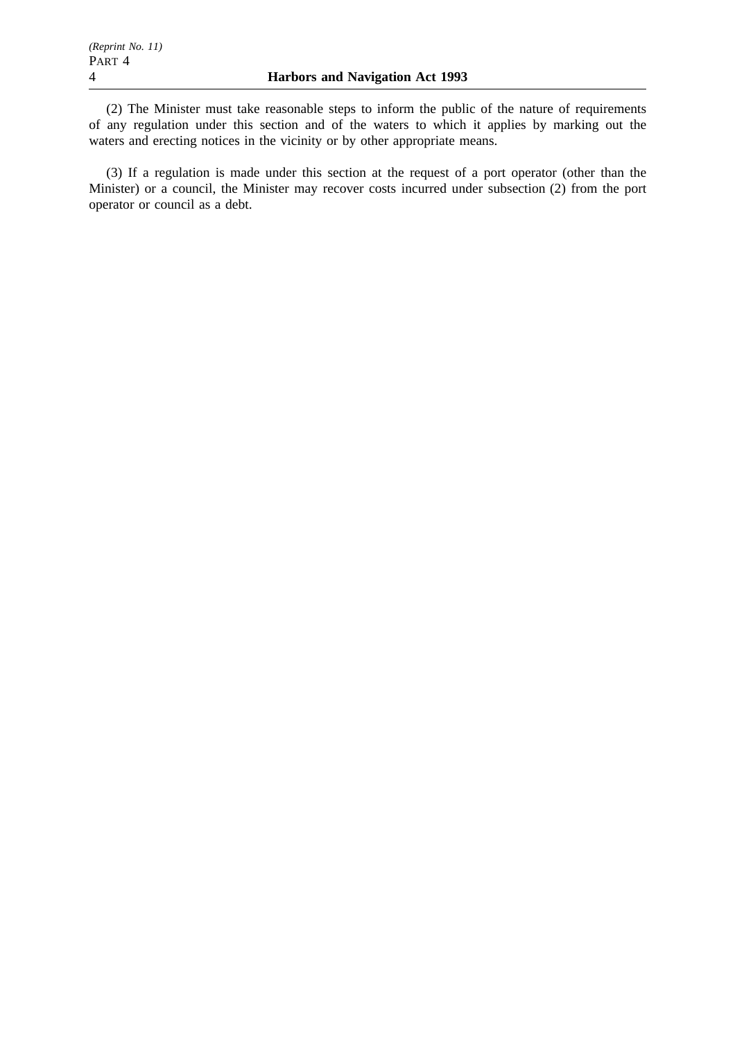(2) The Minister must take reasonable steps to inform the public of the nature of requirements of any regulation under this section and of the waters to which it applies by marking out the waters and erecting notices in the vicinity or by other appropriate means.

(3) If a regulation is made under this section at the request of a port operator (other than the Minister) or a council, the Minister may recover costs incurred under subsection (2) from the port operator or council as a debt.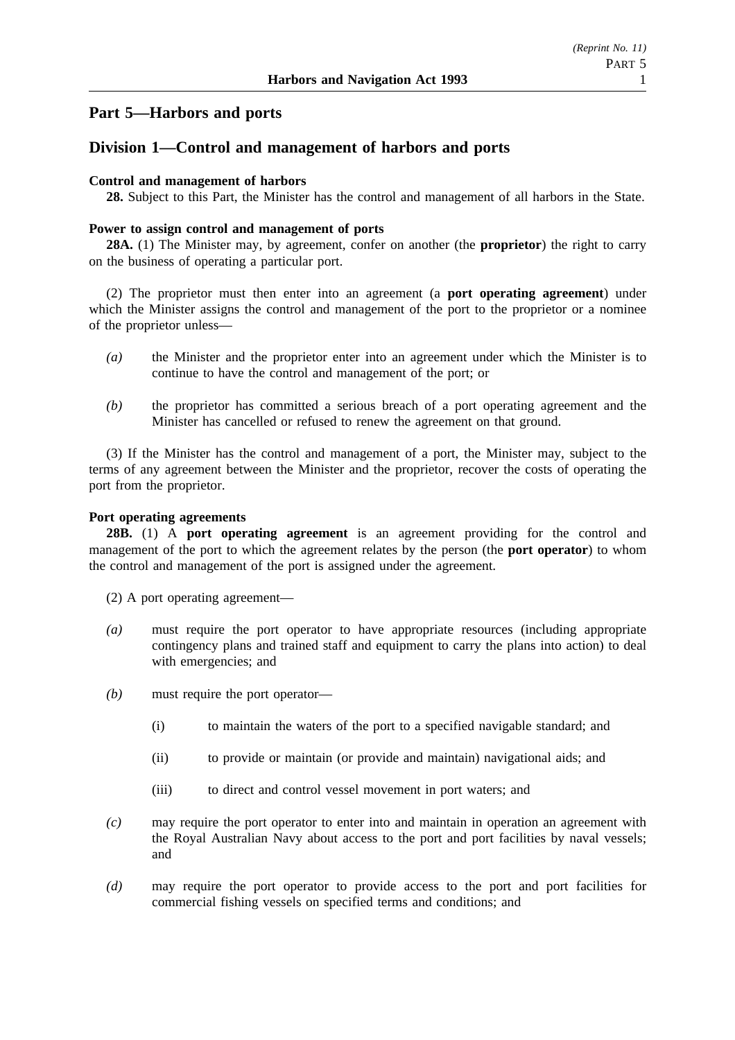# **Part 5—Harbors and ports**

# **Division 1—Control and management of harbors and ports**

#### **Control and management of harbors**

**28.** Subject to this Part, the Minister has the control and management of all harbors in the State.

#### **Power to assign control and management of ports**

**28A.** (1) The Minister may, by agreement, confer on another (the **proprietor**) the right to carry on the business of operating a particular port.

(2) The proprietor must then enter into an agreement (a **port operating agreement**) under which the Minister assigns the control and management of the port to the proprietor or a nominee of the proprietor unless—

- *(a)* the Minister and the proprietor enter into an agreement under which the Minister is to continue to have the control and management of the port; or
- *(b)* the proprietor has committed a serious breach of a port operating agreement and the Minister has cancelled or refused to renew the agreement on that ground.

(3) If the Minister has the control and management of a port, the Minister may, subject to the terms of any agreement between the Minister and the proprietor, recover the costs of operating the port from the proprietor.

#### **Port operating agreements**

**28B.** (1) A **port operating agreement** is an agreement providing for the control and management of the port to which the agreement relates by the person (the **port operator**) to whom the control and management of the port is assigned under the agreement.

(2) A port operating agreement—

- *(a)* must require the port operator to have appropriate resources (including appropriate contingency plans and trained staff and equipment to carry the plans into action) to deal with emergencies; and
- *(b)* must require the port operator—
	- (i) to maintain the waters of the port to a specified navigable standard; and
	- (ii) to provide or maintain (or provide and maintain) navigational aids; and
	- (iii) to direct and control vessel movement in port waters; and
- *(c)* may require the port operator to enter into and maintain in operation an agreement with the Royal Australian Navy about access to the port and port facilities by naval vessels; and
- *(d)* may require the port operator to provide access to the port and port facilities for commercial fishing vessels on specified terms and conditions; and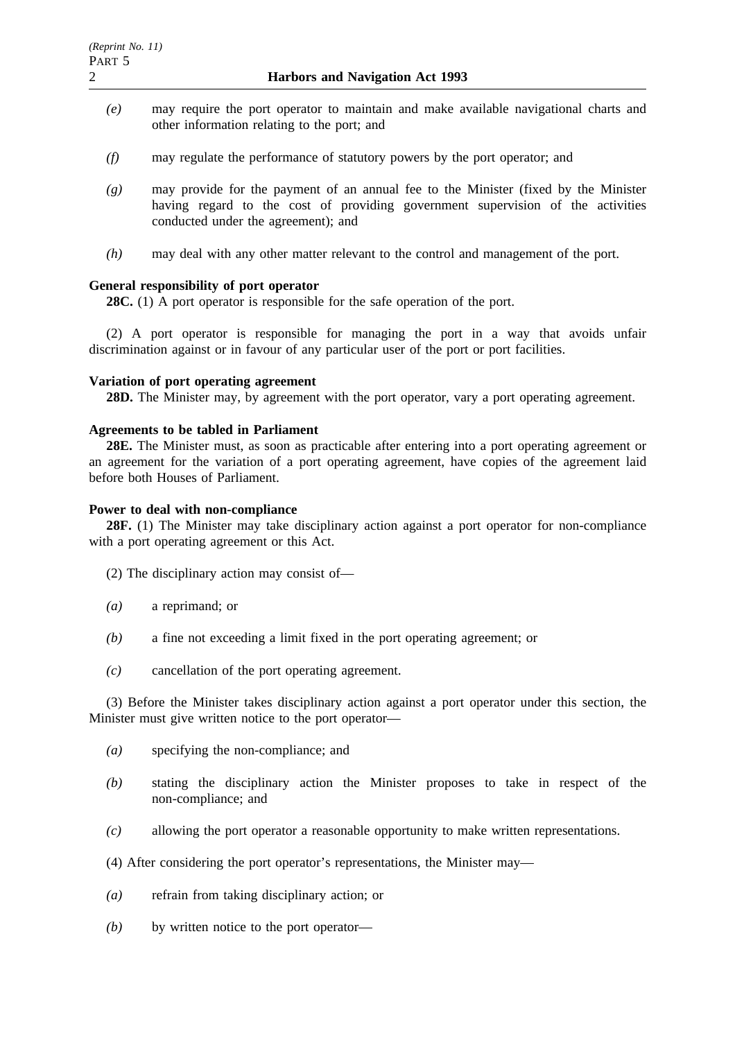- *(e)* may require the port operator to maintain and make available navigational charts and other information relating to the port; and
- *(f)* may regulate the performance of statutory powers by the port operator; and
- *(g)* may provide for the payment of an annual fee to the Minister (fixed by the Minister having regard to the cost of providing government supervision of the activities conducted under the agreement); and
- *(h)* may deal with any other matter relevant to the control and management of the port.

#### **General responsibility of port operator**

**28C.** (1) A port operator is responsible for the safe operation of the port.

(2) A port operator is responsible for managing the port in a way that avoids unfair discrimination against or in favour of any particular user of the port or port facilities.

#### **Variation of port operating agreement**

**28D.** The Minister may, by agreement with the port operator, vary a port operating agreement.

#### **Agreements to be tabled in Parliament**

**28E.** The Minister must, as soon as practicable after entering into a port operating agreement or an agreement for the variation of a port operating agreement, have copies of the agreement laid before both Houses of Parliament.

#### **Power to deal with non-compliance**

**28F.** (1) The Minister may take disciplinary action against a port operator for non-compliance with a port operating agreement or this Act.

- (2) The disciplinary action may consist of—
- *(a)* a reprimand; or
- *(b)* a fine not exceeding a limit fixed in the port operating agreement; or
- *(c)* cancellation of the port operating agreement.

(3) Before the Minister takes disciplinary action against a port operator under this section, the Minister must give written notice to the port operator—

- *(a)* specifying the non-compliance; and
- *(b)* stating the disciplinary action the Minister proposes to take in respect of the non-compliance; and
- *(c)* allowing the port operator a reasonable opportunity to make written representations.
- (4) After considering the port operator's representations, the Minister may—
- *(a)* refrain from taking disciplinary action; or
- *(b)* by written notice to the port operator—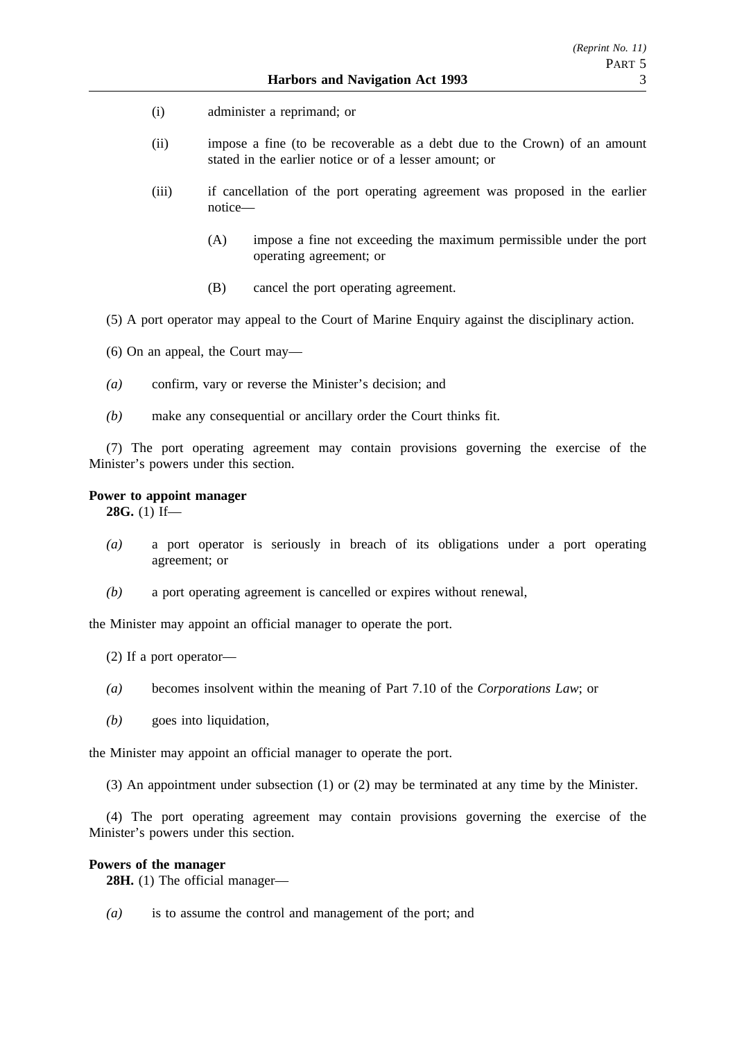- (i) administer a reprimand; or
- (ii) impose a fine (to be recoverable as a debt due to the Crown) of an amount stated in the earlier notice or of a lesser amount; or
- (iii) if cancellation of the port operating agreement was proposed in the earlier notice—
	- (A) impose a fine not exceeding the maximum permissible under the port operating agreement; or
	- (B) cancel the port operating agreement.
- (5) A port operator may appeal to the Court of Marine Enquiry against the disciplinary action.
- (6) On an appeal, the Court may—
- *(a)* confirm, vary or reverse the Minister's decision; and
- *(b)* make any consequential or ancillary order the Court thinks fit.

(7) The port operating agreement may contain provisions governing the exercise of the Minister's powers under this section.

#### **Power to appoint manager**

**28G.** (1) If—

- *(a)* a port operator is seriously in breach of its obligations under a port operating agreement; or
- *(b)* a port operating agreement is cancelled or expires without renewal,

the Minister may appoint an official manager to operate the port.

- (2) If a port operator—
- *(a)* becomes insolvent within the meaning of Part 7.10 of the *Corporations Law*; or
- *(b)* goes into liquidation,

the Minister may appoint an official manager to operate the port.

(3) An appointment under subsection (1) or (2) may be terminated at any time by the Minister.

(4) The port operating agreement may contain provisions governing the exercise of the Minister's powers under this section.

#### **Powers of the manager**

**28H.** (1) The official manager—

*(a)* is to assume the control and management of the port; and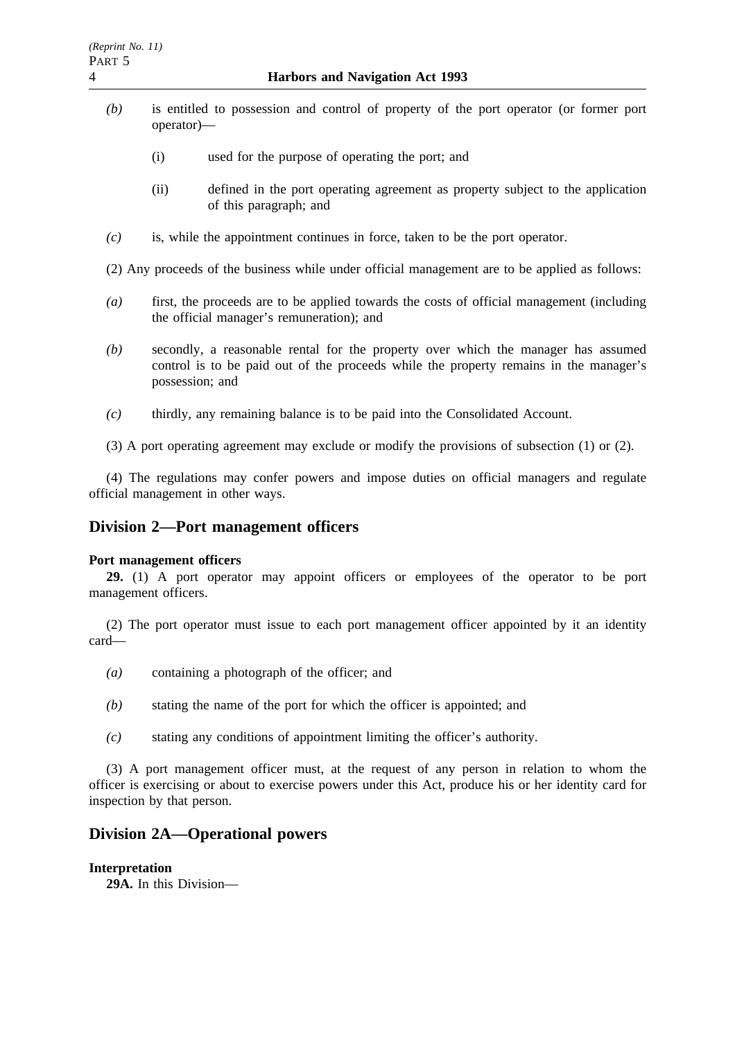- *(b)* is entitled to possession and control of property of the port operator (or former port operator)—
	- (i) used for the purpose of operating the port; and
	- (ii) defined in the port operating agreement as property subject to the application of this paragraph; and
- *(c)* is, while the appointment continues in force, taken to be the port operator.

(2) Any proceeds of the business while under official management are to be applied as follows:

- *(a)* first, the proceeds are to be applied towards the costs of official management (including the official manager's remuneration); and
- *(b)* secondly, a reasonable rental for the property over which the manager has assumed control is to be paid out of the proceeds while the property remains in the manager's possession; and
- *(c)* thirdly, any remaining balance is to be paid into the Consolidated Account.
- (3) A port operating agreement may exclude or modify the provisions of subsection (1) or (2).

(4) The regulations may confer powers and impose duties on official managers and regulate official management in other ways.

### **Division 2—Port management officers**

#### **Port management officers**

**29.** (1) A port operator may appoint officers or employees of the operator to be port management officers.

(2) The port operator must issue to each port management officer appointed by it an identity card—

- *(a)* containing a photograph of the officer; and
- *(b)* stating the name of the port for which the officer is appointed; and
- *(c)* stating any conditions of appointment limiting the officer's authority.

(3) A port management officer must, at the request of any person in relation to whom the officer is exercising or about to exercise powers under this Act, produce his or her identity card for inspection by that person.

## **Division 2A—Operational powers**

#### **Interpretation**

**29A.** In this Division—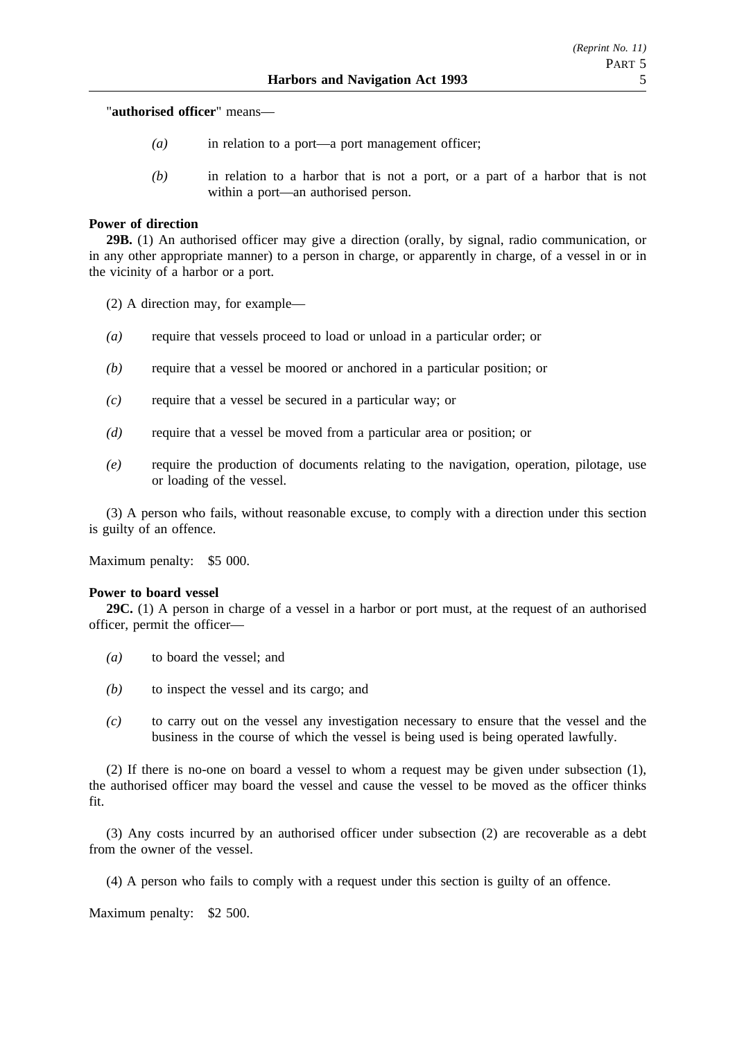"**authorised officer**" means—

- *(a)* in relation to a port—a port management officer;
- *(b)* in relation to a harbor that is not a port, or a part of a harbor that is not within a port—an authorised person.

#### **Power of direction**

**29B.** (1) An authorised officer may give a direction (orally, by signal, radio communication, or in any other appropriate manner) to a person in charge, or apparently in charge, of a vessel in or in the vicinity of a harbor or a port.

(2) A direction may, for example—

- *(a)* require that vessels proceed to load or unload in a particular order; or
- *(b)* require that a vessel be moored or anchored in a particular position; or
- *(c)* require that a vessel be secured in a particular way; or
- *(d)* require that a vessel be moved from a particular area or position; or
- *(e)* require the production of documents relating to the navigation, operation, pilotage, use or loading of the vessel.

(3) A person who fails, without reasonable excuse, to comply with a direction under this section is guilty of an offence.

Maximum penalty: \$5 000.

#### **Power to board vessel**

**29C.** (1) A person in charge of a vessel in a harbor or port must, at the request of an authorised officer, permit the officer—

- *(a)* to board the vessel; and
- *(b)* to inspect the vessel and its cargo; and
- *(c)* to carry out on the vessel any investigation necessary to ensure that the vessel and the business in the course of which the vessel is being used is being operated lawfully.

(2) If there is no-one on board a vessel to whom a request may be given under subsection (1), the authorised officer may board the vessel and cause the vessel to be moved as the officer thinks fit.

(3) Any costs incurred by an authorised officer under subsection (2) are recoverable as a debt from the owner of the vessel.

(4) A person who fails to comply with a request under this section is guilty of an offence.

Maximum penalty: \$2 500.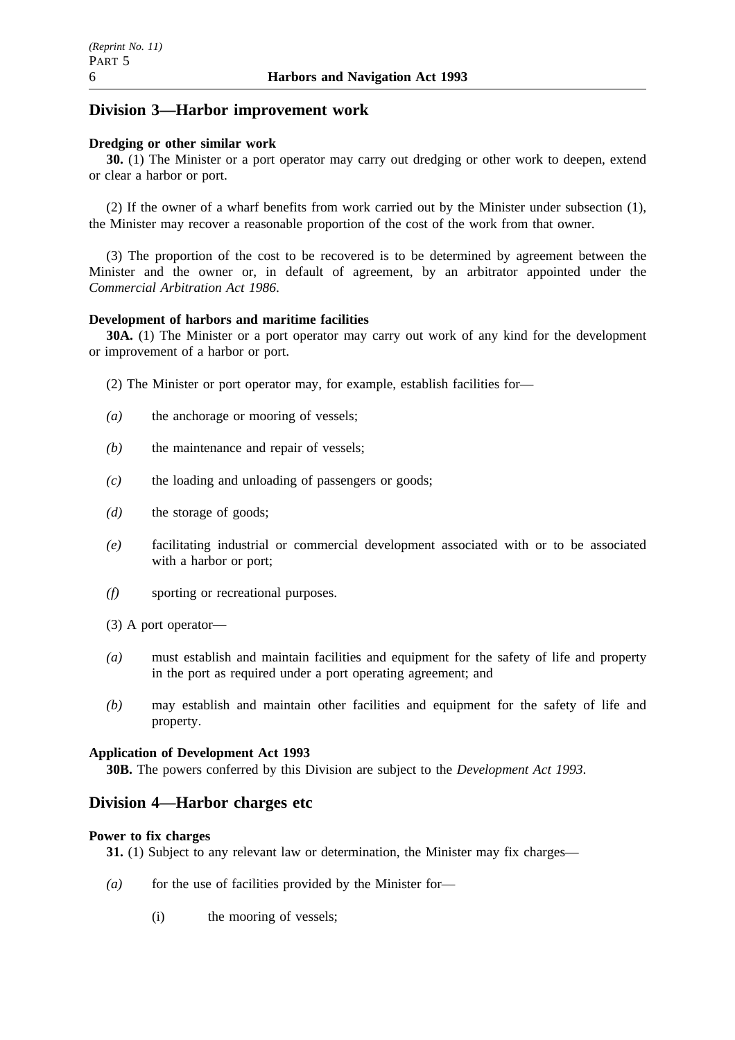# **Division 3—Harbor improvement work**

### **Dredging or other similar work**

**30.** (1) The Minister or a port operator may carry out dredging or other work to deepen, extend or clear a harbor or port.

(2) If the owner of a wharf benefits from work carried out by the Minister under subsection (1), the Minister may recover a reasonable proportion of the cost of the work from that owner.

(3) The proportion of the cost to be recovered is to be determined by agreement between the Minister and the owner or, in default of agreement, by an arbitrator appointed under the *Commercial Arbitration Act 1986*.

### **Development of harbors and maritime facilities**

**30A.** (1) The Minister or a port operator may carry out work of any kind for the development or improvement of a harbor or port.

- (2) The Minister or port operator may, for example, establish facilities for—
- *(a)* the anchorage or mooring of vessels;
- *(b)* the maintenance and repair of vessels;
- *(c)* the loading and unloading of passengers or goods;
- *(d)* the storage of goods;
- *(e)* facilitating industrial or commercial development associated with or to be associated with a harbor or port;
- *(f)* sporting or recreational purposes.
- (3) A port operator—
- *(a)* must establish and maintain facilities and equipment for the safety of life and property in the port as required under a port operating agreement; and
- *(b)* may establish and maintain other facilities and equipment for the safety of life and property.

#### **Application of Development Act 1993**

**30B.** The powers conferred by this Division are subject to the *Development Act 1993*.

### **Division 4—Harbor charges etc**

#### **Power to fix charges**

**31.** (1) Subject to any relevant law or determination, the Minister may fix charges—

- *(a)* for the use of facilities provided by the Minister for—
	- (i) the mooring of vessels;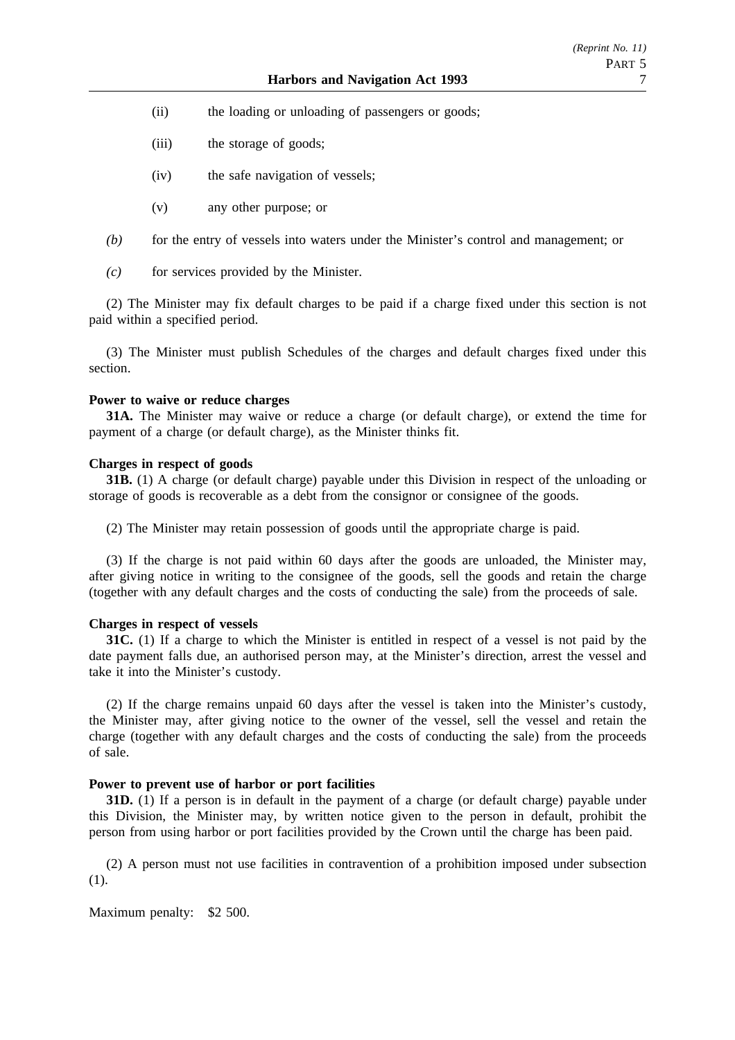- (ii) the loading or unloading of passengers or goods;
- (iii) the storage of goods;
- (iv) the safe navigation of vessels;
- (v) any other purpose; or
- *(b)* for the entry of vessels into waters under the Minister's control and management; or
- *(c)* for services provided by the Minister.

(2) The Minister may fix default charges to be paid if a charge fixed under this section is not paid within a specified period.

(3) The Minister must publish Schedules of the charges and default charges fixed under this section.

#### **Power to waive or reduce charges**

**31A.** The Minister may waive or reduce a charge (or default charge), or extend the time for payment of a charge (or default charge), as the Minister thinks fit.

#### **Charges in respect of goods**

**31B.** (1) A charge (or default charge) payable under this Division in respect of the unloading or storage of goods is recoverable as a debt from the consignor or consignee of the goods.

(2) The Minister may retain possession of goods until the appropriate charge is paid.

(3) If the charge is not paid within 60 days after the goods are unloaded, the Minister may, after giving notice in writing to the consignee of the goods, sell the goods and retain the charge (together with any default charges and the costs of conducting the sale) from the proceeds of sale.

#### **Charges in respect of vessels**

**31C.** (1) If a charge to which the Minister is entitled in respect of a vessel is not paid by the date payment falls due, an authorised person may, at the Minister's direction, arrest the vessel and take it into the Minister's custody.

(2) If the charge remains unpaid 60 days after the vessel is taken into the Minister's custody, the Minister may, after giving notice to the owner of the vessel, sell the vessel and retain the charge (together with any default charges and the costs of conducting the sale) from the proceeds of sale.

#### **Power to prevent use of harbor or port facilities**

**31D.** (1) If a person is in default in the payment of a charge (or default charge) payable under this Division, the Minister may, by written notice given to the person in default, prohibit the person from using harbor or port facilities provided by the Crown until the charge has been paid.

(2) A person must not use facilities in contravention of a prohibition imposed under subsection (1).

Maximum penalty: \$2 500.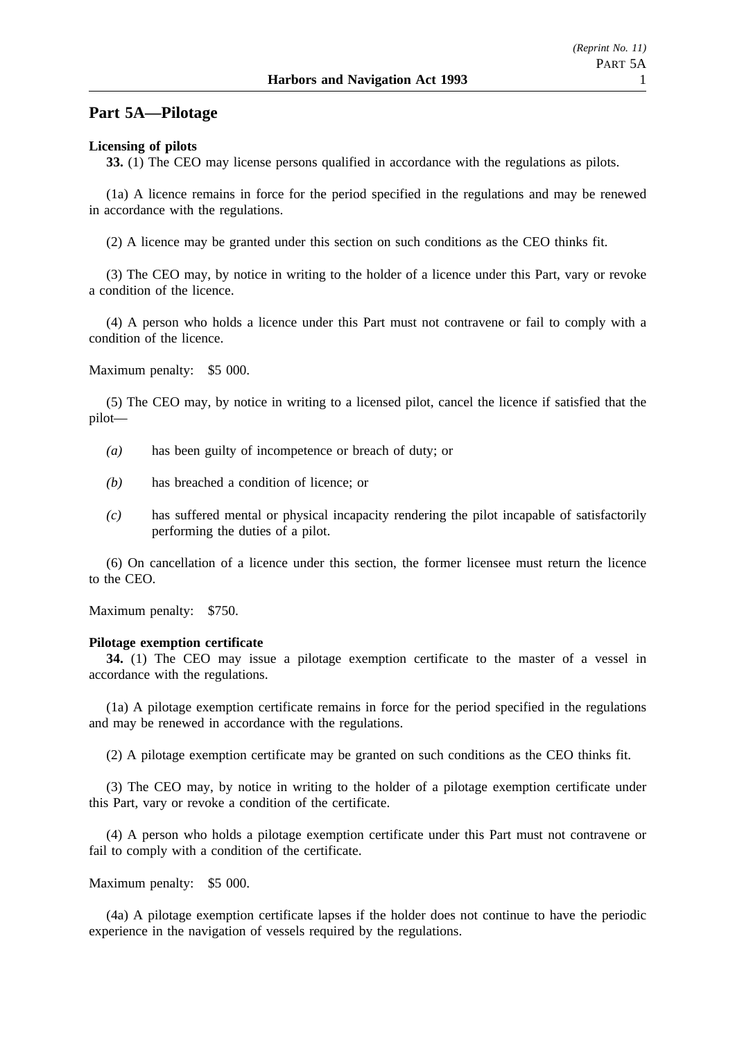### **Part 5A—Pilotage**

#### **Licensing of pilots**

**33.** (1) The CEO may license persons qualified in accordance with the regulations as pilots.

(1a) A licence remains in force for the period specified in the regulations and may be renewed in accordance with the regulations.

(2) A licence may be granted under this section on such conditions as the CEO thinks fit.

(3) The CEO may, by notice in writing to the holder of a licence under this Part, vary or revoke a condition of the licence.

(4) A person who holds a licence under this Part must not contravene or fail to comply with a condition of the licence.

Maximum penalty: \$5 000.

(5) The CEO may, by notice in writing to a licensed pilot, cancel the licence if satisfied that the pilot—

- *(a)* has been guilty of incompetence or breach of duty; or
- *(b)* has breached a condition of licence; or
- *(c)* has suffered mental or physical incapacity rendering the pilot incapable of satisfactorily performing the duties of a pilot.

(6) On cancellation of a licence under this section, the former licensee must return the licence to the CEO.

Maximum penalty: \$750.

#### **Pilotage exemption certificate**

**34.** (1) The CEO may issue a pilotage exemption certificate to the master of a vessel in accordance with the regulations.

(1a) A pilotage exemption certificate remains in force for the period specified in the regulations and may be renewed in accordance with the regulations.

(2) A pilotage exemption certificate may be granted on such conditions as the CEO thinks fit.

(3) The CEO may, by notice in writing to the holder of a pilotage exemption certificate under this Part, vary or revoke a condition of the certificate.

(4) A person who holds a pilotage exemption certificate under this Part must not contravene or fail to comply with a condition of the certificate.

Maximum penalty: \$5 000.

(4a) A pilotage exemption certificate lapses if the holder does not continue to have the periodic experience in the navigation of vessels required by the regulations.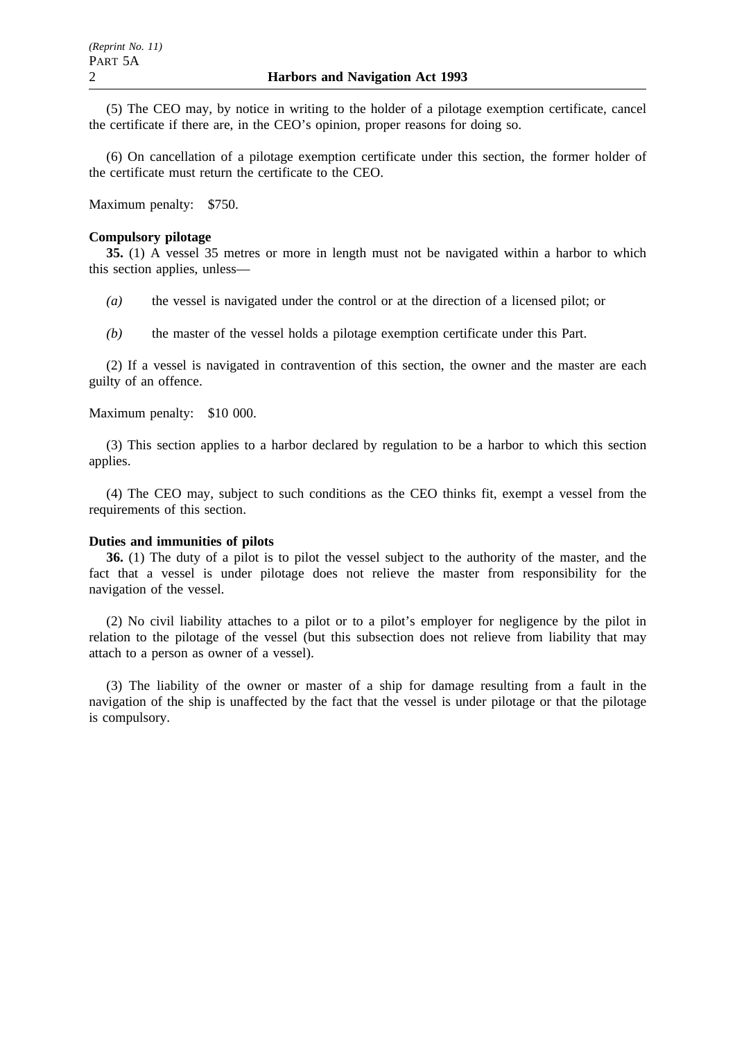(5) The CEO may, by notice in writing to the holder of a pilotage exemption certificate, cancel the certificate if there are, in the CEO's opinion, proper reasons for doing so.

(6) On cancellation of a pilotage exemption certificate under this section, the former holder of the certificate must return the certificate to the CEO.

Maximum penalty: \$750.

#### **Compulsory pilotage**

**35.** (1) A vessel 35 metres or more in length must not be navigated within a harbor to which this section applies, unless—

*(a)* the vessel is navigated under the control or at the direction of a licensed pilot; or

*(b)* the master of the vessel holds a pilotage exemption certificate under this Part.

(2) If a vessel is navigated in contravention of this section, the owner and the master are each guilty of an offence.

Maximum penalty: \$10 000.

(3) This section applies to a harbor declared by regulation to be a harbor to which this section applies.

(4) The CEO may, subject to such conditions as the CEO thinks fit, exempt a vessel from the requirements of this section.

#### **Duties and immunities of pilots**

**36.** (1) The duty of a pilot is to pilot the vessel subject to the authority of the master, and the fact that a vessel is under pilotage does not relieve the master from responsibility for the navigation of the vessel.

(2) No civil liability attaches to a pilot or to a pilot's employer for negligence by the pilot in relation to the pilotage of the vessel (but this subsection does not relieve from liability that may attach to a person as owner of a vessel).

(3) The liability of the owner or master of a ship for damage resulting from a fault in the navigation of the ship is unaffected by the fact that the vessel is under pilotage or that the pilotage is compulsory.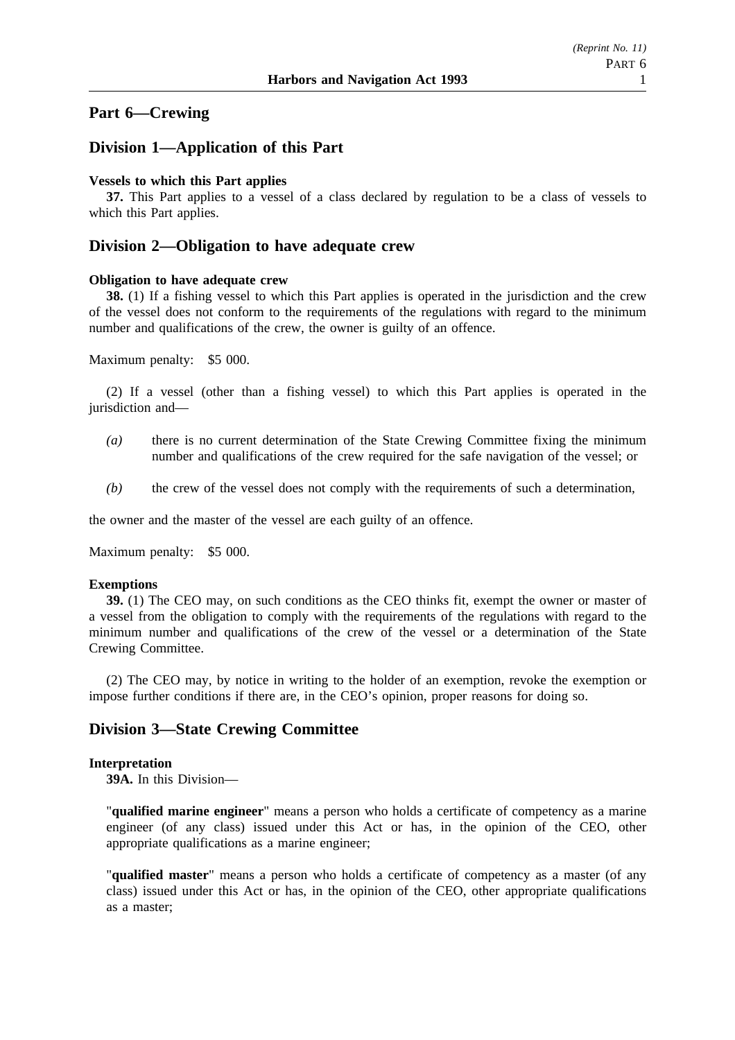# **Part 6—Crewing**

## **Division 1—Application of this Part**

#### **Vessels to which this Part applies**

**37.** This Part applies to a vessel of a class declared by regulation to be a class of vessels to which this Part applies.

### **Division 2—Obligation to have adequate crew**

#### **Obligation to have adequate crew**

**38.** (1) If a fishing vessel to which this Part applies is operated in the jurisdiction and the crew of the vessel does not conform to the requirements of the regulations with regard to the minimum number and qualifications of the crew, the owner is guilty of an offence.

Maximum penalty: \$5 000.

(2) If a vessel (other than a fishing vessel) to which this Part applies is operated in the jurisdiction and—

- *(a)* there is no current determination of the State Crewing Committee fixing the minimum number and qualifications of the crew required for the safe navigation of the vessel; or
- *(b)* the crew of the vessel does not comply with the requirements of such a determination,

the owner and the master of the vessel are each guilty of an offence.

Maximum penalty: \$5 000.

#### **Exemptions**

**39.** (1) The CEO may, on such conditions as the CEO thinks fit, exempt the owner or master of a vessel from the obligation to comply with the requirements of the regulations with regard to the minimum number and qualifications of the crew of the vessel or a determination of the State Crewing Committee.

(2) The CEO may, by notice in writing to the holder of an exemption, revoke the exemption or impose further conditions if there are, in the CEO's opinion, proper reasons for doing so.

### **Division 3—State Crewing Committee**

#### **Interpretation**

**39A.** In this Division—

"**qualified marine engineer**" means a person who holds a certificate of competency as a marine engineer (of any class) issued under this Act or has, in the opinion of the CEO, other appropriate qualifications as a marine engineer;

"**qualified master**" means a person who holds a certificate of competency as a master (of any class) issued under this Act or has, in the opinion of the CEO, other appropriate qualifications as a master;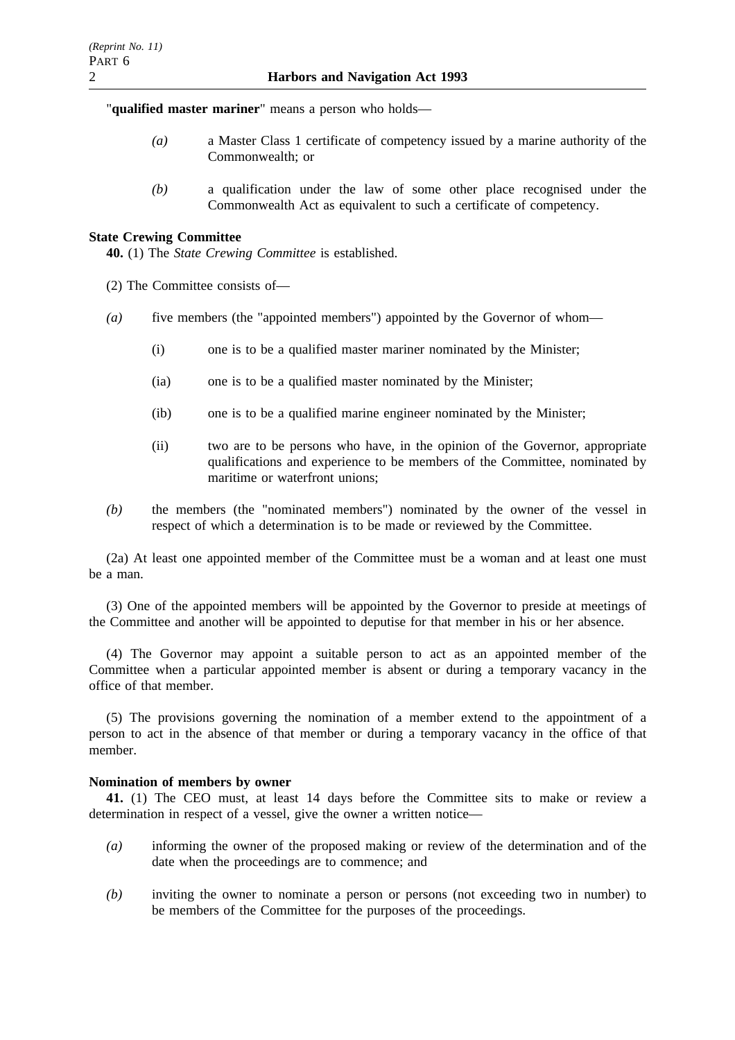"**qualified master mariner**" means a person who holds—

- *(a)* a Master Class 1 certificate of competency issued by a marine authority of the Commonwealth; or
- *(b)* a qualification under the law of some other place recognised under the Commonwealth Act as equivalent to such a certificate of competency.

### **State Crewing Committee**

**40.** (1) The *State Crewing Committee* is established.

- (2) The Committee consists of—
- *(a)* five members (the "appointed members") appointed by the Governor of whom—
	- (i) one is to be a qualified master mariner nominated by the Minister;
	- (ia) one is to be a qualified master nominated by the Minister;
	- (ib) one is to be a qualified marine engineer nominated by the Minister;
	- (ii) two are to be persons who have, in the opinion of the Governor, appropriate qualifications and experience to be members of the Committee, nominated by maritime or waterfront unions;
- *(b)* the members (the "nominated members") nominated by the owner of the vessel in respect of which a determination is to be made or reviewed by the Committee.

(2a) At least one appointed member of the Committee must be a woman and at least one must be a man.

(3) One of the appointed members will be appointed by the Governor to preside at meetings of the Committee and another will be appointed to deputise for that member in his or her absence.

(4) The Governor may appoint a suitable person to act as an appointed member of the Committee when a particular appointed member is absent or during a temporary vacancy in the office of that member.

(5) The provisions governing the nomination of a member extend to the appointment of a person to act in the absence of that member or during a temporary vacancy in the office of that member.

### **Nomination of members by owner**

**41.** (1) The CEO must, at least 14 days before the Committee sits to make or review a determination in respect of a vessel, give the owner a written notice—

- *(a)* informing the owner of the proposed making or review of the determination and of the date when the proceedings are to commence; and
- *(b)* inviting the owner to nominate a person or persons (not exceeding two in number) to be members of the Committee for the purposes of the proceedings.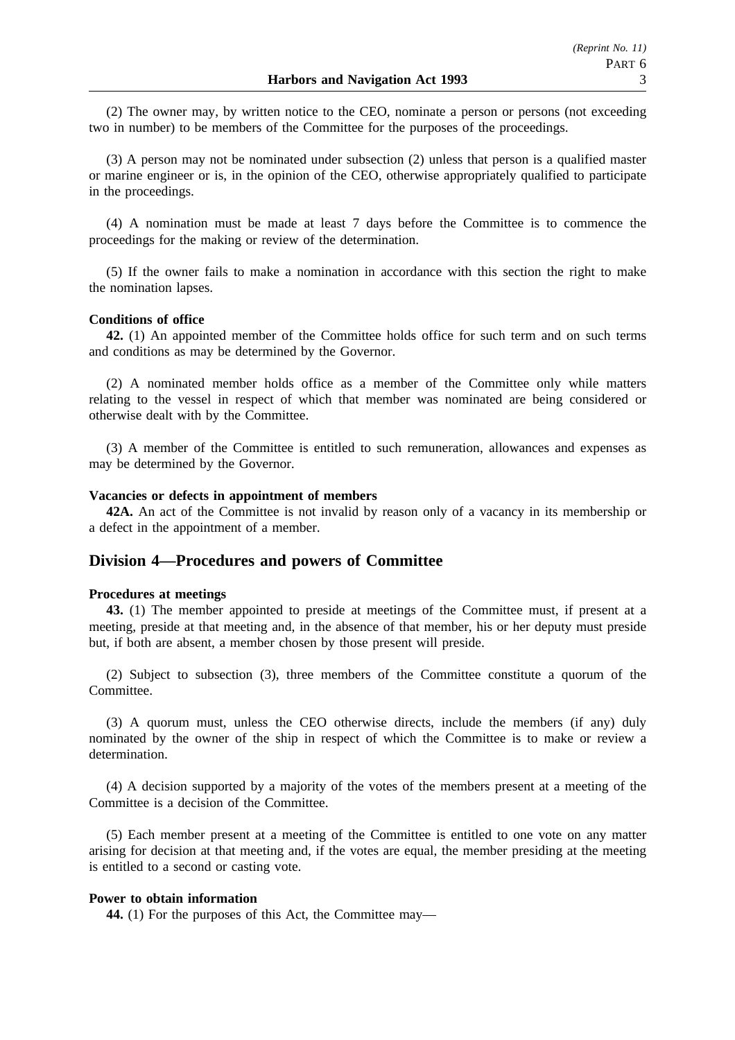(2) The owner may, by written notice to the CEO, nominate a person or persons (not exceeding two in number) to be members of the Committee for the purposes of the proceedings.

(3) A person may not be nominated under subsection (2) unless that person is a qualified master or marine engineer or is, in the opinion of the CEO, otherwise appropriately qualified to participate in the proceedings.

(4) A nomination must be made at least 7 days before the Committee is to commence the proceedings for the making or review of the determination.

(5) If the owner fails to make a nomination in accordance with this section the right to make the nomination lapses.

### **Conditions of office**

**42.** (1) An appointed member of the Committee holds office for such term and on such terms and conditions as may be determined by the Governor.

(2) A nominated member holds office as a member of the Committee only while matters relating to the vessel in respect of which that member was nominated are being considered or otherwise dealt with by the Committee.

(3) A member of the Committee is entitled to such remuneration, allowances and expenses as may be determined by the Governor.

#### **Vacancies or defects in appointment of members**

**42A.** An act of the Committee is not invalid by reason only of a vacancy in its membership or a defect in the appointment of a member.

### **Division 4—Procedures and powers of Committee**

#### **Procedures at meetings**

**43.** (1) The member appointed to preside at meetings of the Committee must, if present at a meeting, preside at that meeting and, in the absence of that member, his or her deputy must preside but, if both are absent, a member chosen by those present will preside.

(2) Subject to subsection (3), three members of the Committee constitute a quorum of the Committee.

(3) A quorum must, unless the CEO otherwise directs, include the members (if any) duly nominated by the owner of the ship in respect of which the Committee is to make or review a determination.

(4) A decision supported by a majority of the votes of the members present at a meeting of the Committee is a decision of the Committee.

(5) Each member present at a meeting of the Committee is entitled to one vote on any matter arising for decision at that meeting and, if the votes are equal, the member presiding at the meeting is entitled to a second or casting vote.

#### **Power to obtain information**

**44.** (1) For the purposes of this Act, the Committee may—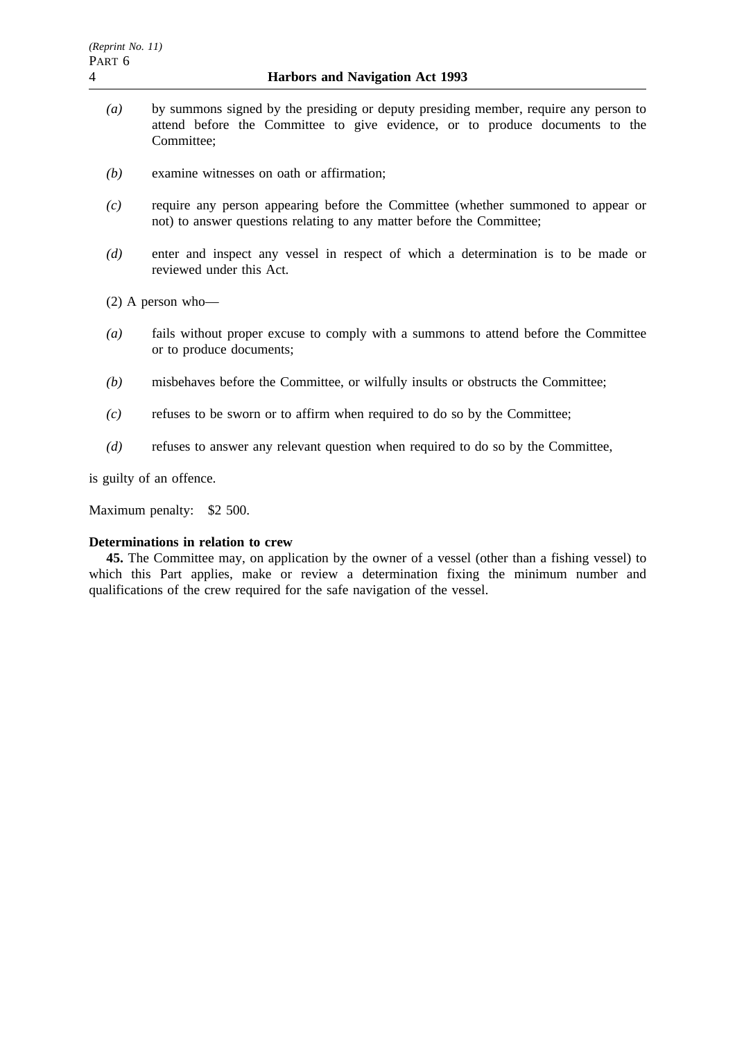- *(a)* by summons signed by the presiding or deputy presiding member, require any person to attend before the Committee to give evidence, or to produce documents to the Committee;
- *(b)* examine witnesses on oath or affirmation;
- *(c)* require any person appearing before the Committee (whether summoned to appear or not) to answer questions relating to any matter before the Committee;
- *(d)* enter and inspect any vessel in respect of which a determination is to be made or reviewed under this Act.

(2) A person who—

- *(a)* fails without proper excuse to comply with a summons to attend before the Committee or to produce documents;
- *(b)* misbehaves before the Committee, or wilfully insults or obstructs the Committee;
- *(c)* refuses to be sworn or to affirm when required to do so by the Committee;
- *(d)* refuses to answer any relevant question when required to do so by the Committee,

is guilty of an offence.

Maximum penalty: \$2 500.

### **Determinations in relation to crew**

**45.** The Committee may, on application by the owner of a vessel (other than a fishing vessel) to which this Part applies, make or review a determination fixing the minimum number and qualifications of the crew required for the safe navigation of the vessel.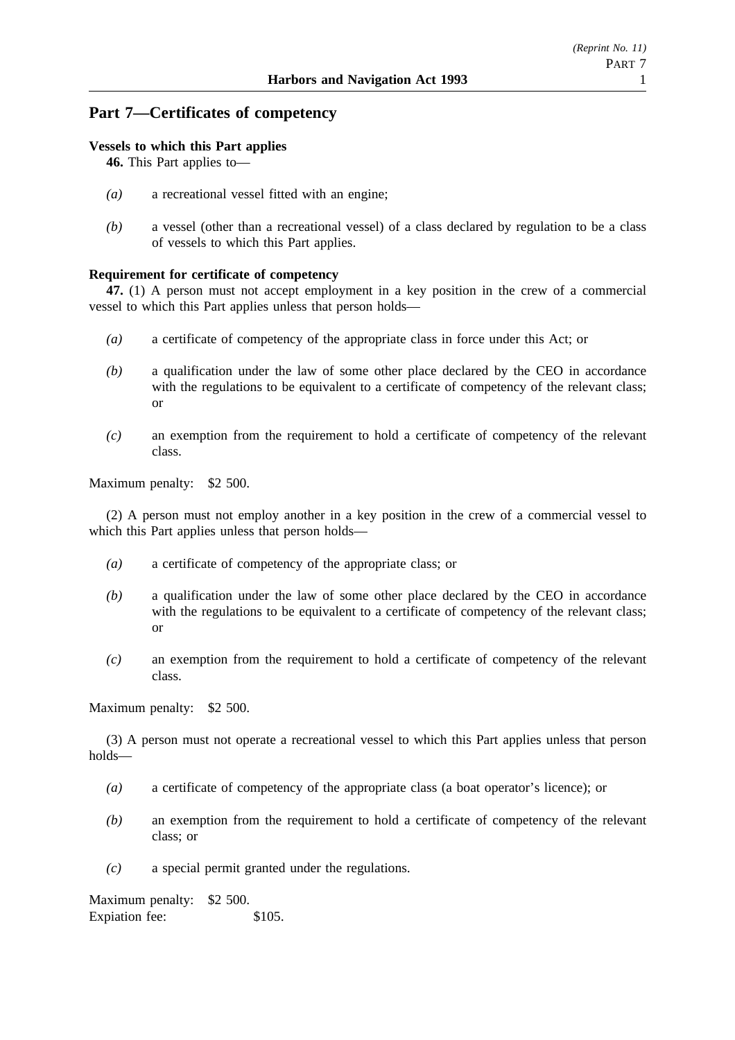## **Part 7—Certificates of competency**

### **Vessels to which this Part applies**

**46.** This Part applies to—

- *(a)* a recreational vessel fitted with an engine;
- *(b)* a vessel (other than a recreational vessel) of a class declared by regulation to be a class of vessels to which this Part applies.

### **Requirement for certificate of competency**

**47.** (1) A person must not accept employment in a key position in the crew of a commercial vessel to which this Part applies unless that person holds—

- *(a)* a certificate of competency of the appropriate class in force under this Act; or
- *(b)* a qualification under the law of some other place declared by the CEO in accordance with the regulations to be equivalent to a certificate of competency of the relevant class; or
- *(c)* an exemption from the requirement to hold a certificate of competency of the relevant class.

Maximum penalty: \$2 500.

(2) A person must not employ another in a key position in the crew of a commercial vessel to which this Part applies unless that person holds—

- *(a)* a certificate of competency of the appropriate class; or
- *(b)* a qualification under the law of some other place declared by the CEO in accordance with the regulations to be equivalent to a certificate of competency of the relevant class; or
- *(c)* an exemption from the requirement to hold a certificate of competency of the relevant class.

Maximum penalty: \$2 500.

(3) A person must not operate a recreational vessel to which this Part applies unless that person holds—

- *(a)* a certificate of competency of the appropriate class (a boat operator's licence); or
- *(b)* an exemption from the requirement to hold a certificate of competency of the relevant class; or
- *(c)* a special permit granted under the regulations.

Maximum penalty: \$2 500. Expiation fee: \$105.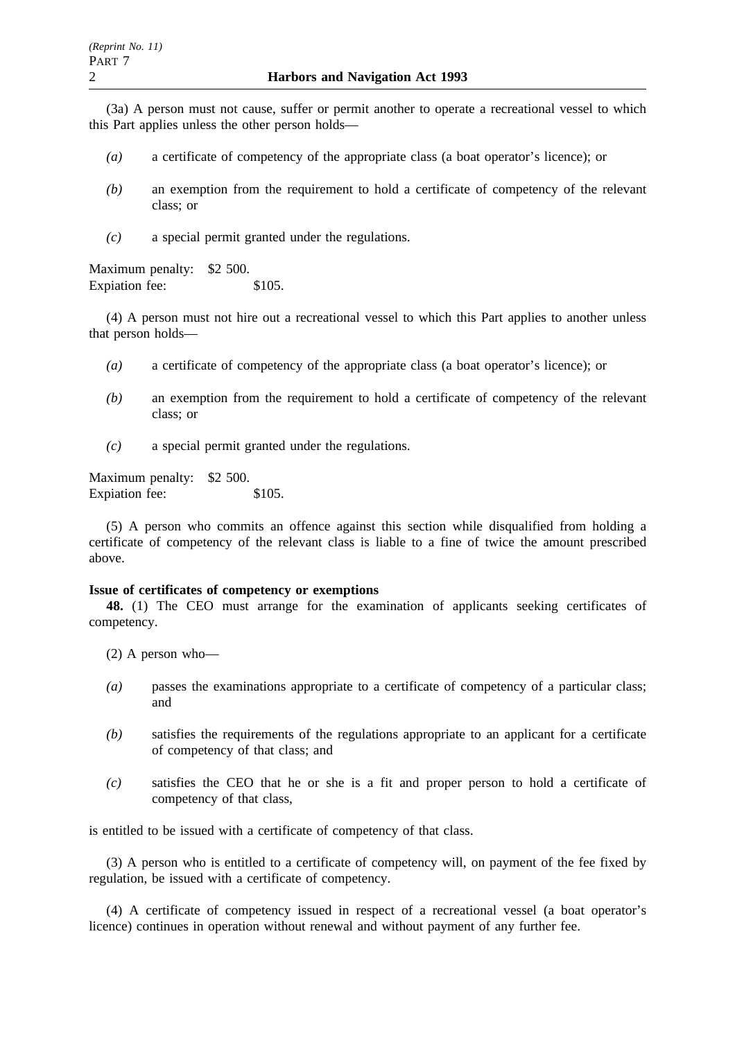(3a) A person must not cause, suffer or permit another to operate a recreational vessel to which this Part applies unless the other person holds—

- *(a)* a certificate of competency of the appropriate class (a boat operator's licence); or
- *(b)* an exemption from the requirement to hold a certificate of competency of the relevant class; or
- *(c)* a special permit granted under the regulations.

Maximum penalty: \$2 500. Expiation fee: \$105.

(4) A person must not hire out a recreational vessel to which this Part applies to another unless that person holds—

- *(a)* a certificate of competency of the appropriate class (a boat operator's licence); or
- *(b)* an exemption from the requirement to hold a certificate of competency of the relevant class; or
- *(c)* a special permit granted under the regulations.

Maximum penalty: \$2 500. Expiation fee: \$105.

(5) A person who commits an offence against this section while disqualified from holding a certificate of competency of the relevant class is liable to a fine of twice the amount prescribed above.

#### **Issue of certificates of competency or exemptions**

**48.** (1) The CEO must arrange for the examination of applicants seeking certificates of competency.

(2) A person who—

- *(a)* passes the examinations appropriate to a certificate of competency of a particular class; and
- *(b)* satisfies the requirements of the regulations appropriate to an applicant for a certificate of competency of that class; and
- *(c)* satisfies the CEO that he or she is a fit and proper person to hold a certificate of competency of that class,

is entitled to be issued with a certificate of competency of that class.

(3) A person who is entitled to a certificate of competency will, on payment of the fee fixed by regulation, be issued with a certificate of competency.

(4) A certificate of competency issued in respect of a recreational vessel (a boat operator's licence) continues in operation without renewal and without payment of any further fee.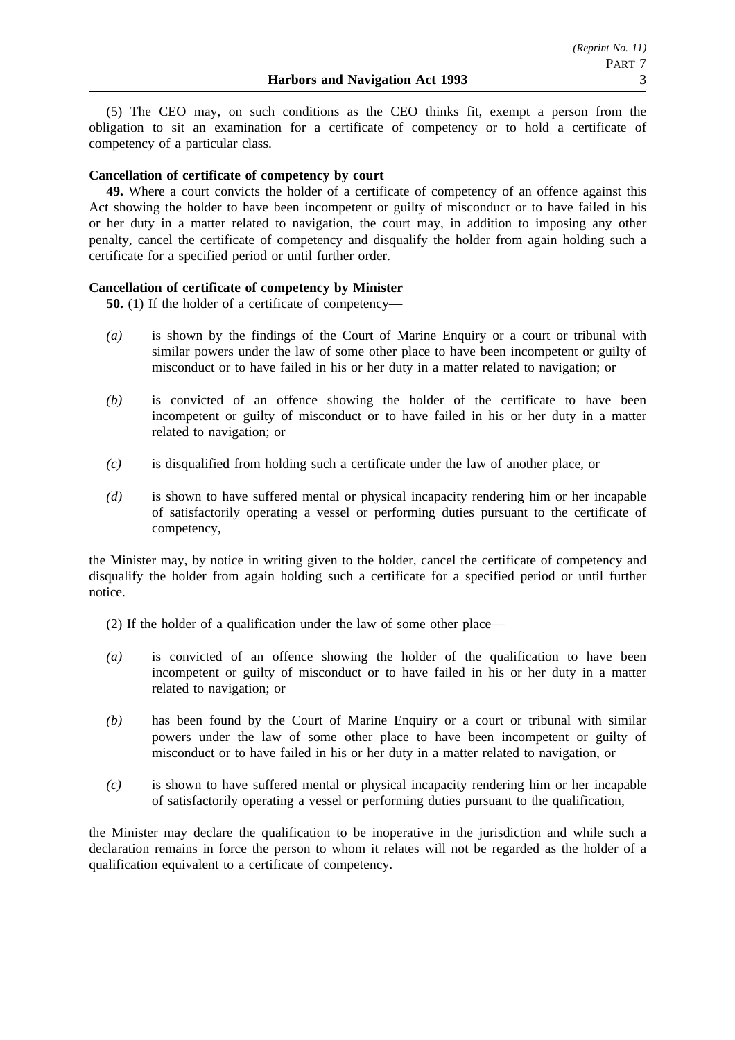(5) The CEO may, on such conditions as the CEO thinks fit, exempt a person from the obligation to sit an examination for a certificate of competency or to hold a certificate of competency of a particular class.

### **Cancellation of certificate of competency by court**

**49.** Where a court convicts the holder of a certificate of competency of an offence against this Act showing the holder to have been incompetent or guilty of misconduct or to have failed in his or her duty in a matter related to navigation, the court may, in addition to imposing any other penalty, cancel the certificate of competency and disqualify the holder from again holding such a certificate for a specified period or until further order.

### **Cancellation of certificate of competency by Minister**

**50.** (1) If the holder of a certificate of competency—

- *(a)* is shown by the findings of the Court of Marine Enquiry or a court or tribunal with similar powers under the law of some other place to have been incompetent or guilty of misconduct or to have failed in his or her duty in a matter related to navigation; or
- *(b)* is convicted of an offence showing the holder of the certificate to have been incompetent or guilty of misconduct or to have failed in his or her duty in a matter related to navigation; or
- *(c)* is disqualified from holding such a certificate under the law of another place, or
- *(d)* is shown to have suffered mental or physical incapacity rendering him or her incapable of satisfactorily operating a vessel or performing duties pursuant to the certificate of competency,

the Minister may, by notice in writing given to the holder, cancel the certificate of competency and disqualify the holder from again holding such a certificate for a specified period or until further notice.

- (2) If the holder of a qualification under the law of some other place—
- *(a)* is convicted of an offence showing the holder of the qualification to have been incompetent or guilty of misconduct or to have failed in his or her duty in a matter related to navigation; or
- *(b)* has been found by the Court of Marine Enquiry or a court or tribunal with similar powers under the law of some other place to have been incompetent or guilty of misconduct or to have failed in his or her duty in a matter related to navigation, or
- *(c)* is shown to have suffered mental or physical incapacity rendering him or her incapable of satisfactorily operating a vessel or performing duties pursuant to the qualification,

the Minister may declare the qualification to be inoperative in the jurisdiction and while such a declaration remains in force the person to whom it relates will not be regarded as the holder of a qualification equivalent to a certificate of competency.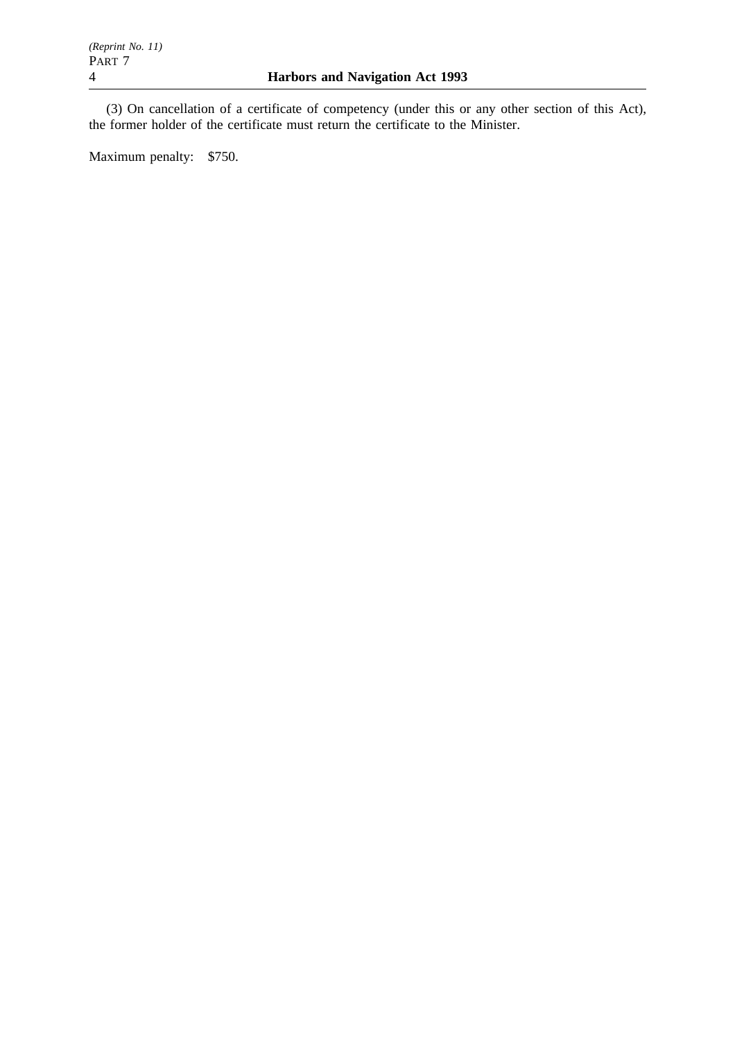(3) On cancellation of a certificate of competency (under this or any other section of this Act), the former holder of the certificate must return the certificate to the Minister.

Maximum penalty: \$750.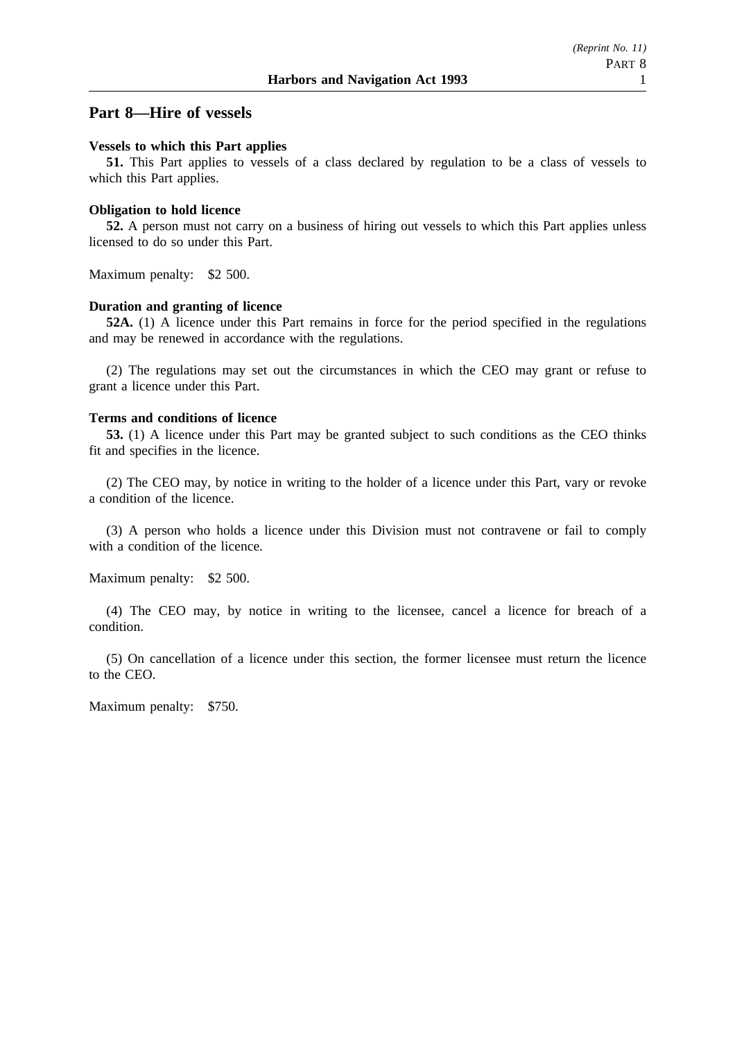## **Part 8—Hire of vessels**

### **Vessels to which this Part applies**

**51.** This Part applies to vessels of a class declared by regulation to be a class of vessels to which this Part applies.

### **Obligation to hold licence**

**52.** A person must not carry on a business of hiring out vessels to which this Part applies unless licensed to do so under this Part.

Maximum penalty: \$2 500.

### **Duration and granting of licence**

**52A.** (1) A licence under this Part remains in force for the period specified in the regulations and may be renewed in accordance with the regulations.

(2) The regulations may set out the circumstances in which the CEO may grant or refuse to grant a licence under this Part.

### **Terms and conditions of licence**

**53.** (1) A licence under this Part may be granted subject to such conditions as the CEO thinks fit and specifies in the licence.

(2) The CEO may, by notice in writing to the holder of a licence under this Part, vary or revoke a condition of the licence.

(3) A person who holds a licence under this Division must not contravene or fail to comply with a condition of the licence.

Maximum penalty: \$2 500.

(4) The CEO may, by notice in writing to the licensee, cancel a licence for breach of a condition.

(5) On cancellation of a licence under this section, the former licensee must return the licence to the CEO.

Maximum penalty: \$750.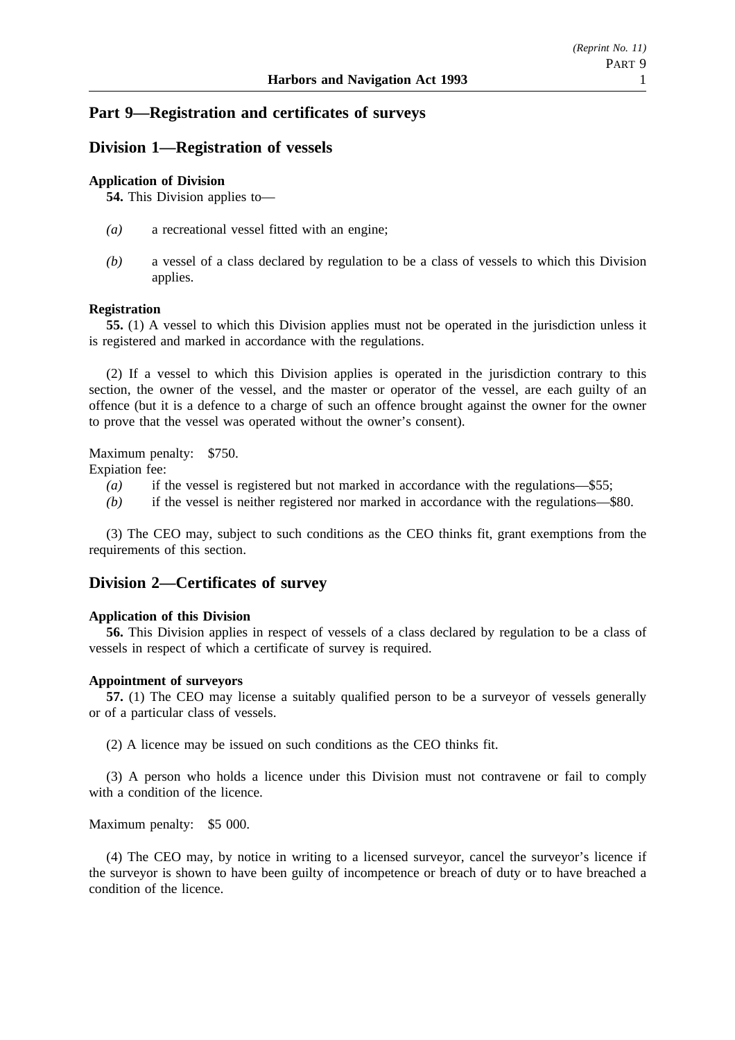## **Part 9—Registration and certificates of surveys**

## **Division 1—Registration of vessels**

### **Application of Division**

**54.** This Division applies to—

- *(a)* a recreational vessel fitted with an engine;
- *(b)* a vessel of a class declared by regulation to be a class of vessels to which this Division applies.

### **Registration**

**55.** (1) A vessel to which this Division applies must not be operated in the jurisdiction unless it is registered and marked in accordance with the regulations.

(2) If a vessel to which this Division applies is operated in the jurisdiction contrary to this section, the owner of the vessel, and the master or operator of the vessel, are each guilty of an offence (but it is a defence to a charge of such an offence brought against the owner for the owner to prove that the vessel was operated without the owner's consent).

Maximum penalty: \$750. Expiation fee:

- *(a)* if the vessel is registered but not marked in accordance with the regulations—\$55;
- *(b)* if the vessel is neither registered nor marked in accordance with the regulations—\$80.

(3) The CEO may, subject to such conditions as the CEO thinks fit, grant exemptions from the requirements of this section.

### **Division 2—Certificates of survey**

### **Application of this Division**

**56.** This Division applies in respect of vessels of a class declared by regulation to be a class of vessels in respect of which a certificate of survey is required.

#### **Appointment of surveyors**

**57.** (1) The CEO may license a suitably qualified person to be a surveyor of vessels generally or of a particular class of vessels.

(2) A licence may be issued on such conditions as the CEO thinks fit.

(3) A person who holds a licence under this Division must not contravene or fail to comply with a condition of the licence.

Maximum penalty: \$5 000.

(4) The CEO may, by notice in writing to a licensed surveyor, cancel the surveyor's licence if the surveyor is shown to have been guilty of incompetence or breach of duty or to have breached a condition of the licence.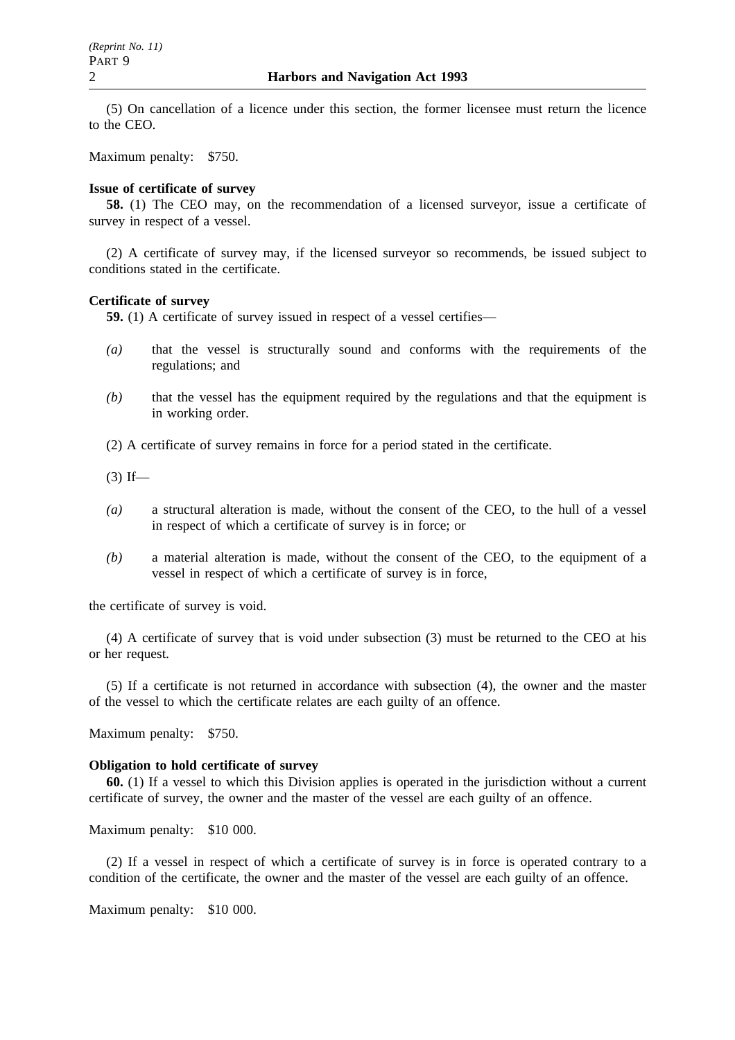(5) On cancellation of a licence under this section, the former licensee must return the licence to the CEO.

Maximum penalty: \$750.

#### **Issue of certificate of survey**

**58.** (1) The CEO may, on the recommendation of a licensed surveyor, issue a certificate of survey in respect of a vessel.

(2) A certificate of survey may, if the licensed surveyor so recommends, be issued subject to conditions stated in the certificate.

#### **Certificate of survey**

**59.** (1) A certificate of survey issued in respect of a vessel certifies—

- *(a)* that the vessel is structurally sound and conforms with the requirements of the regulations; and
- *(b)* that the vessel has the equipment required by the regulations and that the equipment is in working order.

(2) A certificate of survey remains in force for a period stated in the certificate.

 $(3)$  If—

- *(a)* a structural alteration is made, without the consent of the CEO, to the hull of a vessel in respect of which a certificate of survey is in force; or
- *(b)* a material alteration is made, without the consent of the CEO, to the equipment of a vessel in respect of which a certificate of survey is in force,

the certificate of survey is void.

(4) A certificate of survey that is void under subsection (3) must be returned to the CEO at his or her request.

(5) If a certificate is not returned in accordance with subsection (4), the owner and the master of the vessel to which the certificate relates are each guilty of an offence.

Maximum penalty: \$750.

#### **Obligation to hold certificate of survey**

**60.** (1) If a vessel to which this Division applies is operated in the jurisdiction without a current certificate of survey, the owner and the master of the vessel are each guilty of an offence.

Maximum penalty: \$10 000.

(2) If a vessel in respect of which a certificate of survey is in force is operated contrary to a condition of the certificate, the owner and the master of the vessel are each guilty of an offence.

Maximum penalty: \$10 000.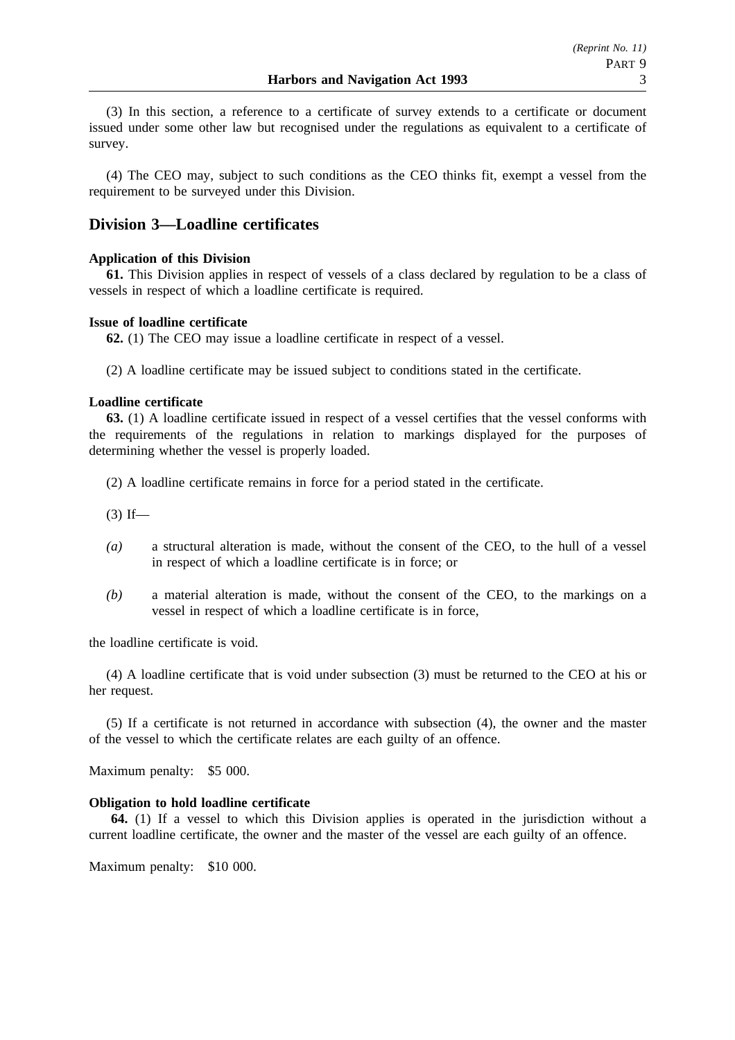(3) In this section, a reference to a certificate of survey extends to a certificate or document issued under some other law but recognised under the regulations as equivalent to a certificate of survey.

(4) The CEO may, subject to such conditions as the CEO thinks fit, exempt a vessel from the requirement to be surveyed under this Division.

## **Division 3—Loadline certificates**

### **Application of this Division**

**61.** This Division applies in respect of vessels of a class declared by regulation to be a class of vessels in respect of which a loadline certificate is required.

### **Issue of loadline certificate**

**62.** (1) The CEO may issue a loadline certificate in respect of a vessel.

(2) A loadline certificate may be issued subject to conditions stated in the certificate.

### **Loadline certificate**

**63.** (1) A loadline certificate issued in respect of a vessel certifies that the vessel conforms with the requirements of the regulations in relation to markings displayed for the purposes of determining whether the vessel is properly loaded.

(2) A loadline certificate remains in force for a period stated in the certificate.

 $(3)$  If—

- *(a)* a structural alteration is made, without the consent of the CEO, to the hull of a vessel in respect of which a loadline certificate is in force; or
- *(b)* a material alteration is made, without the consent of the CEO, to the markings on a vessel in respect of which a loadline certificate is in force,

the loadline certificate is void.

(4) A loadline certificate that is void under subsection (3) must be returned to the CEO at his or her request.

(5) If a certificate is not returned in accordance with subsection (4), the owner and the master of the vessel to which the certificate relates are each guilty of an offence.

Maximum penalty: \$5 000.

### **Obligation to hold loadline certificate**

**64.** (1) If a vessel to which this Division applies is operated in the jurisdiction without a current loadline certificate, the owner and the master of the vessel are each guilty of an offence.

Maximum penalty: \$10 000.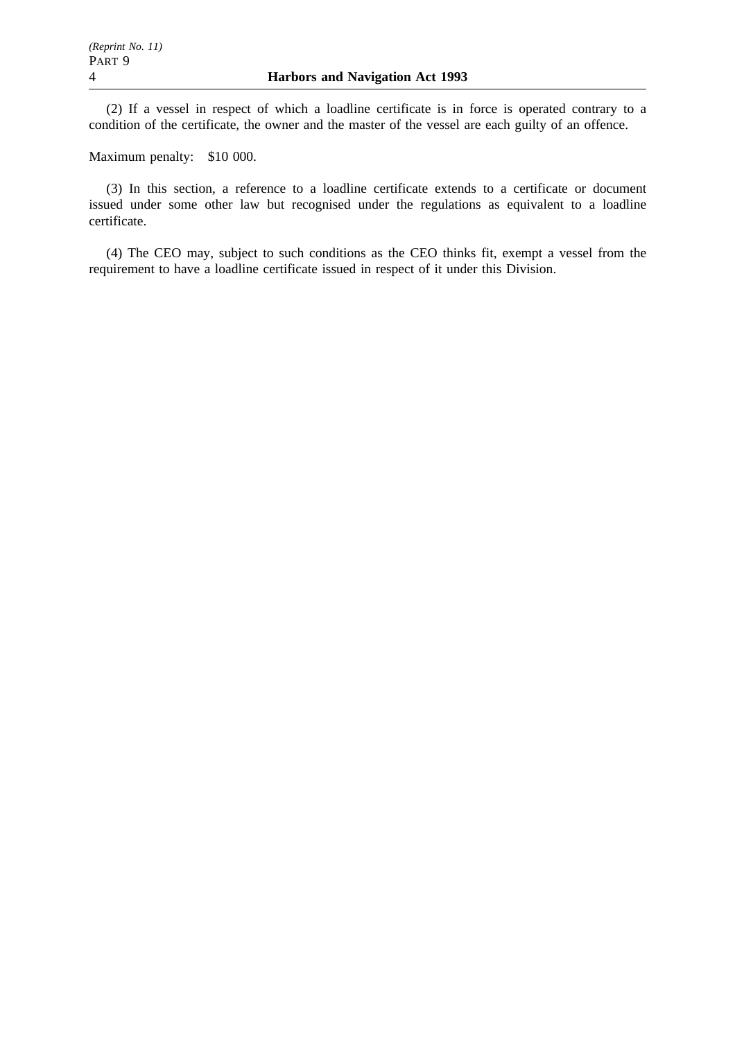(2) If a vessel in respect of which a loadline certificate is in force is operated contrary to a condition of the certificate, the owner and the master of the vessel are each guilty of an offence.

Maximum penalty: \$10 000.

(3) In this section, a reference to a loadline certificate extends to a certificate or document issued under some other law but recognised under the regulations as equivalent to a loadline certificate.

(4) The CEO may, subject to such conditions as the CEO thinks fit, exempt a vessel from the requirement to have a loadline certificate issued in respect of it under this Division.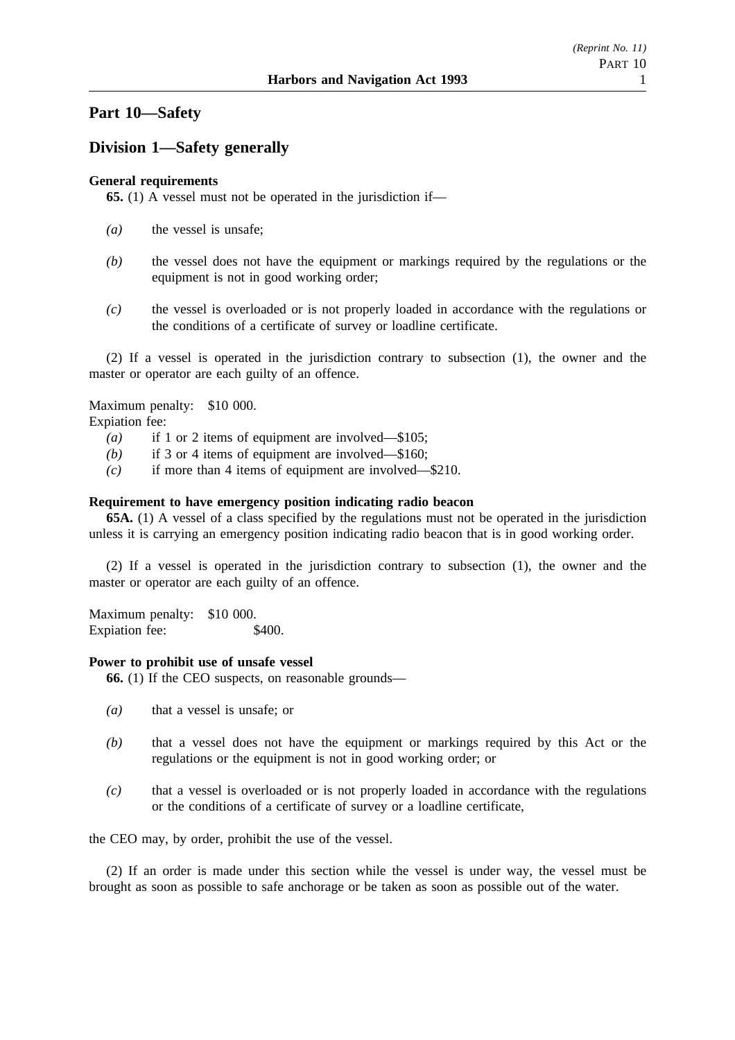## **Part 10—Safety**

## **Division 1—Safety generally**

### **General requirements**

**65.** (1) A vessel must not be operated in the jurisdiction if—

- *(a)* the vessel is unsafe;
- *(b)* the vessel does not have the equipment or markings required by the regulations or the equipment is not in good working order;
- *(c)* the vessel is overloaded or is not properly loaded in accordance with the regulations or the conditions of a certificate of survey or loadline certificate.

(2) If a vessel is operated in the jurisdiction contrary to subsection (1), the owner and the master or operator are each guilty of an offence.

Maximum penalty: \$10 000.

Expiation fee:

- *(a)* if 1 or 2 items of equipment are involved—\$105;
- *(b)* if 3 or 4 items of equipment are involved—\$160;
- *(c)* if more than 4 items of equipment are involved—\$210.

### **Requirement to have emergency position indicating radio beacon**

**65A.** (1) A vessel of a class specified by the regulations must not be operated in the jurisdiction unless it is carrying an emergency position indicating radio beacon that is in good working order.

(2) If a vessel is operated in the jurisdiction contrary to subsection (1), the owner and the master or operator are each guilty of an offence.

Maximum penalty: \$10 000. Expiation fee: \$400.

### **Power to prohibit use of unsafe vessel**

**66.** (1) If the CEO suspects, on reasonable grounds—

- *(a)* that a vessel is unsafe; or
- *(b)* that a vessel does not have the equipment or markings required by this Act or the regulations or the equipment is not in good working order; or
- *(c)* that a vessel is overloaded or is not properly loaded in accordance with the regulations or the conditions of a certificate of survey or a loadline certificate,

the CEO may, by order, prohibit the use of the vessel.

(2) If an order is made under this section while the vessel is under way, the vessel must be brought as soon as possible to safe anchorage or be taken as soon as possible out of the water.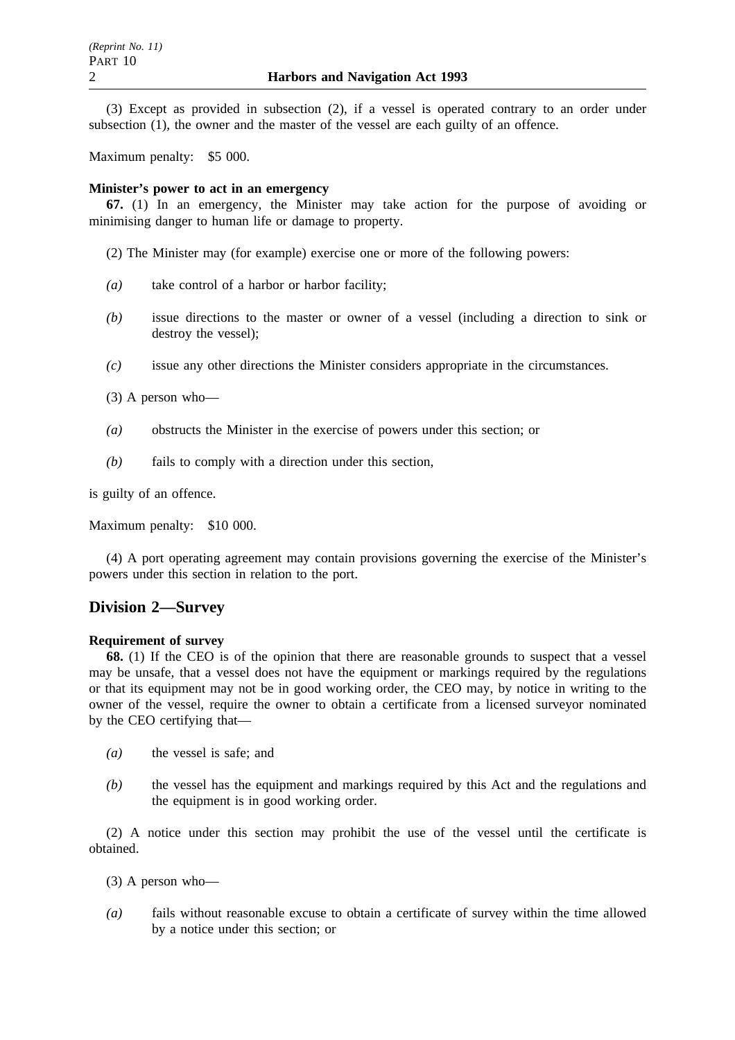(3) Except as provided in subsection (2), if a vessel is operated contrary to an order under subsection (1), the owner and the master of the vessel are each guilty of an offence.

Maximum penalty: \$5 000.

#### **Minister's power to act in an emergency**

**67.** (1) In an emergency, the Minister may take action for the purpose of avoiding or minimising danger to human life or damage to property.

(2) The Minister may (for example) exercise one or more of the following powers:

- *(a)* take control of a harbor or harbor facility;
- *(b)* issue directions to the master or owner of a vessel (including a direction to sink or destroy the vessel);
- *(c)* issue any other directions the Minister considers appropriate in the circumstances.

(3) A person who—

- *(a)* obstructs the Minister in the exercise of powers under this section; or
- *(b)* fails to comply with a direction under this section,

is guilty of an offence.

Maximum penalty: \$10 000.

(4) A port operating agreement may contain provisions governing the exercise of the Minister's powers under this section in relation to the port.

### **Division 2—Survey**

#### **Requirement of survey**

**68.** (1) If the CEO is of the opinion that there are reasonable grounds to suspect that a vessel may be unsafe, that a vessel does not have the equipment or markings required by the regulations or that its equipment may not be in good working order, the CEO may, by notice in writing to the owner of the vessel, require the owner to obtain a certificate from a licensed surveyor nominated by the CEO certifying that—

- *(a)* the vessel is safe; and
- *(b)* the vessel has the equipment and markings required by this Act and the regulations and the equipment is in good working order.

(2) A notice under this section may prohibit the use of the vessel until the certificate is obtained.

(3) A person who—

*(a)* fails without reasonable excuse to obtain a certificate of survey within the time allowed by a notice under this section; or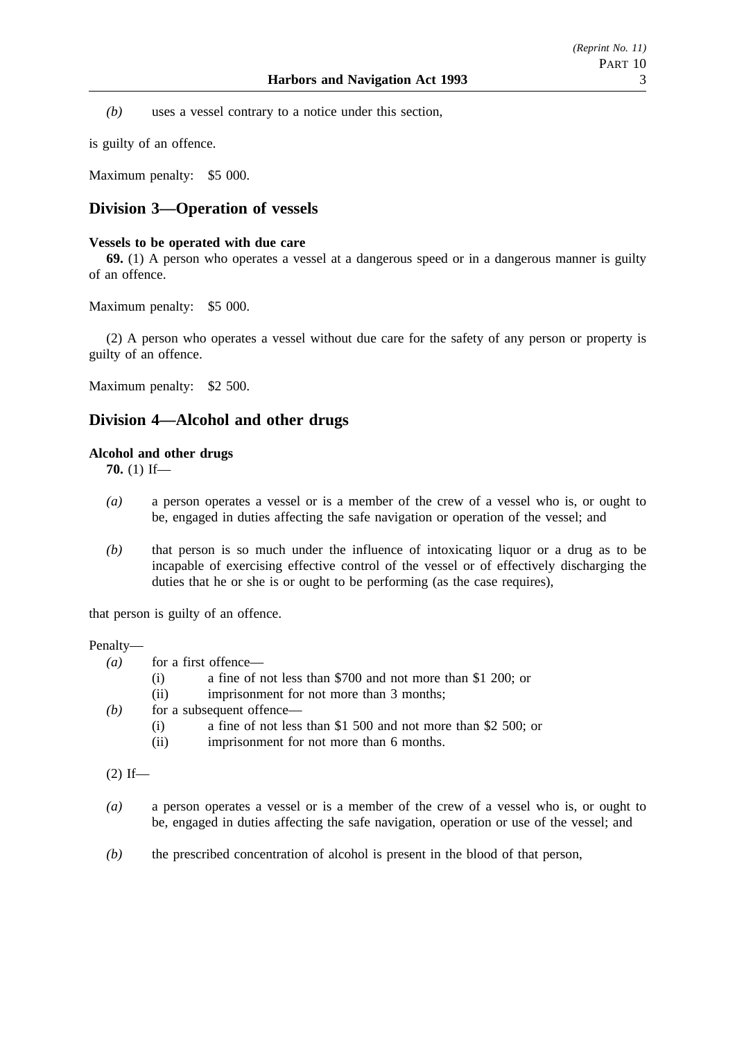*(b)* uses a vessel contrary to a notice under this section,

is guilty of an offence.

Maximum penalty: \$5 000.

## **Division 3—Operation of vessels**

### **Vessels to be operated with due care**

**69.** (1) A person who operates a vessel at a dangerous speed or in a dangerous manner is guilty of an offence.

Maximum penalty: \$5 000.

(2) A person who operates a vessel without due care for the safety of any person or property is guilty of an offence.

Maximum penalty: \$2 500.

## **Division 4—Alcohol and other drugs**

### **Alcohol and other drugs**

**70.** (1) If—

- *(a)* a person operates a vessel or is a member of the crew of a vessel who is, or ought to be, engaged in duties affecting the safe navigation or operation of the vessel; and
- *(b)* that person is so much under the influence of intoxicating liquor or a drug as to be incapable of exercising effective control of the vessel or of effectively discharging the duties that he or she is or ought to be performing (as the case requires),

that person is guilty of an offence.

### Penalty—

- $(a)$  for a first offence—
	- (i) a fine of not less than \$700 and not more than \$1 200; or
	- (ii) imprisonment for not more than 3 months;
- *(b)* for a subsequent offence—
	- (i) a fine of not less than \$1 500 and not more than \$2 500; or
	- (ii) imprisonment for not more than 6 months.

 $(2)$  If—

- *(a)* a person operates a vessel or is a member of the crew of a vessel who is, or ought to be, engaged in duties affecting the safe navigation, operation or use of the vessel; and
- *(b)* the prescribed concentration of alcohol is present in the blood of that person,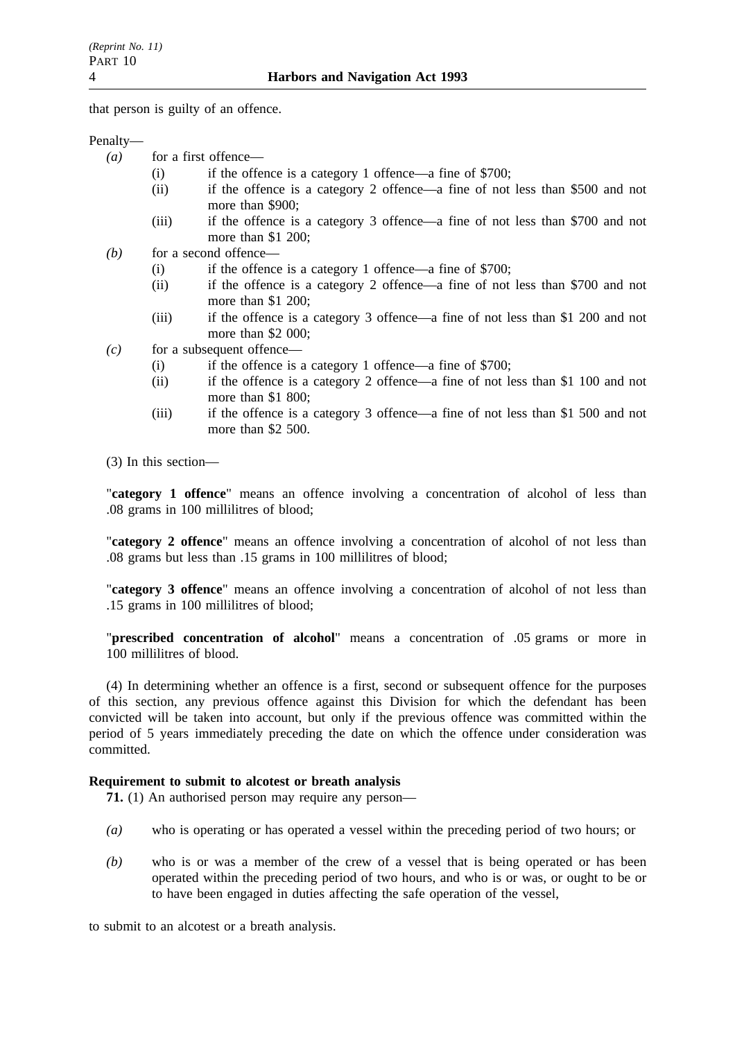that person is guilty of an offence.

Penalty—

- (a) for a first offence—
	- (i) if the offence is a category 1 offence—a fine of \$700;
	- (ii) if the offence is a category 2 offence—a fine of not less than \$500 and not more than \$900;
	- (iii) if the offence is a category 3 offence—a fine of not less than \$700 and not more than \$1 200;
- *(b)* for a second offence—
	- (i) if the offence is a category 1 offence—a fine of \$700;
	- (ii) if the offence is a category 2 offence—a fine of not less than \$700 and not more than \$1 200;
	- (iii) if the offence is a category 3 offence—a fine of not less than \$1 200 and not more than \$2 000;
- *(c)* for a subsequent offence—
	- (i) if the offence is a category 1 offence—a fine of \$700;
	- (ii) if the offence is a category 2 offence—a fine of not less than \$1 100 and not more than \$1 800;
	- (iii) if the offence is a category 3 offence—a fine of not less than \$1 500 and not more than \$2 500.

(3) In this section—

"**category 1 offence**" means an offence involving a concentration of alcohol of less than .08 grams in 100 millilitres of blood;

"**category 2 offence**" means an offence involving a concentration of alcohol of not less than .08 grams but less than .15 grams in 100 millilitres of blood;

"**category 3 offence**" means an offence involving a concentration of alcohol of not less than .15 grams in 100 millilitres of blood;

"**prescribed concentration of alcohol**" means a concentration of .05 grams or more in 100 millilitres of blood.

(4) In determining whether an offence is a first, second or subsequent offence for the purposes of this section, any previous offence against this Division for which the defendant has been convicted will be taken into account, but only if the previous offence was committed within the period of 5 years immediately preceding the date on which the offence under consideration was committed.

### **Requirement to submit to alcotest or breath analysis**

**71.** (1) An authorised person may require any person—

- *(a)* who is operating or has operated a vessel within the preceding period of two hours; or
- *(b)* who is or was a member of the crew of a vessel that is being operated or has been operated within the preceding period of two hours, and who is or was, or ought to be or to have been engaged in duties affecting the safe operation of the vessel,

to submit to an alcotest or a breath analysis.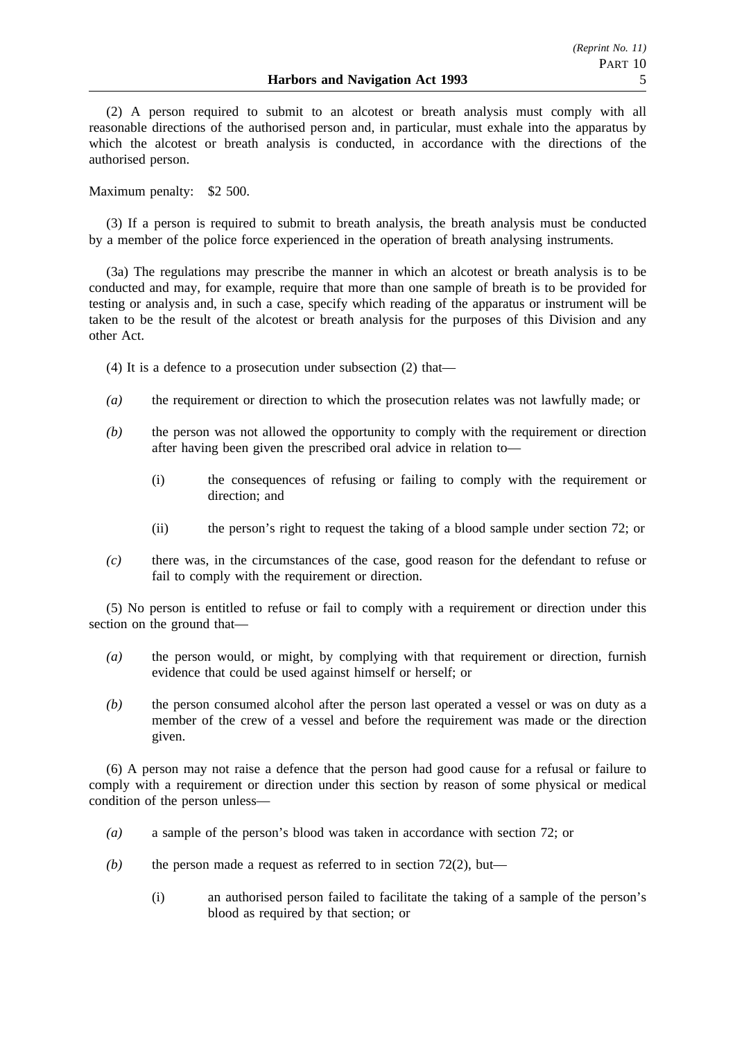(2) A person required to submit to an alcotest or breath analysis must comply with all reasonable directions of the authorised person and, in particular, must exhale into the apparatus by which the alcotest or breath analysis is conducted, in accordance with the directions of the authorised person.

Maximum penalty: \$2 500.

(3) If a person is required to submit to breath analysis, the breath analysis must be conducted by a member of the police force experienced in the operation of breath analysing instruments.

(3a) The regulations may prescribe the manner in which an alcotest or breath analysis is to be conducted and may, for example, require that more than one sample of breath is to be provided for testing or analysis and, in such a case, specify which reading of the apparatus or instrument will be taken to be the result of the alcotest or breath analysis for the purposes of this Division and any other Act.

(4) It is a defence to a prosecution under subsection (2) that—

- *(a)* the requirement or direction to which the prosecution relates was not lawfully made; or
- *(b)* the person was not allowed the opportunity to comply with the requirement or direction after having been given the prescribed oral advice in relation to—
	- (i) the consequences of refusing or failing to comply with the requirement or direction; and
	- (ii) the person's right to request the taking of a blood sample under section 72; or
- *(c)* there was, in the circumstances of the case, good reason for the defendant to refuse or fail to comply with the requirement or direction.

(5) No person is entitled to refuse or fail to comply with a requirement or direction under this section on the ground that—

- *(a)* the person would, or might, by complying with that requirement or direction, furnish evidence that could be used against himself or herself; or
- *(b)* the person consumed alcohol after the person last operated a vessel or was on duty as a member of the crew of a vessel and before the requirement was made or the direction given.

(6) A person may not raise a defence that the person had good cause for a refusal or failure to comply with a requirement or direction under this section by reason of some physical or medical condition of the person unless—

- *(a)* a sample of the person's blood was taken in accordance with section 72; or
- $(b)$  the person made a request as referred to in section 72(2), but—
	- (i) an authorised person failed to facilitate the taking of a sample of the person's blood as required by that section; or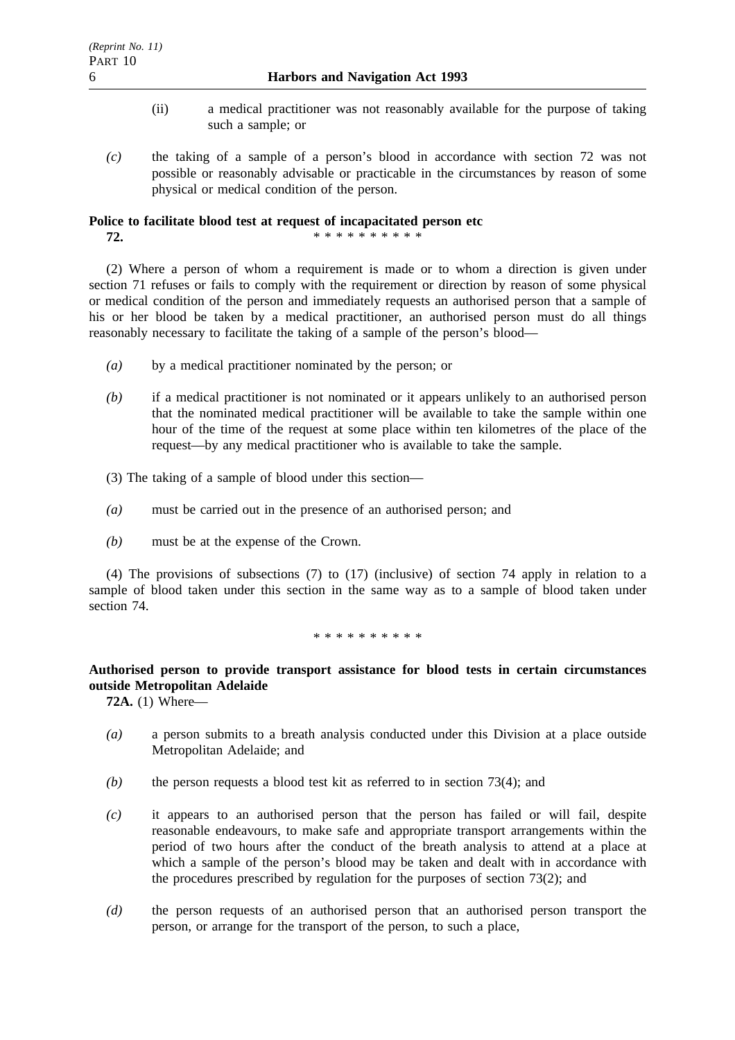- (ii) a medical practitioner was not reasonably available for the purpose of taking such a sample; or
- *(c)* the taking of a sample of a person's blood in accordance with section 72 was not possible or reasonably advisable or practicable in the circumstances by reason of some physical or medical condition of the person.

## **Police to facilitate blood test at request of incapacitated person etc**

**72.** \*\*\*\*\*\*\*\*\*\*\*

(2) Where a person of whom a requirement is made or to whom a direction is given under section 71 refuses or fails to comply with the requirement or direction by reason of some physical or medical condition of the person and immediately requests an authorised person that a sample of his or her blood be taken by a medical practitioner, an authorised person must do all things reasonably necessary to facilitate the taking of a sample of the person's blood—

- *(a)* by a medical practitioner nominated by the person; or
- *(b)* if a medical practitioner is not nominated or it appears unlikely to an authorised person that the nominated medical practitioner will be available to take the sample within one hour of the time of the request at some place within ten kilometres of the place of the request—by any medical practitioner who is available to take the sample.
- (3) The taking of a sample of blood under this section—
- *(a)* must be carried out in the presence of an authorised person; and
- *(b)* must be at the expense of the Crown.

(4) The provisions of subsections (7) to (17) (inclusive) of section 74 apply in relation to a sample of blood taken under this section in the same way as to a sample of blood taken under section 74.

\*\*\*\*\*\*\*\*\*\*

## **Authorised person to provide transport assistance for blood tests in certain circumstances outside Metropolitan Adelaide**

**72A.** (1) Where—

- *(a)* a person submits to a breath analysis conducted under this Division at a place outside Metropolitan Adelaide; and
- *(b)* the person requests a blood test kit as referred to in section 73(4); and
- *(c)* it appears to an authorised person that the person has failed or will fail, despite reasonable endeavours, to make safe and appropriate transport arrangements within the period of two hours after the conduct of the breath analysis to attend at a place at which a sample of the person's blood may be taken and dealt with in accordance with the procedures prescribed by regulation for the purposes of section 73(2); and
- *(d)* the person requests of an authorised person that an authorised person transport the person, or arrange for the transport of the person, to such a place,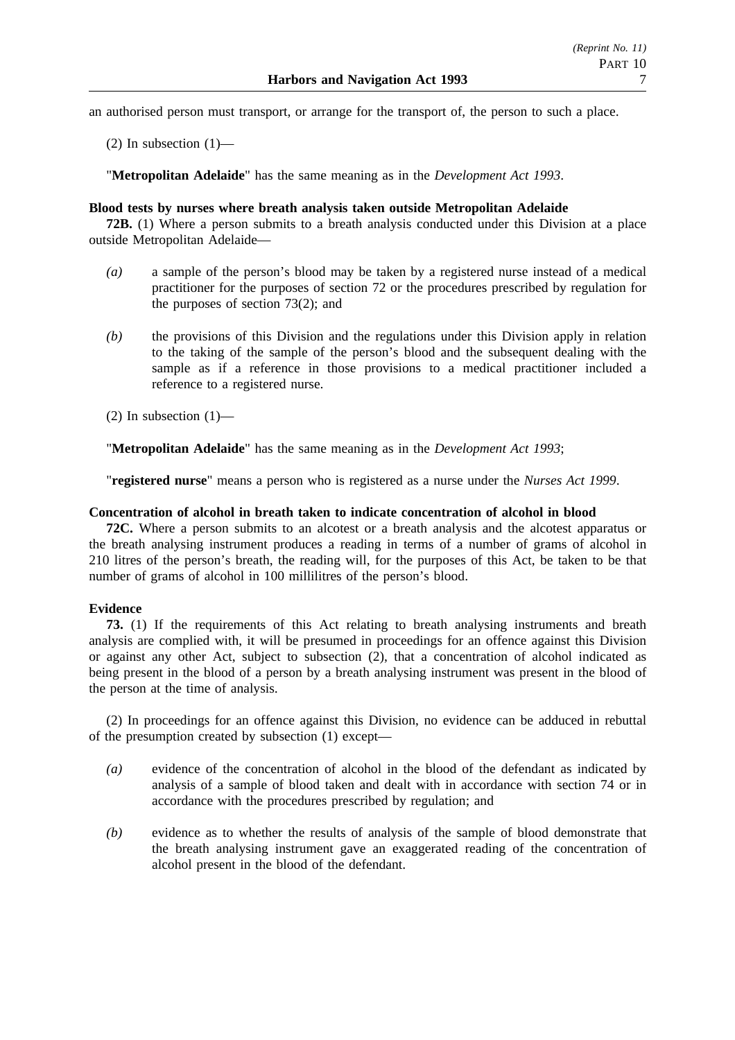an authorised person must transport, or arrange for the transport of, the person to such a place.

(2) In subsection  $(1)$ —

"**Metropolitan Adelaide**" has the same meaning as in the *Development Act 1993*.

### **Blood tests by nurses where breath analysis taken outside Metropolitan Adelaide**

**72B.** (1) Where a person submits to a breath analysis conducted under this Division at a place outside Metropolitan Adelaide—

- *(a)* a sample of the person's blood may be taken by a registered nurse instead of a medical practitioner for the purposes of section 72 or the procedures prescribed by regulation for the purposes of section 73(2); and
- *(b)* the provisions of this Division and the regulations under this Division apply in relation to the taking of the sample of the person's blood and the subsequent dealing with the sample as if a reference in those provisions to a medical practitioner included a reference to a registered nurse.
- $(2)$  In subsection  $(1)$ —

"**Metropolitan Adelaide**" has the same meaning as in the *Development Act 1993*;

"**registered nurse**" means a person who is registered as a nurse under the *Nurses Act 1999*.

## **Concentration of alcohol in breath taken to indicate concentration of alcohol in blood**

**72C.** Where a person submits to an alcotest or a breath analysis and the alcotest apparatus or the breath analysing instrument produces a reading in terms of a number of grams of alcohol in 210 litres of the person's breath, the reading will, for the purposes of this Act, be taken to be that number of grams of alcohol in 100 millilitres of the person's blood.

## **Evidence**

**73.** (1) If the requirements of this Act relating to breath analysing instruments and breath analysis are complied with, it will be presumed in proceedings for an offence against this Division or against any other Act, subject to subsection (2), that a concentration of alcohol indicated as being present in the blood of a person by a breath analysing instrument was present in the blood of the person at the time of analysis.

(2) In proceedings for an offence against this Division, no evidence can be adduced in rebuttal of the presumption created by subsection (1) except—

- *(a)* evidence of the concentration of alcohol in the blood of the defendant as indicated by analysis of a sample of blood taken and dealt with in accordance with section 74 or in accordance with the procedures prescribed by regulation; and
- *(b)* evidence as to whether the results of analysis of the sample of blood demonstrate that the breath analysing instrument gave an exaggerated reading of the concentration of alcohol present in the blood of the defendant.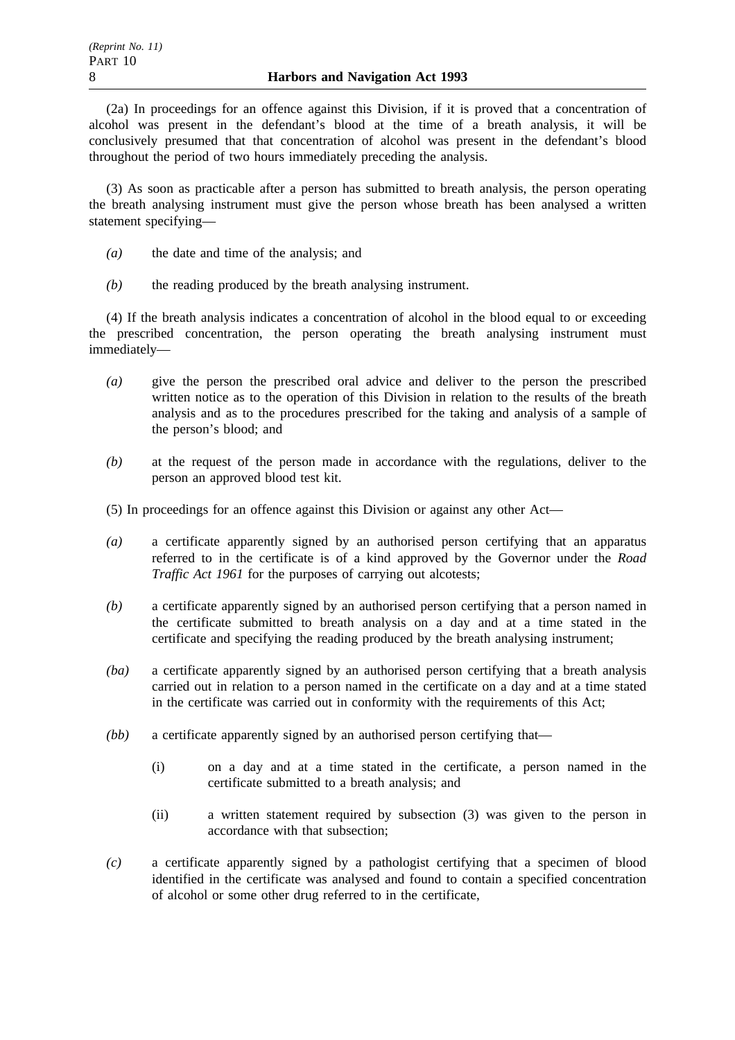(2a) In proceedings for an offence against this Division, if it is proved that a concentration of alcohol was present in the defendant's blood at the time of a breath analysis, it will be conclusively presumed that that concentration of alcohol was present in the defendant's blood throughout the period of two hours immediately preceding the analysis.

(3) As soon as practicable after a person has submitted to breath analysis, the person operating the breath analysing instrument must give the person whose breath has been analysed a written statement specifying—

- *(a)* the date and time of the analysis; and
- *(b)* the reading produced by the breath analysing instrument.

(4) If the breath analysis indicates a concentration of alcohol in the blood equal to or exceeding the prescribed concentration, the person operating the breath analysing instrument must immediately—

- *(a)* give the person the prescribed oral advice and deliver to the person the prescribed written notice as to the operation of this Division in relation to the results of the breath analysis and as to the procedures prescribed for the taking and analysis of a sample of the person's blood; and
- *(b)* at the request of the person made in accordance with the regulations, deliver to the person an approved blood test kit.
- (5) In proceedings for an offence against this Division or against any other Act—
- *(a)* a certificate apparently signed by an authorised person certifying that an apparatus referred to in the certificate is of a kind approved by the Governor under the *Road Traffic Act 1961* for the purposes of carrying out alcotests;
- *(b)* a certificate apparently signed by an authorised person certifying that a person named in the certificate submitted to breath analysis on a day and at a time stated in the certificate and specifying the reading produced by the breath analysing instrument;
- *(ba)* a certificate apparently signed by an authorised person certifying that a breath analysis carried out in relation to a person named in the certificate on a day and at a time stated in the certificate was carried out in conformity with the requirements of this Act;
- *(bb)* a certificate apparently signed by an authorised person certifying that—
	- (i) on a day and at a time stated in the certificate, a person named in the certificate submitted to a breath analysis; and
	- (ii) a written statement required by subsection (3) was given to the person in accordance with that subsection;
- *(c)* a certificate apparently signed by a pathologist certifying that a specimen of blood identified in the certificate was analysed and found to contain a specified concentration of alcohol or some other drug referred to in the certificate,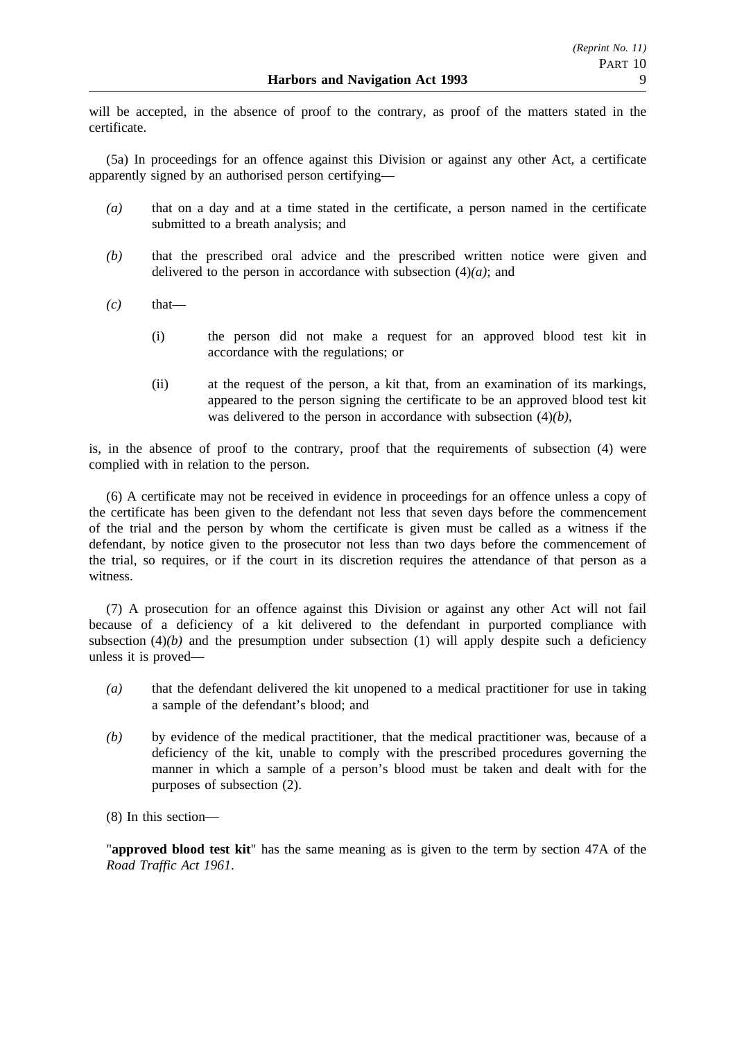will be accepted, in the absence of proof to the contrary, as proof of the matters stated in the certificate.

(5a) In proceedings for an offence against this Division or against any other Act, a certificate apparently signed by an authorised person certifying—

- *(a)* that on a day and at a time stated in the certificate, a person named in the certificate submitted to a breath analysis; and
- *(b)* that the prescribed oral advice and the prescribed written notice were given and delivered to the person in accordance with subsection  $(4)(a)$ ; and
- $(c)$  that—
	- (i) the person did not make a request for an approved blood test kit in accordance with the regulations; or
	- (ii) at the request of the person, a kit that, from an examination of its markings, appeared to the person signing the certificate to be an approved blood test kit was delivered to the person in accordance with subsection (4)*(b)*,

is, in the absence of proof to the contrary, proof that the requirements of subsection (4) were complied with in relation to the person.

(6) A certificate may not be received in evidence in proceedings for an offence unless a copy of the certificate has been given to the defendant not less that seven days before the commencement of the trial and the person by whom the certificate is given must be called as a witness if the defendant, by notice given to the prosecutor not less than two days before the commencement of the trial, so requires, or if the court in its discretion requires the attendance of that person as a witness.

(7) A prosecution for an offence against this Division or against any other Act will not fail because of a deficiency of a kit delivered to the defendant in purported compliance with subsection  $(4)(b)$  and the presumption under subsection  $(1)$  will apply despite such a deficiency unless it is proved—

- *(a)* that the defendant delivered the kit unopened to a medical practitioner for use in taking a sample of the defendant's blood; and
- *(b)* by evidence of the medical practitioner, that the medical practitioner was, because of a deficiency of the kit, unable to comply with the prescribed procedures governing the manner in which a sample of a person's blood must be taken and dealt with for the purposes of subsection (2).

(8) In this section—

"**approved blood test kit**" has the same meaning as is given to the term by section 47A of the *Road Traffic Act 1961*.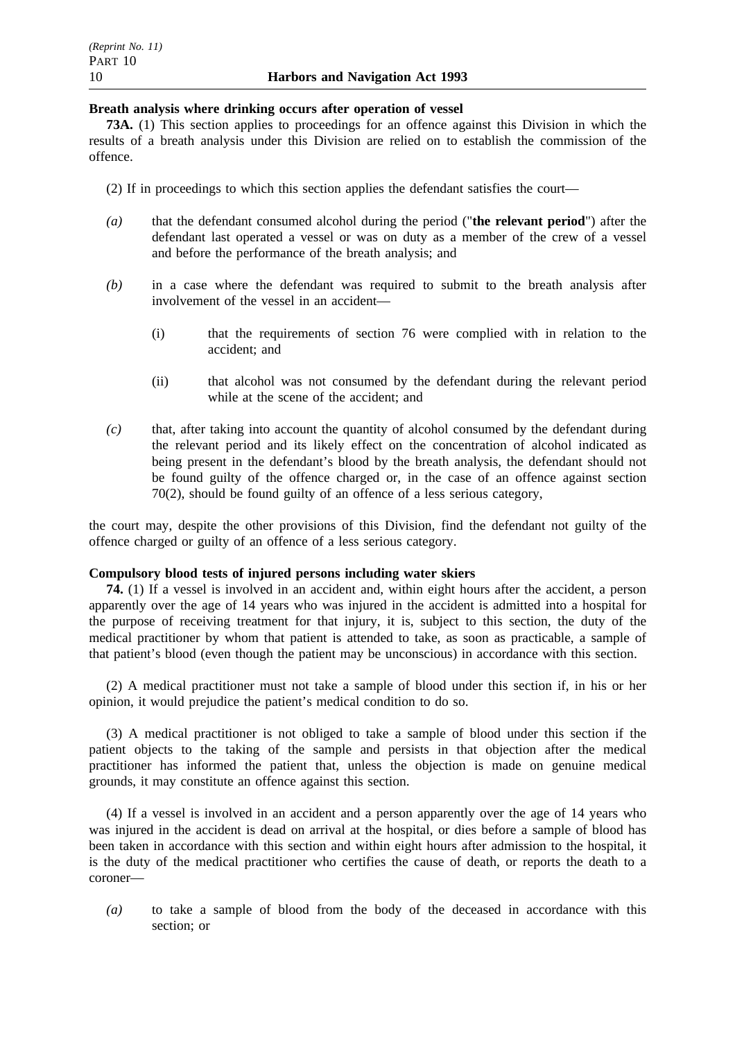### **Breath analysis where drinking occurs after operation of vessel**

**73A.** (1) This section applies to proceedings for an offence against this Division in which the results of a breath analysis under this Division are relied on to establish the commission of the offence.

- (2) If in proceedings to which this section applies the defendant satisfies the court—
- *(a)* that the defendant consumed alcohol during the period ("**the relevant period**") after the defendant last operated a vessel or was on duty as a member of the crew of a vessel and before the performance of the breath analysis; and
- *(b)* in a case where the defendant was required to submit to the breath analysis after involvement of the vessel in an accident—
	- (i) that the requirements of section 76 were complied with in relation to the accident; and
	- (ii) that alcohol was not consumed by the defendant during the relevant period while at the scene of the accident; and
- *(c)* that, after taking into account the quantity of alcohol consumed by the defendant during the relevant period and its likely effect on the concentration of alcohol indicated as being present in the defendant's blood by the breath analysis, the defendant should not be found guilty of the offence charged or, in the case of an offence against section 70(2), should be found guilty of an offence of a less serious category,

the court may, despite the other provisions of this Division, find the defendant not guilty of the offence charged or guilty of an offence of a less serious category.

### **Compulsory blood tests of injured persons including water skiers**

**74.** (1) If a vessel is involved in an accident and, within eight hours after the accident, a person apparently over the age of 14 years who was injured in the accident is admitted into a hospital for the purpose of receiving treatment for that injury, it is, subject to this section, the duty of the medical practitioner by whom that patient is attended to take, as soon as practicable, a sample of that patient's blood (even though the patient may be unconscious) in accordance with this section.

(2) A medical practitioner must not take a sample of blood under this section if, in his or her opinion, it would prejudice the patient's medical condition to do so.

(3) A medical practitioner is not obliged to take a sample of blood under this section if the patient objects to the taking of the sample and persists in that objection after the medical practitioner has informed the patient that, unless the objection is made on genuine medical grounds, it may constitute an offence against this section.

(4) If a vessel is involved in an accident and a person apparently over the age of 14 years who was injured in the accident is dead on arrival at the hospital, or dies before a sample of blood has been taken in accordance with this section and within eight hours after admission to the hospital, it is the duty of the medical practitioner who certifies the cause of death, or reports the death to a coroner—

*(a)* to take a sample of blood from the body of the deceased in accordance with this section; or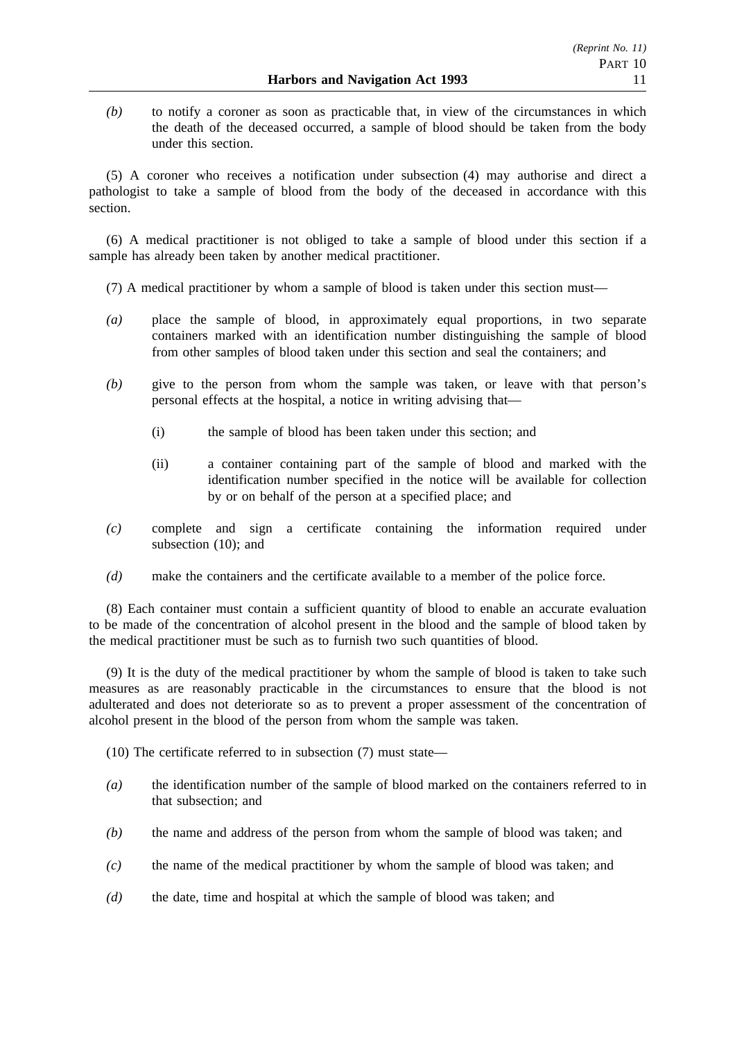*(b)* to notify a coroner as soon as practicable that, in view of the circumstances in which the death of the deceased occurred, a sample of blood should be taken from the body under this section.

(5) A coroner who receives a notification under subsection (4) may authorise and direct a pathologist to take a sample of blood from the body of the deceased in accordance with this section.

(6) A medical practitioner is not obliged to take a sample of blood under this section if a sample has already been taken by another medical practitioner.

- (7) A medical practitioner by whom a sample of blood is taken under this section must—
- *(a)* place the sample of blood, in approximately equal proportions, in two separate containers marked with an identification number distinguishing the sample of blood from other samples of blood taken under this section and seal the containers; and
- *(b)* give to the person from whom the sample was taken, or leave with that person's personal effects at the hospital, a notice in writing advising that—
	- (i) the sample of blood has been taken under this section; and
	- (ii) a container containing part of the sample of blood and marked with the identification number specified in the notice will be available for collection by or on behalf of the person at a specified place; and
- *(c)* complete and sign a certificate containing the information required under subsection (10); and
- *(d)* make the containers and the certificate available to a member of the police force.

(8) Each container must contain a sufficient quantity of blood to enable an accurate evaluation to be made of the concentration of alcohol present in the blood and the sample of blood taken by the medical practitioner must be such as to furnish two such quantities of blood.

(9) It is the duty of the medical practitioner by whom the sample of blood is taken to take such measures as are reasonably practicable in the circumstances to ensure that the blood is not adulterated and does not deteriorate so as to prevent a proper assessment of the concentration of alcohol present in the blood of the person from whom the sample was taken.

- (10) The certificate referred to in subsection (7) must state—
- *(a)* the identification number of the sample of blood marked on the containers referred to in that subsection; and
- *(b)* the name and address of the person from whom the sample of blood was taken; and
- *(c)* the name of the medical practitioner by whom the sample of blood was taken; and
- *(d)* the date, time and hospital at which the sample of blood was taken; and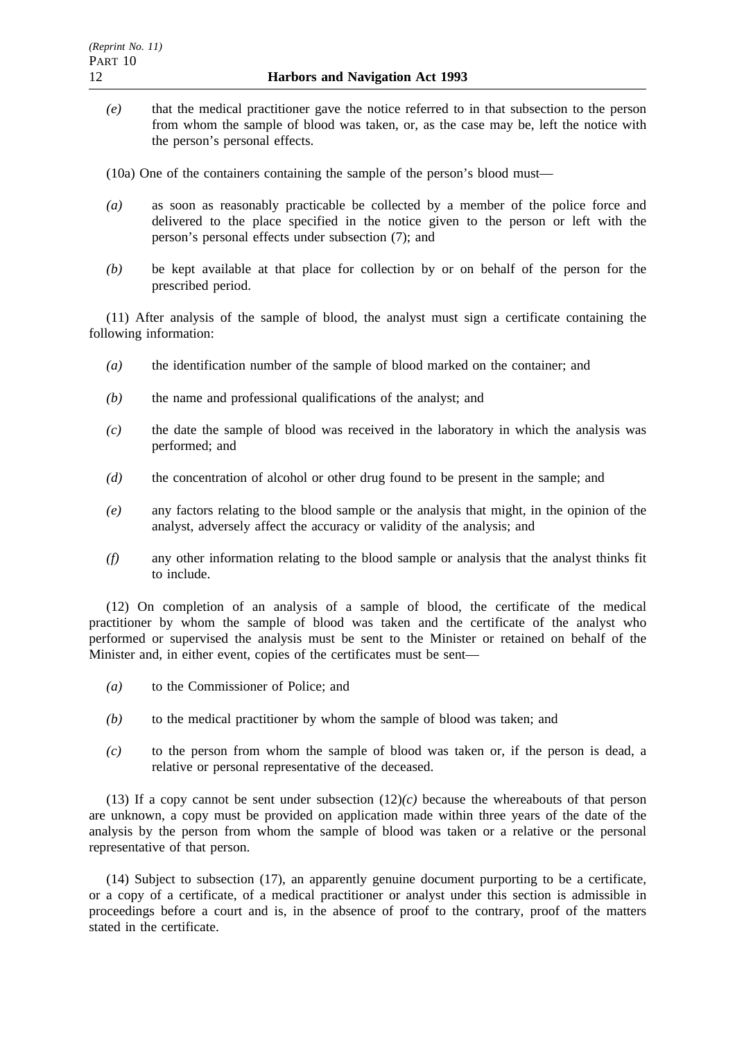*(e)* that the medical practitioner gave the notice referred to in that subsection to the person from whom the sample of blood was taken, or, as the case may be, left the notice with the person's personal effects.

(10a) One of the containers containing the sample of the person's blood must—

- *(a)* as soon as reasonably practicable be collected by a member of the police force and delivered to the place specified in the notice given to the person or left with the person's personal effects under subsection (7); and
- *(b)* be kept available at that place for collection by or on behalf of the person for the prescribed period.

(11) After analysis of the sample of blood, the analyst must sign a certificate containing the following information:

- *(a)* the identification number of the sample of blood marked on the container; and
- *(b)* the name and professional qualifications of the analyst; and
- *(c)* the date the sample of blood was received in the laboratory in which the analysis was performed; and
- *(d)* the concentration of alcohol or other drug found to be present in the sample; and
- *(e)* any factors relating to the blood sample or the analysis that might, in the opinion of the analyst, adversely affect the accuracy or validity of the analysis; and
- *(f)* any other information relating to the blood sample or analysis that the analyst thinks fit to include.

(12) On completion of an analysis of a sample of blood, the certificate of the medical practitioner by whom the sample of blood was taken and the certificate of the analyst who performed or supervised the analysis must be sent to the Minister or retained on behalf of the Minister and, in either event, copies of the certificates must be sent—

- *(a)* to the Commissioner of Police; and
- *(b)* to the medical practitioner by whom the sample of blood was taken; and
- *(c)* to the person from whom the sample of blood was taken or, if the person is dead, a relative or personal representative of the deceased.

(13) If a copy cannot be sent under subsection  $(12)(c)$  because the whereabouts of that person are unknown, a copy must be provided on application made within three years of the date of the analysis by the person from whom the sample of blood was taken or a relative or the personal representative of that person.

(14) Subject to subsection (17), an apparently genuine document purporting to be a certificate, or a copy of a certificate, of a medical practitioner or analyst under this section is admissible in proceedings before a court and is, in the absence of proof to the contrary, proof of the matters stated in the certificate.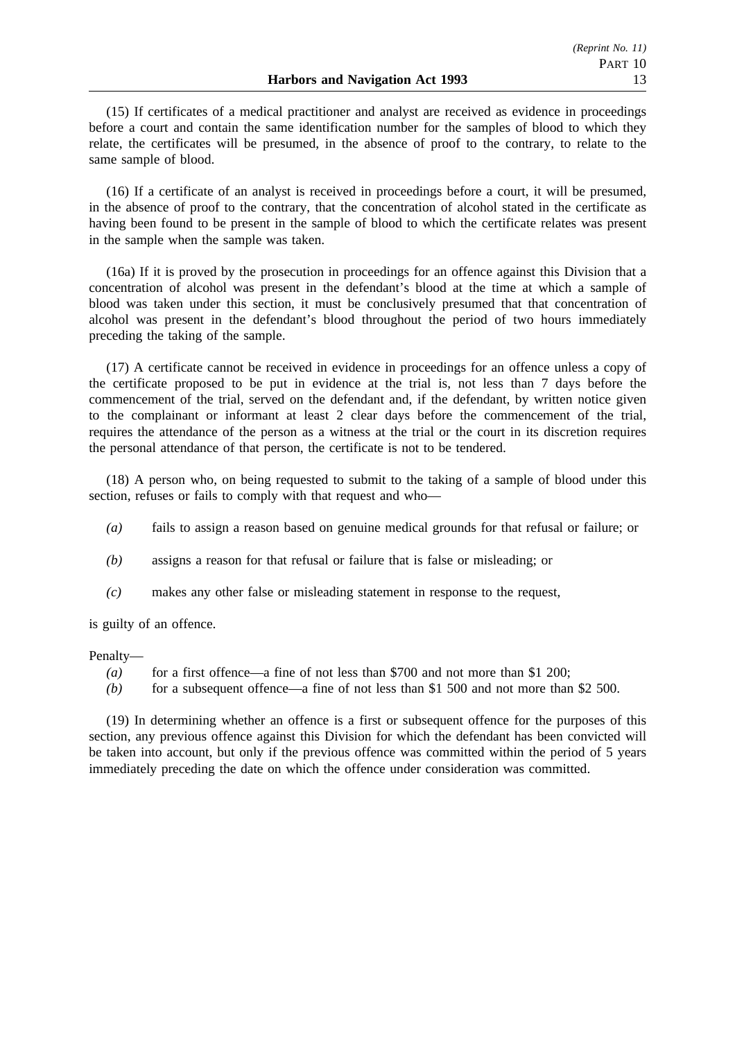(15) If certificates of a medical practitioner and analyst are received as evidence in proceedings before a court and contain the same identification number for the samples of blood to which they relate, the certificates will be presumed, in the absence of proof to the contrary, to relate to the same sample of blood.

(16) If a certificate of an analyst is received in proceedings before a court, it will be presumed, in the absence of proof to the contrary, that the concentration of alcohol stated in the certificate as having been found to be present in the sample of blood to which the certificate relates was present in the sample when the sample was taken.

(16a) If it is proved by the prosecution in proceedings for an offence against this Division that a concentration of alcohol was present in the defendant's blood at the time at which a sample of blood was taken under this section, it must be conclusively presumed that that concentration of alcohol was present in the defendant's blood throughout the period of two hours immediately preceding the taking of the sample.

(17) A certificate cannot be received in evidence in proceedings for an offence unless a copy of the certificate proposed to be put in evidence at the trial is, not less than 7 days before the commencement of the trial, served on the defendant and, if the defendant, by written notice given to the complainant or informant at least 2 clear days before the commencement of the trial, requires the attendance of the person as a witness at the trial or the court in its discretion requires the personal attendance of that person, the certificate is not to be tendered.

(18) A person who, on being requested to submit to the taking of a sample of blood under this section, refuses or fails to comply with that request and who—

- *(a)* fails to assign a reason based on genuine medical grounds for that refusal or failure; or
- *(b)* assigns a reason for that refusal or failure that is false or misleading; or
- *(c)* makes any other false or misleading statement in response to the request,

is guilty of an offence.

Penalty—

- *(a)* for a first offence—a fine of not less than \$700 and not more than \$1 200;
- *(b)* for a subsequent offence—a fine of not less than \$1 500 and not more than \$2 500.

(19) In determining whether an offence is a first or subsequent offence for the purposes of this section, any previous offence against this Division for which the defendant has been convicted will be taken into account, but only if the previous offence was committed within the period of 5 years immediately preceding the date on which the offence under consideration was committed.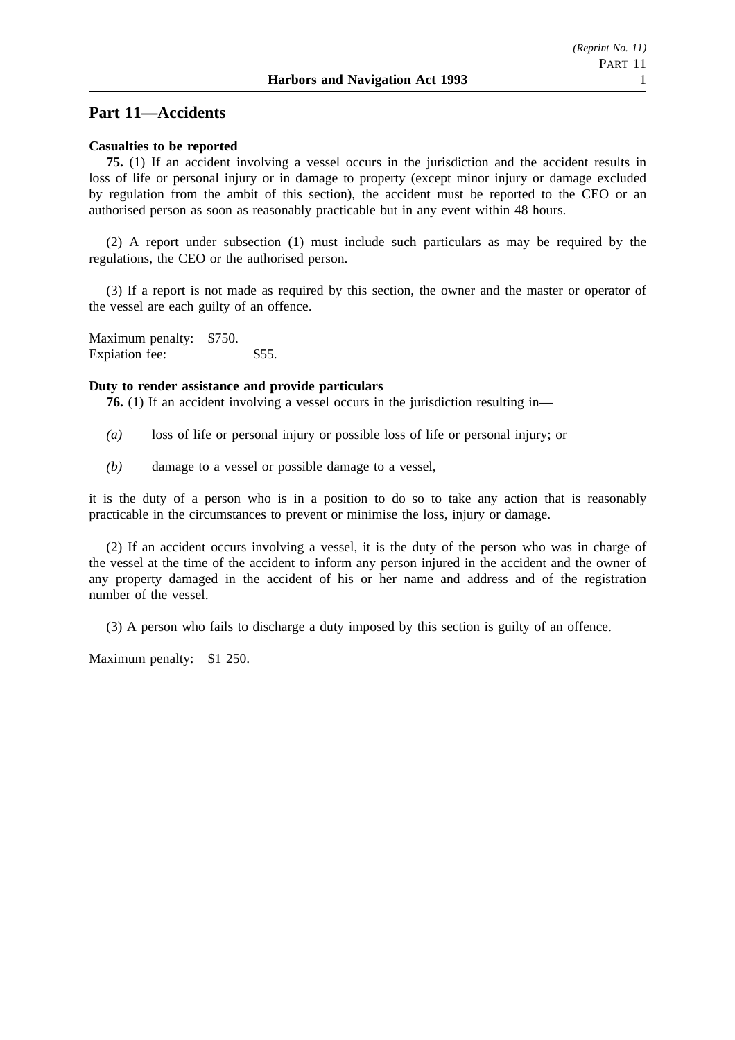## **Part 11—Accidents**

### **Casualties to be reported**

**75.** (1) If an accident involving a vessel occurs in the jurisdiction and the accident results in loss of life or personal injury or in damage to property (except minor injury or damage excluded by regulation from the ambit of this section), the accident must be reported to the CEO or an authorised person as soon as reasonably practicable but in any event within 48 hours.

(2) A report under subsection (1) must include such particulars as may be required by the regulations, the CEO or the authorised person.

(3) If a report is not made as required by this section, the owner and the master or operator of the vessel are each guilty of an offence.

Maximum penalty: \$750. Expiation fee: \$55.

#### **Duty to render assistance and provide particulars**

**76.** (1) If an accident involving a vessel occurs in the jurisdiction resulting in—

- *(a)* loss of life or personal injury or possible loss of life or personal injury; or
- *(b)* damage to a vessel or possible damage to a vessel,

it is the duty of a person who is in a position to do so to take any action that is reasonably practicable in the circumstances to prevent or minimise the loss, injury or damage.

(2) If an accident occurs involving a vessel, it is the duty of the person who was in charge of the vessel at the time of the accident to inform any person injured in the accident and the owner of any property damaged in the accident of his or her name and address and of the registration number of the vessel.

(3) A person who fails to discharge a duty imposed by this section is guilty of an offence.

Maximum penalty: \$1 250.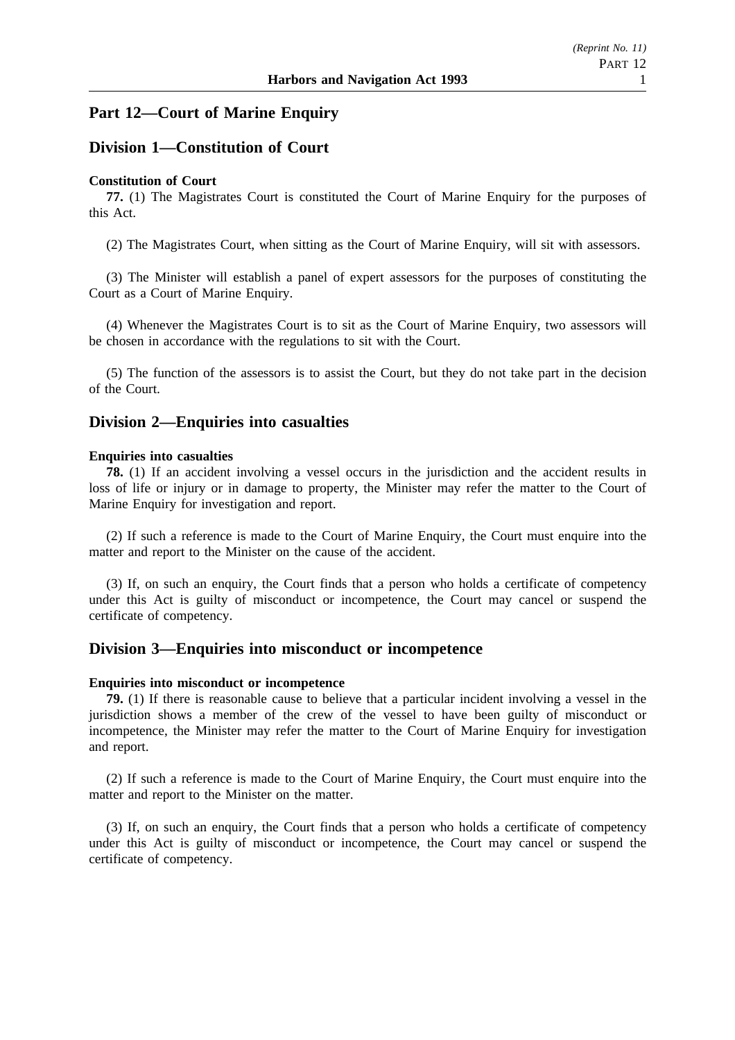## **Part 12—Court of Marine Enquiry**

## **Division 1—Constitution of Court**

### **Constitution of Court**

**77.** (1) The Magistrates Court is constituted the Court of Marine Enquiry for the purposes of this Act.

(2) The Magistrates Court, when sitting as the Court of Marine Enquiry, will sit with assessors.

(3) The Minister will establish a panel of expert assessors for the purposes of constituting the Court as a Court of Marine Enquiry.

(4) Whenever the Magistrates Court is to sit as the Court of Marine Enquiry, two assessors will be chosen in accordance with the regulations to sit with the Court.

(5) The function of the assessors is to assist the Court, but they do not take part in the decision of the Court.

## **Division 2—Enquiries into casualties**

#### **Enquiries into casualties**

**78.** (1) If an accident involving a vessel occurs in the jurisdiction and the accident results in loss of life or injury or in damage to property, the Minister may refer the matter to the Court of Marine Enquiry for investigation and report.

(2) If such a reference is made to the Court of Marine Enquiry, the Court must enquire into the matter and report to the Minister on the cause of the accident.

(3) If, on such an enquiry, the Court finds that a person who holds a certificate of competency under this Act is guilty of misconduct or incompetence, the Court may cancel or suspend the certificate of competency.

### **Division 3—Enquiries into misconduct or incompetence**

### **Enquiries into misconduct or incompetence**

**79.** (1) If there is reasonable cause to believe that a particular incident involving a vessel in the jurisdiction shows a member of the crew of the vessel to have been guilty of misconduct or incompetence, the Minister may refer the matter to the Court of Marine Enquiry for investigation and report.

(2) If such a reference is made to the Court of Marine Enquiry, the Court must enquire into the matter and report to the Minister on the matter.

(3) If, on such an enquiry, the Court finds that a person who holds a certificate of competency under this Act is guilty of misconduct or incompetence, the Court may cancel or suspend the certificate of competency.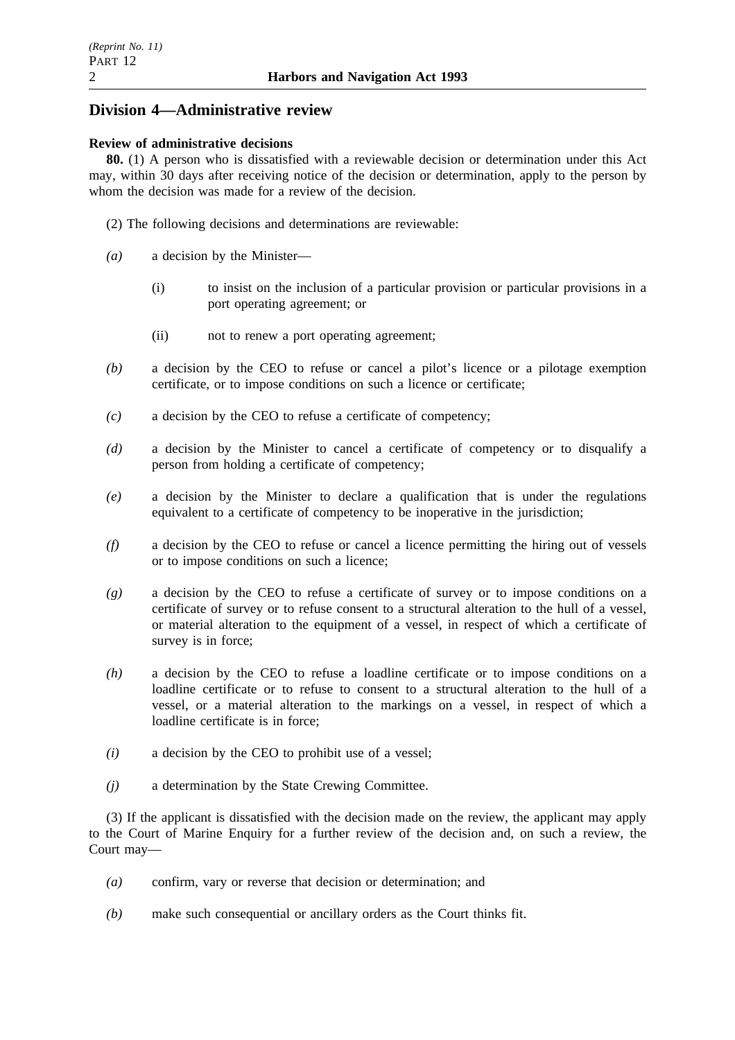# **Division 4—Administrative review**

### **Review of administrative decisions**

**80.** (1) A person who is dissatisfied with a reviewable decision or determination under this Act may, within 30 days after receiving notice of the decision or determination, apply to the person by whom the decision was made for a review of the decision.

- (2) The following decisions and determinations are reviewable:
- *(a)* a decision by the Minister—
	- (i) to insist on the inclusion of a particular provision or particular provisions in a port operating agreement; or
	- (ii) not to renew a port operating agreement;
- *(b)* a decision by the CEO to refuse or cancel a pilot's licence or a pilotage exemption certificate, or to impose conditions on such a licence or certificate;
- *(c)* a decision by the CEO to refuse a certificate of competency;
- *(d)* a decision by the Minister to cancel a certificate of competency or to disqualify a person from holding a certificate of competency;
- *(e)* a decision by the Minister to declare a qualification that is under the regulations equivalent to a certificate of competency to be inoperative in the jurisdiction;
- *(f)* a decision by the CEO to refuse or cancel a licence permitting the hiring out of vessels or to impose conditions on such a licence;
- *(g)* a decision by the CEO to refuse a certificate of survey or to impose conditions on a certificate of survey or to refuse consent to a structural alteration to the hull of a vessel, or material alteration to the equipment of a vessel, in respect of which a certificate of survey is in force;
- *(h)* a decision by the CEO to refuse a loadline certificate or to impose conditions on a loadline certificate or to refuse to consent to a structural alteration to the hull of a vessel, or a material alteration to the markings on a vessel, in respect of which a loadline certificate is in force;
- *(i)* a decision by the CEO to prohibit use of a vessel;
- *(j)* a determination by the State Crewing Committee.

(3) If the applicant is dissatisfied with the decision made on the review, the applicant may apply to the Court of Marine Enquiry for a further review of the decision and, on such a review, the Court may—

- *(a)* confirm, vary or reverse that decision or determination; and
- *(b)* make such consequential or ancillary orders as the Court thinks fit.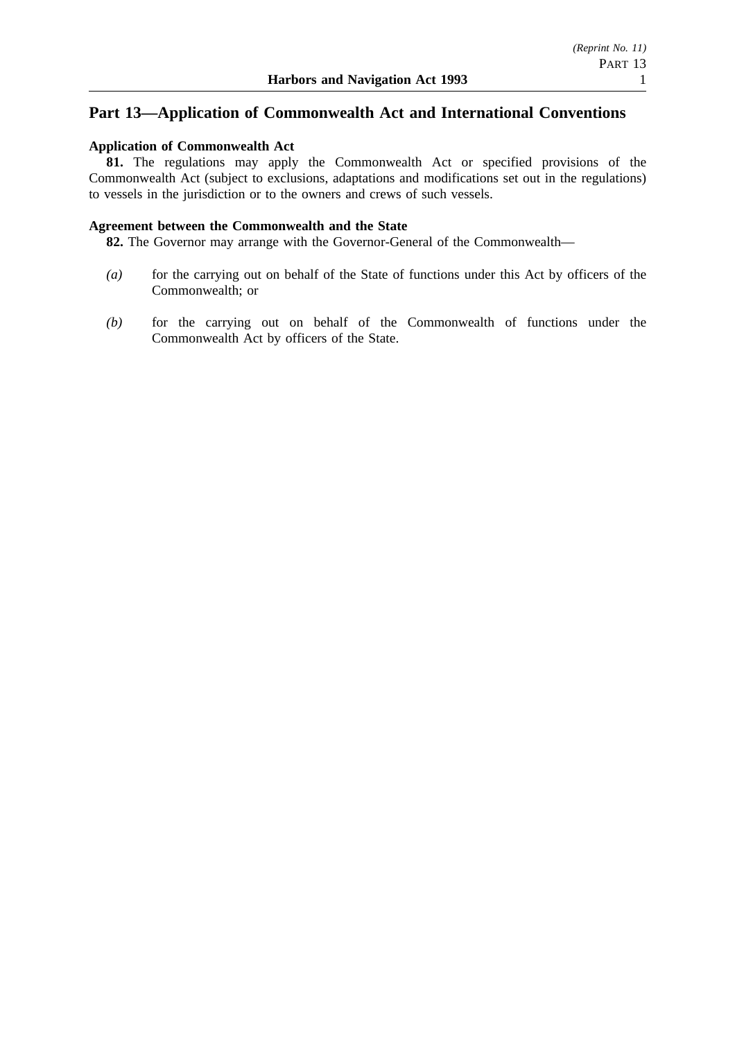## **Part 13—Application of Commonwealth Act and International Conventions**

### **Application of Commonwealth Act**

**81.** The regulations may apply the Commonwealth Act or specified provisions of the Commonwealth Act (subject to exclusions, adaptations and modifications set out in the regulations) to vessels in the jurisdiction or to the owners and crews of such vessels.

### **Agreement between the Commonwealth and the State**

**82.** The Governor may arrange with the Governor-General of the Commonwealth—

- *(a)* for the carrying out on behalf of the State of functions under this Act by officers of the Commonwealth; or
- *(b)* for the carrying out on behalf of the Commonwealth of functions under the Commonwealth Act by officers of the State.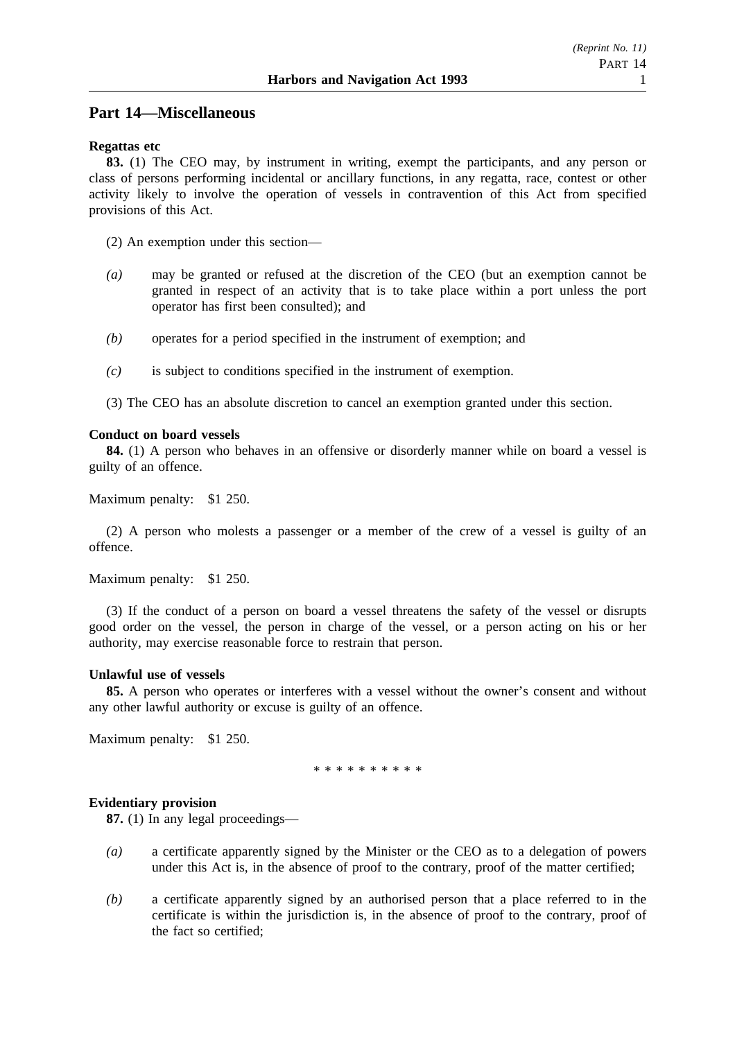## **Part 14—Miscellaneous**

### **Regattas etc**

**83.** (1) The CEO may, by instrument in writing, exempt the participants, and any person or class of persons performing incidental or ancillary functions, in any regatta, race, contest or other activity likely to involve the operation of vessels in contravention of this Act from specified provisions of this Act.

(2) An exemption under this section—

- *(a)* may be granted or refused at the discretion of the CEO (but an exemption cannot be granted in respect of an activity that is to take place within a port unless the port operator has first been consulted); and
- *(b)* operates for a period specified in the instrument of exemption; and
- *(c)* is subject to conditions specified in the instrument of exemption.
- (3) The CEO has an absolute discretion to cancel an exemption granted under this section.

### **Conduct on board vessels**

**84.** (1) A person who behaves in an offensive or disorderly manner while on board a vessel is guilty of an offence.

Maximum penalty: \$1 250.

(2) A person who molests a passenger or a member of the crew of a vessel is guilty of an offence.

Maximum penalty: \$1 250.

(3) If the conduct of a person on board a vessel threatens the safety of the vessel or disrupts good order on the vessel, the person in charge of the vessel, or a person acting on his or her authority, may exercise reasonable force to restrain that person.

### **Unlawful use of vessels**

**85.** A person who operates or interferes with a vessel without the owner's consent and without any other lawful authority or excuse is guilty of an offence.

Maximum penalty: \$1 250.

\*\*\*\*\*\*\*\*\*\*

### **Evidentiary provision**

**87.** (1) In any legal proceedings—

- *(a)* a certificate apparently signed by the Minister or the CEO as to a delegation of powers under this Act is, in the absence of proof to the contrary, proof of the matter certified;
- *(b)* a certificate apparently signed by an authorised person that a place referred to in the certificate is within the jurisdiction is, in the absence of proof to the contrary, proof of the fact so certified;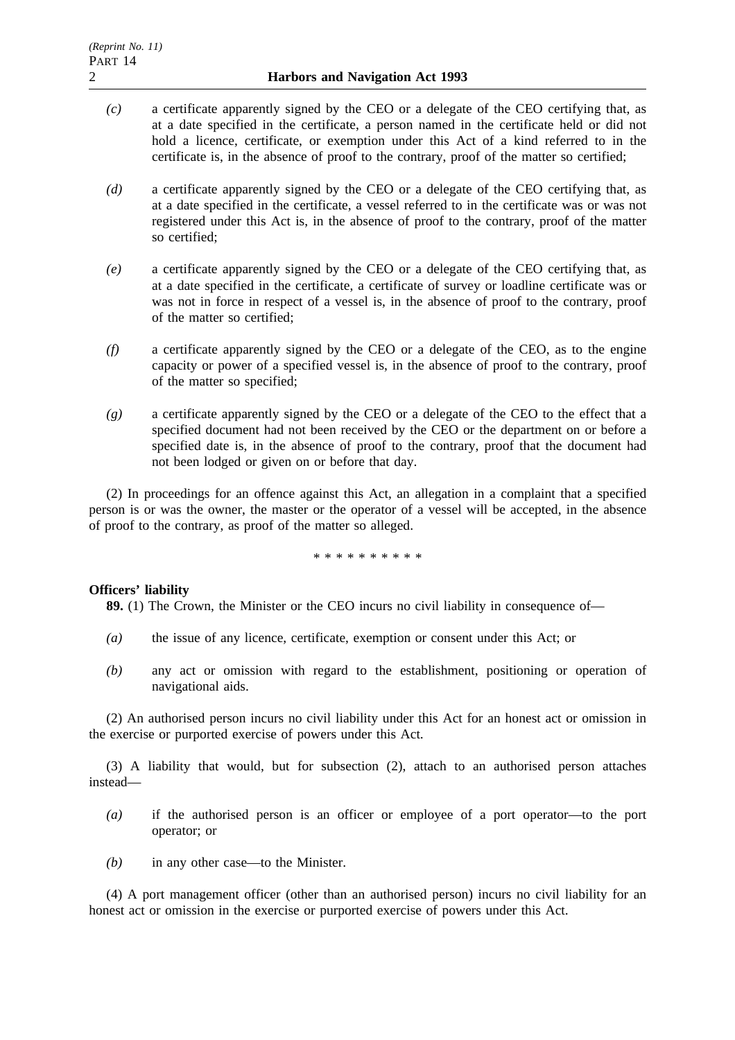- *(c)* a certificate apparently signed by the CEO or a delegate of the CEO certifying that, as at a date specified in the certificate, a person named in the certificate held or did not hold a licence, certificate, or exemption under this Act of a kind referred to in the certificate is, in the absence of proof to the contrary, proof of the matter so certified;
- *(d)* a certificate apparently signed by the CEO or a delegate of the CEO certifying that, as at a date specified in the certificate, a vessel referred to in the certificate was or was not registered under this Act is, in the absence of proof to the contrary, proof of the matter so certified;
- *(e)* a certificate apparently signed by the CEO or a delegate of the CEO certifying that, as at a date specified in the certificate, a certificate of survey or loadline certificate was or was not in force in respect of a vessel is, in the absence of proof to the contrary, proof of the matter so certified;
- *(f)* a certificate apparently signed by the CEO or a delegate of the CEO, as to the engine capacity or power of a specified vessel is, in the absence of proof to the contrary, proof of the matter so specified;
- *(g)* a certificate apparently signed by the CEO or a delegate of the CEO to the effect that a specified document had not been received by the CEO or the department on or before a specified date is, in the absence of proof to the contrary, proof that the document had not been lodged or given on or before that day.

(2) In proceedings for an offence against this Act, an allegation in a complaint that a specified person is or was the owner, the master or the operator of a vessel will be accepted, in the absence of proof to the contrary, as proof of the matter so alleged.

\*\*\*\*\*\*\*\*\*\*

### **Officers' liability**

**89.** (1) The Crown, the Minister or the CEO incurs no civil liability in consequence of—

- *(a)* the issue of any licence, certificate, exemption or consent under this Act; or
- *(b)* any act or omission with regard to the establishment, positioning or operation of navigational aids.

(2) An authorised person incurs no civil liability under this Act for an honest act or omission in the exercise or purported exercise of powers under this Act.

(3) A liability that would, but for subsection (2), attach to an authorised person attaches instead—

- *(a)* if the authorised person is an officer or employee of a port operator—to the port operator; or
- *(b)* in any other case—to the Minister.

(4) A port management officer (other than an authorised person) incurs no civil liability for an honest act or omission in the exercise or purported exercise of powers under this Act.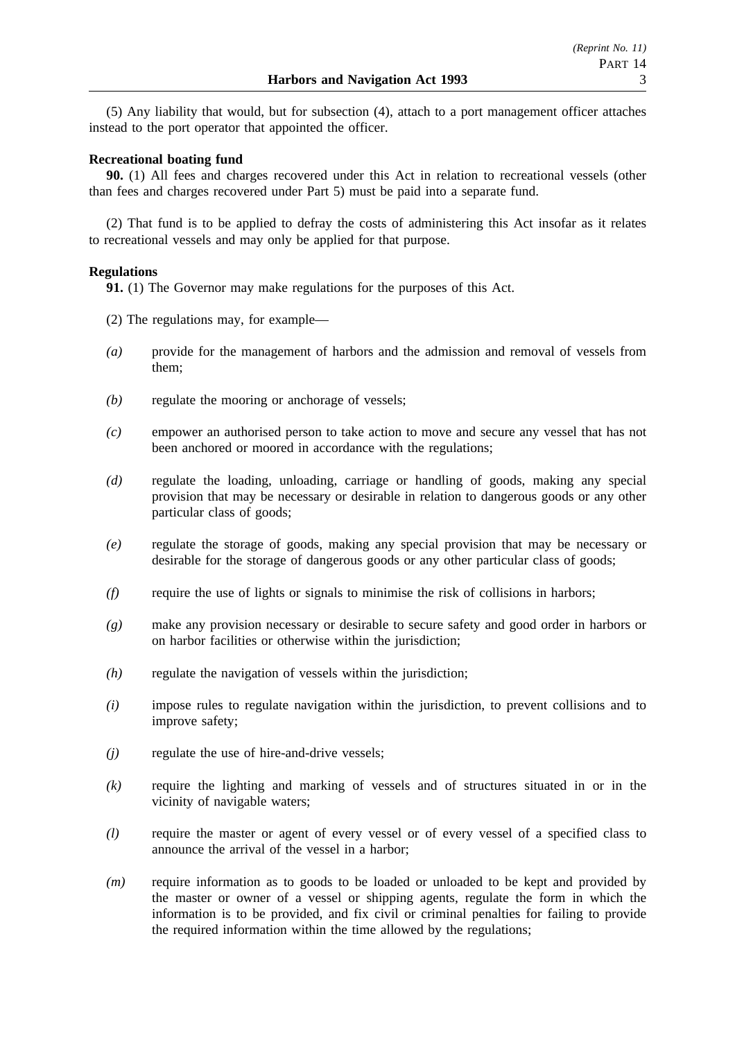(5) Any liability that would, but for subsection (4), attach to a port management officer attaches instead to the port operator that appointed the officer.

### **Recreational boating fund**

**90.** (1) All fees and charges recovered under this Act in relation to recreational vessels (other than fees and charges recovered under Part 5) must be paid into a separate fund.

(2) That fund is to be applied to defray the costs of administering this Act insofar as it relates to recreational vessels and may only be applied for that purpose.

### **Regulations**

**91.** (1) The Governor may make regulations for the purposes of this Act.

- (2) The regulations may, for example—
- *(a)* provide for the management of harbors and the admission and removal of vessels from them;
- *(b)* regulate the mooring or anchorage of vessels;
- *(c)* empower an authorised person to take action to move and secure any vessel that has not been anchored or moored in accordance with the regulations;
- *(d)* regulate the loading, unloading, carriage or handling of goods, making any special provision that may be necessary or desirable in relation to dangerous goods or any other particular class of goods;
- *(e)* regulate the storage of goods, making any special provision that may be necessary or desirable for the storage of dangerous goods or any other particular class of goods;
- *(f)* require the use of lights or signals to minimise the risk of collisions in harbors;
- *(g)* make any provision necessary or desirable to secure safety and good order in harbors or on harbor facilities or otherwise within the jurisdiction;
- *(h)* regulate the navigation of vessels within the jurisdiction;
- *(i)* impose rules to regulate navigation within the jurisdiction, to prevent collisions and to improve safety;
- *(j)* regulate the use of hire-and-drive vessels;
- *(k)* require the lighting and marking of vessels and of structures situated in or in the vicinity of navigable waters;
- *(l)* require the master or agent of every vessel or of every vessel of a specified class to announce the arrival of the vessel in a harbor;
- *(m)* require information as to goods to be loaded or unloaded to be kept and provided by the master or owner of a vessel or shipping agents, regulate the form in which the information is to be provided, and fix civil or criminal penalties for failing to provide the required information within the time allowed by the regulations;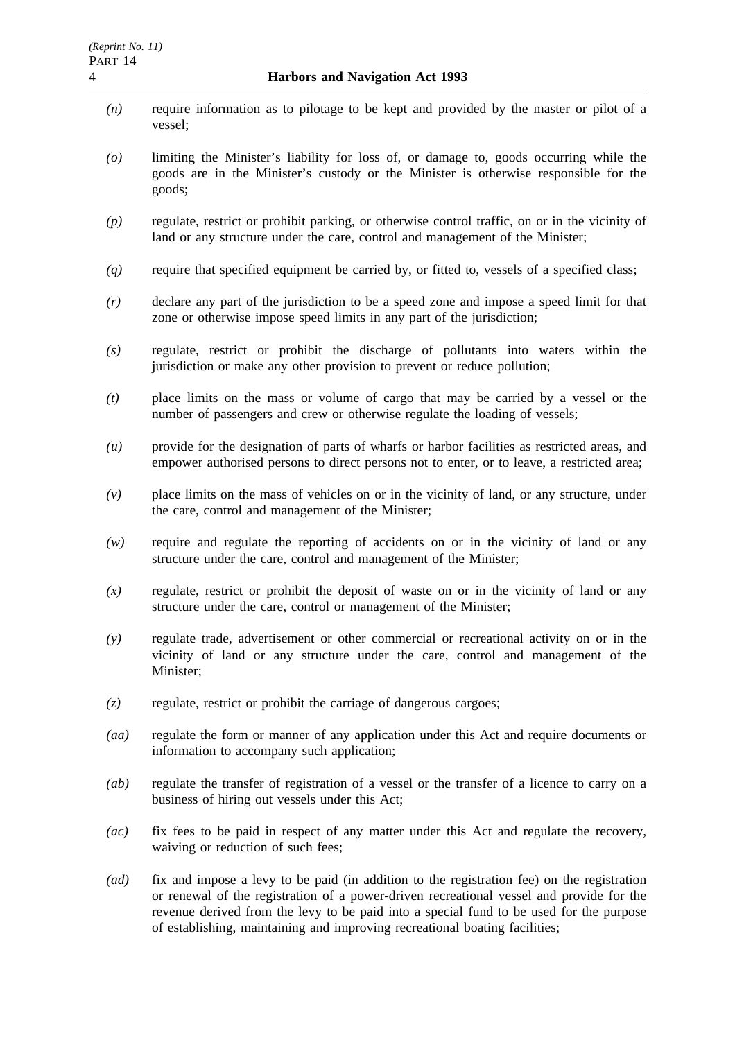- *(n)* require information as to pilotage to be kept and provided by the master or pilot of a vessel;
- *(o)* limiting the Minister's liability for loss of, or damage to, goods occurring while the goods are in the Minister's custody or the Minister is otherwise responsible for the goods;
- *(p)* regulate, restrict or prohibit parking, or otherwise control traffic, on or in the vicinity of land or any structure under the care, control and management of the Minister;
- *(q)* require that specified equipment be carried by, or fitted to, vessels of a specified class;
- *(r)* declare any part of the jurisdiction to be a speed zone and impose a speed limit for that zone or otherwise impose speed limits in any part of the jurisdiction;
- *(s)* regulate, restrict or prohibit the discharge of pollutants into waters within the jurisdiction or make any other provision to prevent or reduce pollution;
- *(t)* place limits on the mass or volume of cargo that may be carried by a vessel or the number of passengers and crew or otherwise regulate the loading of vessels;
- *(u)* provide for the designation of parts of wharfs or harbor facilities as restricted areas, and empower authorised persons to direct persons not to enter, or to leave, a restricted area;
- *(v)* place limits on the mass of vehicles on or in the vicinity of land, or any structure, under the care, control and management of the Minister;
- *(w)* require and regulate the reporting of accidents on or in the vicinity of land or any structure under the care, control and management of the Minister;
- *(x)* regulate, restrict or prohibit the deposit of waste on or in the vicinity of land or any structure under the care, control or management of the Minister;
- *(y)* regulate trade, advertisement or other commercial or recreational activity on or in the vicinity of land or any structure under the care, control and management of the Minister;
- *(z)* regulate, restrict or prohibit the carriage of dangerous cargoes;
- *(aa)* regulate the form or manner of any application under this Act and require documents or information to accompany such application;
- *(ab)* regulate the transfer of registration of a vessel or the transfer of a licence to carry on a business of hiring out vessels under this Act;
- *(ac)* fix fees to be paid in respect of any matter under this Act and regulate the recovery, waiving or reduction of such fees;
- *(ad)* fix and impose a levy to be paid (in addition to the registration fee) on the registration or renewal of the registration of a power-driven recreational vessel and provide for the revenue derived from the levy to be paid into a special fund to be used for the purpose of establishing, maintaining and improving recreational boating facilities;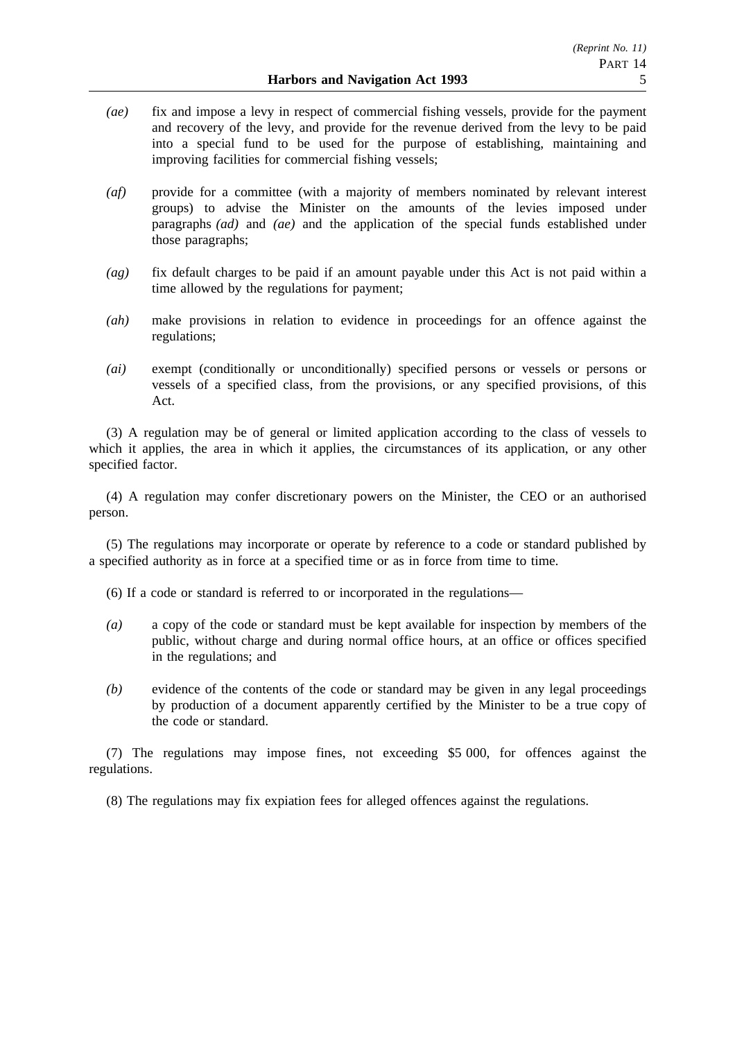- *(ae)* fix and impose a levy in respect of commercial fishing vessels, provide for the payment and recovery of the levy, and provide for the revenue derived from the levy to be paid into a special fund to be used for the purpose of establishing, maintaining and improving facilities for commercial fishing vessels;
- *(af)* provide for a committee (with a majority of members nominated by relevant interest groups) to advise the Minister on the amounts of the levies imposed under paragraphs *(ad)* and *(ae)* and the application of the special funds established under those paragraphs;
- *(ag)* fix default charges to be paid if an amount payable under this Act is not paid within a time allowed by the regulations for payment;
- *(ah)* make provisions in relation to evidence in proceedings for an offence against the regulations;
- *(ai)* exempt (conditionally or unconditionally) specified persons or vessels or persons or vessels of a specified class, from the provisions, or any specified provisions, of this Act.

(3) A regulation may be of general or limited application according to the class of vessels to which it applies, the area in which it applies, the circumstances of its application, or any other specified factor.

(4) A regulation may confer discretionary powers on the Minister, the CEO or an authorised person.

(5) The regulations may incorporate or operate by reference to a code or standard published by a specified authority as in force at a specified time or as in force from time to time.

(6) If a code or standard is referred to or incorporated in the regulations—

- *(a)* a copy of the code or standard must be kept available for inspection by members of the public, without charge and during normal office hours, at an office or offices specified in the regulations; and
- *(b)* evidence of the contents of the code or standard may be given in any legal proceedings by production of a document apparently certified by the Minister to be a true copy of the code or standard.

(7) The regulations may impose fines, not exceeding \$5 000, for offences against the regulations.

(8) The regulations may fix expiation fees for alleged offences against the regulations.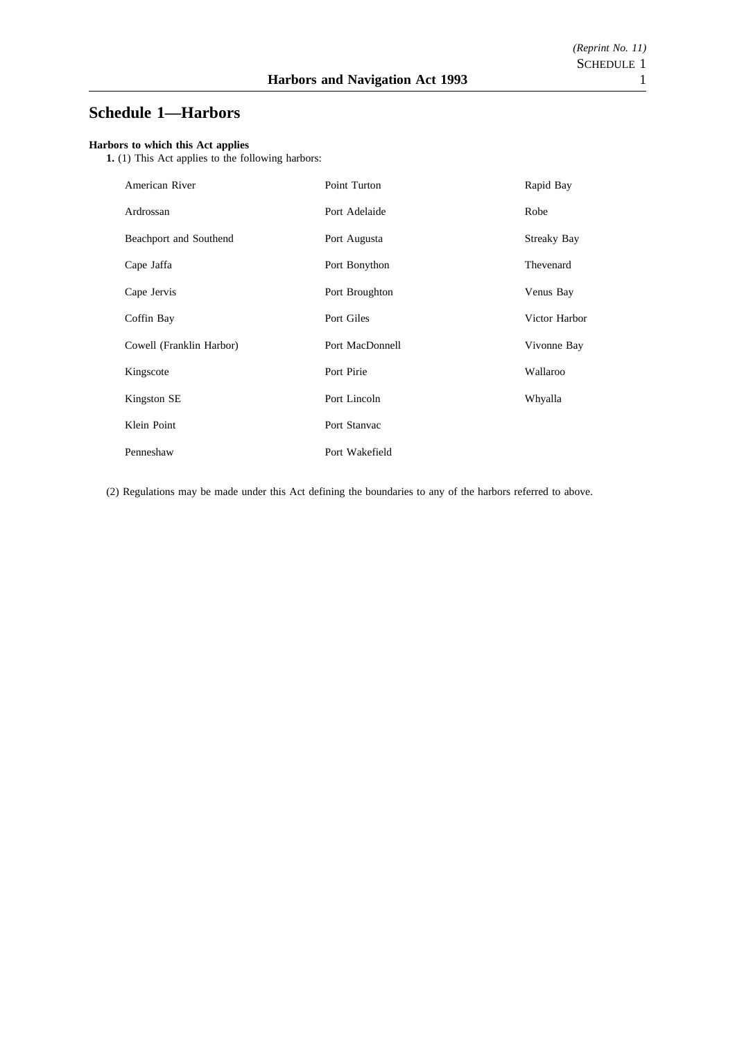# **Schedule 1—Harbors**

#### **Harbors to which this Act applies**

**1.** (1) This Act applies to the following harbors:

| American River           | Point Turton    | Rapid Bay          |
|--------------------------|-----------------|--------------------|
| Ardrossan                | Port Adelaide   | Robe               |
| Beachport and Southend   | Port Augusta    | <b>Streaky Bay</b> |
| Cape Jaffa               | Port Bonython   | Thevenard          |
| Cape Jervis              | Port Broughton  | Venus Bay          |
| Coffin Bay               | Port Giles      | Victor Harbor      |
| Cowell (Franklin Harbor) | Port MacDonnell | Vivonne Bay        |
| Kingscote                | Port Pirie      | Wallaroo           |
| Kingston SE              | Port Lincoln    | Whyalla            |
| Klein Point              | Port Stanvac    |                    |
| Penneshaw                | Port Wakefield  |                    |

(2) Regulations may be made under this Act defining the boundaries to any of the harbors referred to above.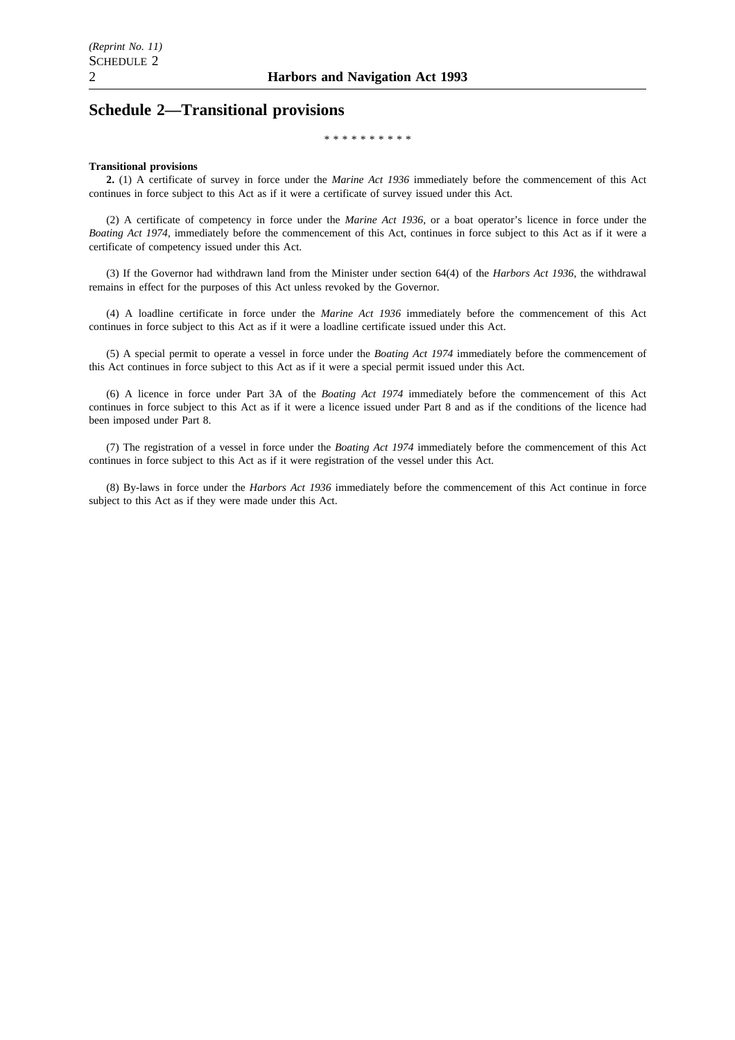## **Schedule 2—Transitional provisions**

\*\*\*\*\*\*\*\*\*\*

#### **Transitional provisions**

**2.** (1) A certificate of survey in force under the *Marine Act 1936* immediately before the commencement of this Act continues in force subject to this Act as if it were a certificate of survey issued under this Act.

(2) A certificate of competency in force under the *Marine Act 1936*, or a boat operator's licence in force under the *Boating Act 1974*, immediately before the commencement of this Act, continues in force subject to this Act as if it were a certificate of competency issued under this Act.

(3) If the Governor had withdrawn land from the Minister under section 64(4) of the *Harbors Act 1936*, the withdrawal remains in effect for the purposes of this Act unless revoked by the Governor.

(4) A loadline certificate in force under the *Marine Act 1936* immediately before the commencement of this Act continues in force subject to this Act as if it were a loadline certificate issued under this Act.

(5) A special permit to operate a vessel in force under the *Boating Act 1974* immediately before the commencement of this Act continues in force subject to this Act as if it were a special permit issued under this Act.

(6) A licence in force under Part 3A of the *Boating Act 1974* immediately before the commencement of this Act continues in force subject to this Act as if it were a licence issued under Part 8 and as if the conditions of the licence had been imposed under Part 8.

(7) The registration of a vessel in force under the *Boating Act 1974* immediately before the commencement of this Act continues in force subject to this Act as if it were registration of the vessel under this Act.

(8) By-laws in force under the *Harbors Act 1936* immediately before the commencement of this Act continue in force subject to this Act as if they were made under this Act.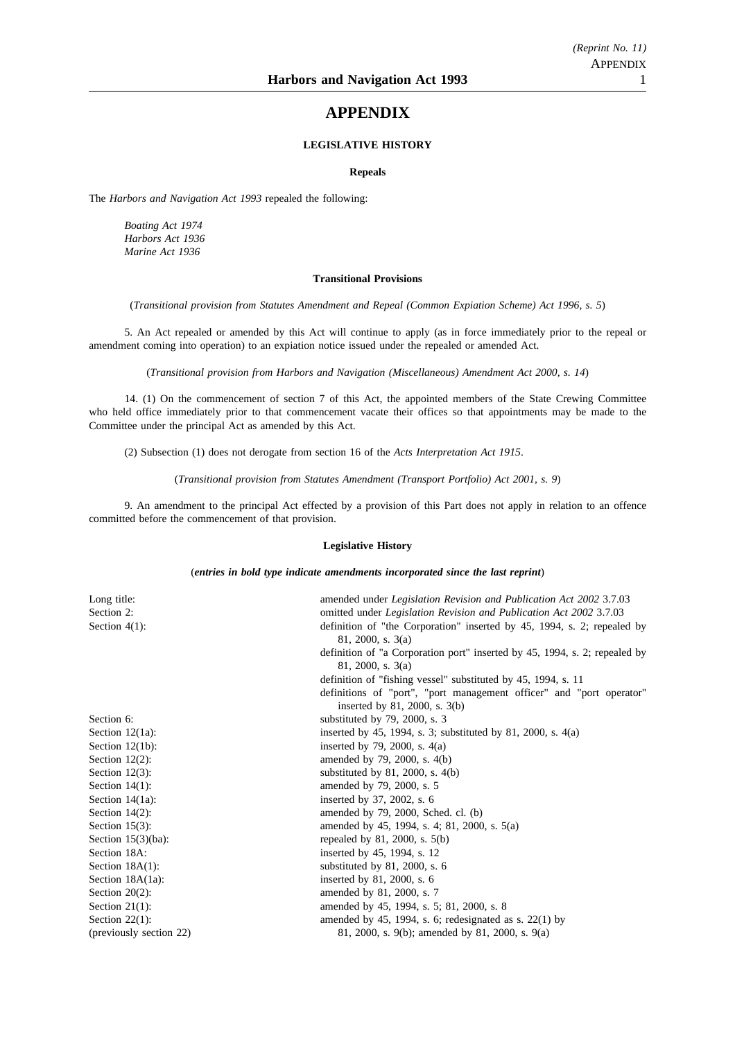## **APPENDIX**

### **LEGISLATIVE HISTORY**

#### **Repeals**

The *Harbors and Navigation Act 1993* repealed the following:

*Boating Act 1974 Harbors Act 1936 Marine Act 1936*

#### **Transitional Provisions**

(*Transitional provision from Statutes Amendment and Repeal (Common Expiation Scheme) Act 1996, s. 5*)

5. An Act repealed or amended by this Act will continue to apply (as in force immediately prior to the repeal or amendment coming into operation) to an expiation notice issued under the repealed or amended Act.

(*Transitional provision from Harbors and Navigation (Miscellaneous) Amendment Act 2000, s. 14*)

14. (1) On the commencement of section 7 of this Act, the appointed members of the State Crewing Committee who held office immediately prior to that commencement vacate their offices so that appointments may be made to the Committee under the principal Act as amended by this Act.

(2) Subsection (1) does not derogate from section 16 of the *Acts Interpretation Act 1915*.

(*Transitional provision from Statutes Amendment (Transport Portfolio) Act 2001, s. 9*)

9. An amendment to the principal Act effected by a provision of this Part does not apply in relation to an offence committed before the commencement of that provision.

### **Legislative History**

(*entries in bold type indicate amendments incorporated since the last reprint*)

| Long title:             | amended under Legislation Revision and Publication Act 2002 3.7.03         |
|-------------------------|----------------------------------------------------------------------------|
| Section 2:              | omitted under <i>Legislation Revision and Publication Act 2002</i> 3.7.03  |
| Section $4(1)$ :        | definition of "the Corporation" inserted by 45, 1994, s. 2; repealed by    |
|                         | 81, 2000, s. 3(a)                                                          |
|                         | definition of "a Corporation port" inserted by 45, 1994, s. 2; repealed by |
|                         | 81, 2000, s. 3(a)                                                          |
|                         | definition of "fishing vessel" substituted by 45, 1994, s. 11              |
|                         | definitions of "port", "port management officer" and "port operator"       |
|                         | inserted by $81, 2000, s. 3(b)$                                            |
| Section 6:              | substituted by 79, 2000, s. 3                                              |
| Section $12(1a)$ :      | inserted by 45, 1994, s. 3; substituted by 81, 2000, s. $4(a)$             |
| Section $12(1b)$ :      | inserted by 79, 2000, s. $4(a)$                                            |
| Section $12(2)$ :       | amended by 79, 2000, s. 4(b)                                               |
| Section $12(3)$ :       | substituted by $81, 2000, s. 4(b)$                                         |
| Section $14(1)$ :       | amended by 79, 2000, s. 5                                                  |
| Section $14(1a)$ :      | inserted by 37, 2002, s. 6                                                 |
| Section $14(2)$ :       | amended by 79, 2000, Sched. cl. (b)                                        |
| Section $15(3)$ :       | amended by 45, 1994, s. 4; 81, 2000, s. 5(a)                               |
| Section $15(3)(ba)$ :   | repealed by 81, 2000, s. $5(b)$                                            |
| Section 18A:            | inserted by 45, 1994, s. 12                                                |
| Section $18A(1)$ :      | substituted by $81, 2000, s. 6$                                            |
| Section $18A(1a)$ :     | inserted by 81, 2000, s. 6                                                 |
| Section $20(2)$ :       | amended by 81, 2000, s. 7                                                  |
| Section $21(1)$ :       | amended by 45, 1994, s. 5; 81, 2000, s. 8                                  |
| Section $22(1)$ :       | amended by 45, 1994, s. 6; redesignated as s. $22(1)$ by                   |
| (previously section 22) | 81, 2000, s. 9(b); amended by 81, 2000, s. 9(a)                            |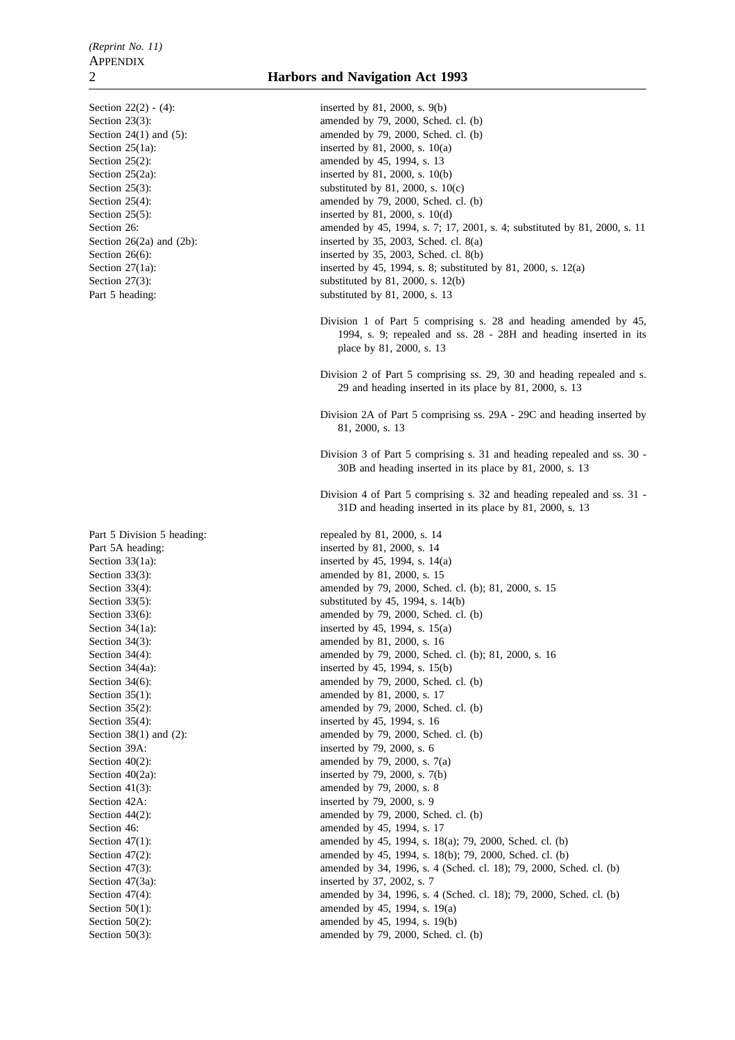### 2 **Harbors and Navigation Act 1993**

Section  $22(2) - (4)$ : inserted by 81, 2000, s. 9(b) Section 23(3): amended by 79, 2000, Sched. cl. (b) Section 24(1) and (5): amended by 79, 2000, Sched. cl. (b) Section  $25(1a)$ : inserted by 81, 2000, s. 10(a) Section 25(2): amended by 45, 1994, s. 13 Section 25(2a): inserted by 81, 2000, s. 10(b) Section 25(3): substituted by 81, 2000, s.  $10(c)$ Section 25(4): amended by 79, 2000, Sched. cl. (b) Section 25(5): inserted by 81, 2000, s. 10(d) Section 26: **amended** by 45, 1994, s. 7; 17, 2001, s. 4; substituted by 81, 2000, s. 11 Section 26(2a) and (2b): inserted by 35, 2003, Sched. cl. 8(a) Section 26(6): inserted by 35, 2003, Sched. cl. 8(b) Section 27(1a): inserted by 45, 1994, s. 8; substituted by 81, 2000, s. 12(a) Section 27(3): substituted by 81, 2000, s. 12(b) Part 5 heading: substituted by 81, 2000, s. 13 Division 1 of Part 5 comprising s. 28 and heading amended by 45, 1994, s. 9; repealed and ss. 28 - 28H and heading inserted in its place by 81, 2000, s. 13 Division 2 of Part 5 comprising ss. 29, 30 and heading repealed and s. 29 and heading inserted in its place by 81, 2000, s. 13 Division 2A of Part 5 comprising ss. 29A - 29C and heading inserted by 81, 2000, s. 13 Division 3 of Part 5 comprising s. 31 and heading repealed and ss. 30 - 30B and heading inserted in its place by 81, 2000, s. 13 Division 4 of Part 5 comprising s. 32 and heading repealed and ss. 31 - 31D and heading inserted in its place by 81, 2000, s. 13 Part 5 Division 5 heading: repealed by 81, 2000, s. 14 Part 5A heading: inserted by 81, 2000, s. 14 Section 33(1a): inserted by 45, 1994, s. 14(a) Section 33(3): amended by 81, 2000, s. 15 Section 33(4): amended by 79, 2000, Sched. cl. (b); 81, 2000, s. 15 Section 33(5): substituted by 45, 1994, s. 14(b) Section 33(6): amended by 79, 2000, Sched. cl. (b) Section 34(1a): inserted by 45, 1994, s. 15(a) Section 34(3): amended by 81, 2000, s. 16 Section 34(4): amended by 79, 2000, Sched. cl. (b); 81, 2000, s. 16 Section 34(4a): inserted by 45, 1994, s. 15(b) Section 34(6): amended by 79, 2000, Sched. cl. (b) Section 35(1): amended by 81, 2000, s. 17 Section 35(2): amended by 79, 2000, Sched. cl. (b) Section 35(4): inserted by 45, 1994, s. 16 Section  $38(1)$  and  $(2)$ : amended by 79, 2000, Sched. cl. (b) Section 39A: inserted by 79, 2000, s. 6 Section 40(2): amended by 79, 2000, s. 7(a) Section  $40(2a)$ : inserted by 79, 2000, s. 7(b) Section 41(3): amended by 79, 2000, s. 8 Section 42A: inserted by 79, 2000, s. 9 Section 44(2): amended by 79, 2000, Sched. cl. (b) Section 46: **amended** by 45, 1994, s. 17 Section 47(1): amended by 45, 1994, s. 18(a); 79, 2000, Sched. cl. (b) Section 47(2): amended by 45, 1994, s. 18(b); 79, 2000, Sched. cl. (b) Section 47(3): amended by 34, 1996, s. 4 (Sched. cl. 18); 79, 2000, Sched. cl. (b) Section 47(3a): inserted by 37, 2002, s. 7 Section 47(4): amended by 34, 1996, s. 4 (Sched. cl. 18); 79, 2000, Sched. cl. (b) Section 50(1): amended by 45, 1994, s. 19(a) Section 50(2): amended by 45, 1994, s. 19(b) Section 50(3): amended by 79, 2000, Sched. cl. (b)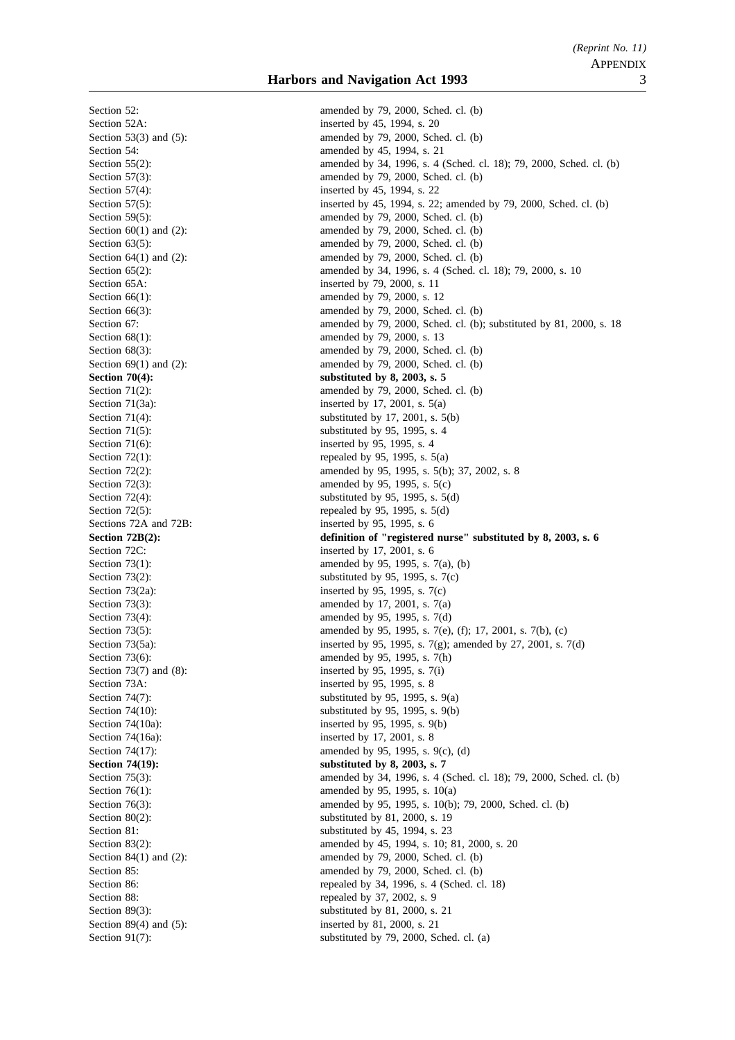Section 52: amended by 79, 2000, Sched. cl. (b) Section 71(6): inserted by 95, 1995, s. 4 Section 73A: inserted by 95, 1995, s. 8 Section 74(16a): inserted by 17, 2001, s. 8

Section 52A: inserted by 45, 1994, s. 20 Section 53(3) and (5): amended by 79, 2000, Sched. cl. (b) Section 54: amended by 45, 1994, s. 21 Section 55(2): amended by 34, 1996, s. 4 (Sched. cl. 18); 79, 2000, Sched. cl. (b) Section 57(3): amended by 79, 2000, Sched. cl. (b) Section 57(4): inserted by 45, 1994, s. 22 Section 57(5): inserted by 45, 1994, s. 22; amended by 79, 2000, Sched. cl. (b) Section 59(5): amended by 79, 2000, Sched. cl. (b) Section  $60(1)$  and  $(2)$ : amended by 79, 2000, Sched. cl. (b) Section 63(5): amended by 79, 2000, Sched. cl. (b) Section  $64(1)$  and  $(2)$ : amended by 79, 2000, Sched. cl. (b) Section 65(2): amended by 34, 1996, s. 4 (Sched. cl. 18); 79, 2000, s. 10 Section 65A: inserted by 79, 2000, s. 11 Section 66(1): amended by 79, 2000, s. 12 Section 66(3): amended by 79, 2000, Sched. cl. (b) Section 67: **amended by 79**, 2000, Sched. cl. (b); substituted by 81, 2000, s. 18 Section 68(1): amended by 79, 2000, s. 13 Section 68(3): amended by 79, 2000, Sched. cl. (b) Section  $69(1)$  and  $(2)$ : amended by 79, 2000, Sched. cl. (b) Section 70(4): substituted by 8, 2003, s. 5 Section 71(2): amended by 79, 2000, Sched. cl. (b) Section 71(3a): inserted by 17, 2001, s. 5(a) Section 71(4): substituted by 17, 2001, s. 5(b) Section 71(5): substituted by 95, 1995, s. 4 Section 72(1): repealed by 95, 1995, s.  $5(a)$ Section 72(2): amended by 95, 1995, s. 5(b); 37, 2002, s. 8 Section 72(3): amended by 95, 1995, s. 5(c) Section  $72(4)$ : substituted by 95, 1995, s. 5(d) Section  $72(5)$ : repealed by 95, 1995, s. 5(d) Sections 72A and 72B: inserted by 95, 1995, s. 6 **Section 72B(2):** definition of "registered nurse" substituted by 8, 2003, s. 6 Section 72C: inserted by 17, 2001, s. 6 Section 73(1): amended by 95, 1995, s. 7(a), (b) Section 73(2):<br>Section 73(2a):<br>Section 73(2a):<br>Section 73(2a):<br>Section 73(2a):<br>Section 13(2a):<br>Section 13(2a):<br>Section 13(2a): Section 73(2a): inserted by 95, 1995, s. 7(c)<br>Section 73(3): inserted by 95, 1995, s. 7(c) amended by 17, 2001, s.  $7(a)$ Section 73(4): amended by 95, 1995, s. 7(d) Section 73(5): amended by 95, 1995, s. 7(e), (f); 17, 2001, s. 7(b), (c) Section 73(5a): inserted by 95, 1995, s. 7(g); amended by 27, 2001, s. 7(d) Section 73(6): amended by 95, 1995, s. 7(h) Section 73(7) and (8): inserted by 95, 1995, s. 7(i) Section 74(7): substituted by 95, 1995, s.  $9(a)$ Section 74(10): substituted by 95, 1995, s. 9(b) Section 74(10a): inserted by 95, 1995, s. 9(b) Section 74(17): amended by 95, 1995, s. 9(c), (d) Section 74(19): substituted by 8, 2003, s. 7 Section 75(3): amended by 34, 1996, s. 4 (Sched. cl. 18); 79, 2000, Sched. cl. (b) Section 76(1): amended by 95, 1995, s. 10(a) Section 76(3): amended by 95, 1995, s. 10(b); 79, 2000, Sched. cl. (b) Section 80(2): substituted by 81, 2000, s. 19 Section 81: substituted by 45, 1994, s. 23 Section 83(2): amended by 45, 1994, s. 10; 81, 2000, s. 20 Section 84(1) and (2): amended by 79, 2000, Sched. cl. (b) Section 85: amended by 79, 2000, Sched. cl. (b) Section 86: repealed by 34, 1996, s. 4 (Sched. cl. 18) Section 88: repealed by 37, 2002, s. 9 Section 89(3): substituted by 81, 2000, s. 21 Section 89(4) and (5): inserted by 81, 2000, s. 21 Section 91(7): substituted by 79, 2000, Sched. cl. (a)